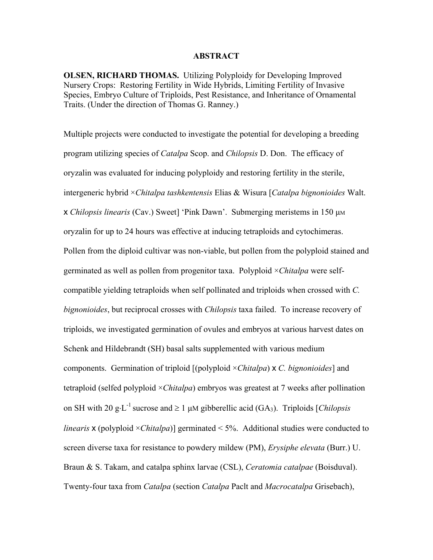### **ABSTRACT**

**OLSEN, RICHARD THOMAS.** Utilizing Polyploidy for Developing Improved Nursery Crops: Restoring Fertility in Wide Hybrids, Limiting Fertility of Invasive Species, Embryo Culture of Triploids, Pest Resistance, and Inheritance of Ornamental Traits. (Under the direction of Thomas G. Ranney.)

Multiple projects were conducted to investigate the potential for developing a breeding program utilizing species of *Catalpa* Scop. and *Chilopsis* D. Don. The efficacy of oryzalin was evaluated for inducing polyploidy and restoring fertility in the sterile, intergeneric hybrid ×*Chitalpa tashkentensis* Elias & Wisura [*Catalpa bignonioides* Walt. **x** *Chilopsis linearis* (Cav.) Sweet] 'Pink Dawn'. Submerging meristems in 150 μm oryzalin for up to 24 hours was effective at inducing tetraploids and cytochimeras. Pollen from the diploid cultivar was non-viable, but pollen from the polyploid stained and germinated as well as pollen from progenitor taxa. Polyploid ×*Chitalpa* were selfcompatible yielding tetraploids when self pollinated and triploids when crossed with *C. bignonioides*, but reciprocal crosses with *Chilopsis* taxa failed. To increase recovery of triploids, we investigated germination of ovules and embryos at various harvest dates on Schenk and Hildebrandt (SH) basal salts supplemented with various medium components. Germination of triploid [(polyploid ×*Chitalpa*) x *C. bignonioides*] and tetraploid (selfed polyploid ×*Chitalpa*) embryos was greatest at 7 weeks after pollination on SH with 20 g⋅L<sup>-1</sup> sucrose and ≥ 1 µM gibberellic acid (GA<sub>3</sub>). Triploids [*Chilopsis linearis* **x** (polyploid  $\times$ *Chitalpa*)] germinated < 5%. Additional studies were conducted to screen diverse taxa for resistance to powdery mildew (PM), *Erysiphe elevata* (Burr.) U. Braun & S. Takam, and catalpa sphinx larvae (CSL), *Ceratomia catalpae* (Boisduval). Twenty-four taxa from *Catalpa* (section *Catalpa* Paclt and *Macrocatalpa* Grisebach),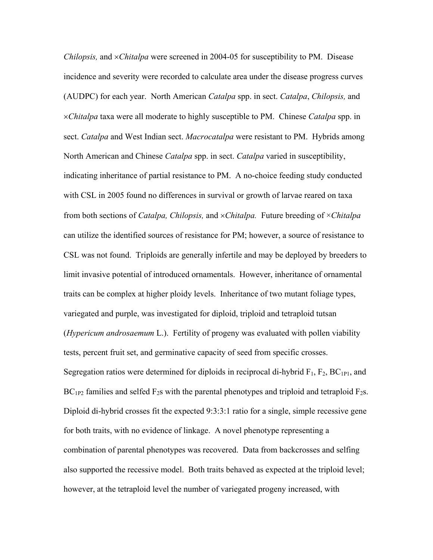*Chilopsis, and ×<i>Chitalpa* were screened in 2004-05 for susceptibility to PM. Disease incidence and severity were recorded to calculate area under the disease progress curves (AUDPC) for each year. North American *Catalpa* spp. in sect. *Catalpa*, *Chilopsis,* and ×*Chitalpa* taxa were all moderate to highly susceptible to PM. Chinese *Catalpa* spp. in sect. *Catalpa* and West Indian sect. *Macrocatalpa* were resistant to PM. Hybrids among North American and Chinese *Catalpa* spp. in sect. *Catalpa* varied in susceptibility, indicating inheritance of partial resistance to PM. A no-choice feeding study conducted with CSL in 2005 found no differences in survival or growth of larvae reared on taxa from both sections of *Catalpa, Chilopsis,* and ×*Chitalpa.* Future breeding of ×*Chitalpa*  can utilize the identified sources of resistance for PM; however, a source of resistance to CSL was not found. Triploids are generally infertile and may be deployed by breeders to limit invasive potential of introduced ornamentals. However, inheritance of ornamental traits can be complex at higher ploidy levels. Inheritance of two mutant foliage types, variegated and purple, was investigated for diploid, triploid and tetraploid tutsan (*Hypericum androsaemum* L.). Fertility of progeny was evaluated with pollen viability tests, percent fruit set, and germinative capacity of seed from specific crosses. Segregation ratios were determined for diploids in reciprocal di-hybrid  $F_1$ ,  $F_2$ ,  $BC_{1P1}$ , and  $BC_{1P2}$  families and selfed  $F_2$ s with the parental phenotypes and triploid and tetraploid  $F_2$ s. Diploid di-hybrid crosses fit the expected 9:3:3:1 ratio for a single, simple recessive gene for both traits, with no evidence of linkage. A novel phenotype representing a combination of parental phenotypes was recovered. Data from backcrosses and selfing also supported the recessive model. Both traits behaved as expected at the triploid level; however, at the tetraploid level the number of variegated progeny increased, with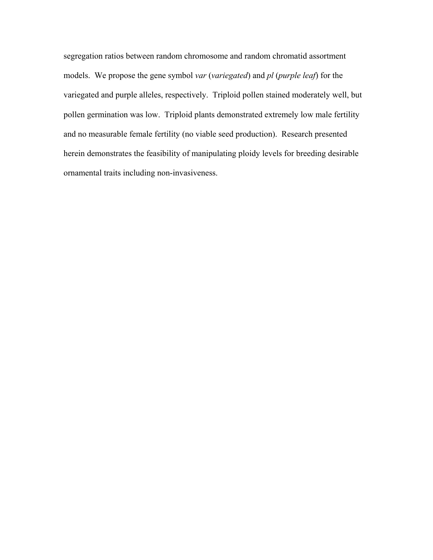segregation ratios between random chromosome and random chromatid assortment models. We propose the gene symbol *var* (*variegated*) and *pl* (*purple leaf*) for the variegated and purple alleles, respectively. Triploid pollen stained moderately well, but pollen germination was low. Triploid plants demonstrated extremely low male fertility and no measurable female fertility (no viable seed production). Research presented herein demonstrates the feasibility of manipulating ploidy levels for breeding desirable ornamental traits including non-invasiveness.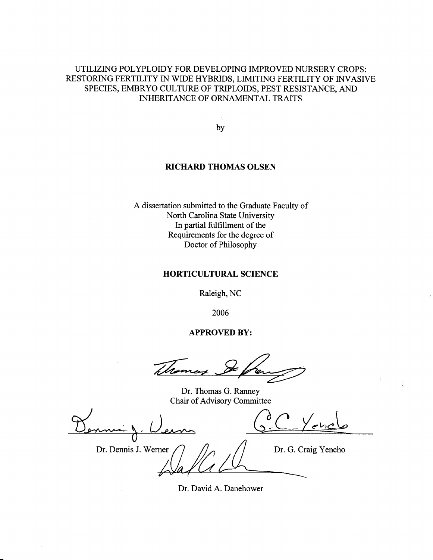### UTILIZING POLYPLOIDY FOR DEVELOPING IMPROVED NURSERY CROPS: RESTORING FERTILITY IN WIDE HYBRIDS, LIMITING FERTILITY OF INVASIVE SPECIES, EMBRYO CULTURE OF TRIPLOIDS, PEST RESISTANCE, AND **INHERITANCE OF ORNAMENTAL TRAITS**

by

### **RICHARD THOMAS OLSEN**

A dissertation submitted to the Graduate Faculty of North Carolina State University In partial fulfillment of the Requirements for the degree of Doctor of Philosophy

#### **HORTICULTURAL SCIENCE**

Raleigh, NC

2006

### **APPROVED BY:**

Whom

Dr. Thomas G. Ranney Chair of Advisory Committee

| Dr. Dennis J. Werner | Dr. G. Craig Yencho |
|----------------------|---------------------|
|                      |                     |

Dr. David A. Danehower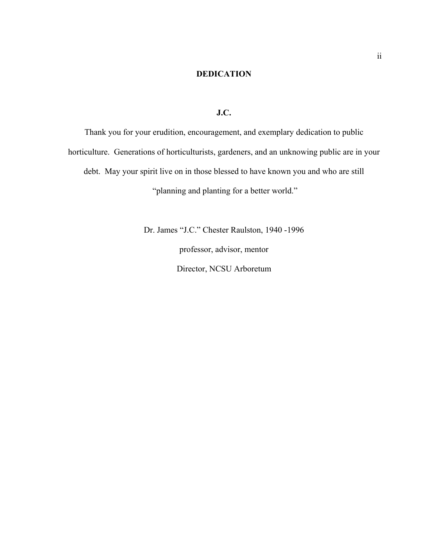### **DEDICATION**

**J.C.** 

Thank you for your erudition, encouragement, and exemplary dedication to public horticulture. Generations of horticulturists, gardeners, and an unknowing public are in your debt. May your spirit live on in those blessed to have known you and who are still "planning and planting for a better world."

> Dr. James "J.C." Chester Raulston, 1940 -1996 professor, advisor, mentor Director, NCSU Arboretum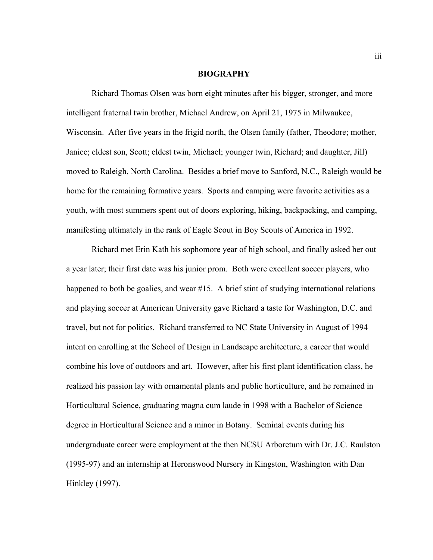#### **BIOGRAPHY**

 Richard Thomas Olsen was born eight minutes after his bigger, stronger, and more intelligent fraternal twin brother, Michael Andrew, on April 21, 1975 in Milwaukee, Wisconsin. After five years in the frigid north, the Olsen family (father, Theodore; mother, Janice; eldest son, Scott; eldest twin, Michael; younger twin, Richard; and daughter, Jill) moved to Raleigh, North Carolina. Besides a brief move to Sanford, N.C., Raleigh would be home for the remaining formative years. Sports and camping were favorite activities as a youth, with most summers spent out of doors exploring, hiking, backpacking, and camping, manifesting ultimately in the rank of Eagle Scout in Boy Scouts of America in 1992.

 Richard met Erin Kath his sophomore year of high school, and finally asked her out a year later; their first date was his junior prom. Both were excellent soccer players, who happened to both be goalies, and wear #15. A brief stint of studying international relations and playing soccer at American University gave Richard a taste for Washington, D.C. and travel, but not for politics. Richard transferred to NC State University in August of 1994 intent on enrolling at the School of Design in Landscape architecture, a career that would combine his love of outdoors and art. However, after his first plant identification class, he realized his passion lay with ornamental plants and public horticulture, and he remained in Horticultural Science, graduating magna cum laude in 1998 with a Bachelor of Science degree in Horticultural Science and a minor in Botany. Seminal events during his undergraduate career were employment at the then NCSU Arboretum with Dr. J.C. Raulston (1995-97) and an internship at Heronswood Nursery in Kingston, Washington with Dan Hinkley (1997).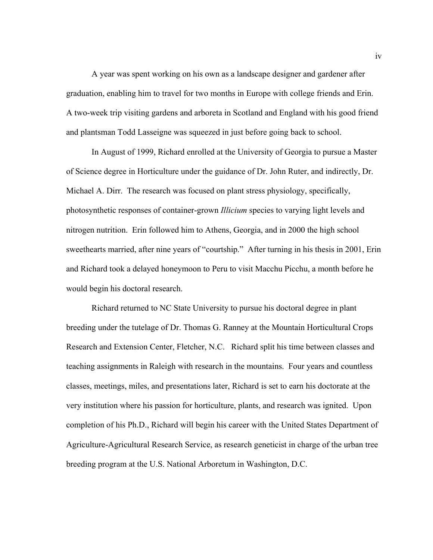A year was spent working on his own as a landscape designer and gardener after graduation, enabling him to travel for two months in Europe with college friends and Erin. A two-week trip visiting gardens and arboreta in Scotland and England with his good friend and plantsman Todd Lasseigne was squeezed in just before going back to school.

 In August of 1999, Richard enrolled at the University of Georgia to pursue a Master of Science degree in Horticulture under the guidance of Dr. John Ruter, and indirectly, Dr. Michael A. Dirr. The research was focused on plant stress physiology, specifically, photosynthetic responses of container-grown *Illicium* species to varying light levels and nitrogen nutrition. Erin followed him to Athens, Georgia, and in 2000 the high school sweethearts married, after nine years of "courtship." After turning in his thesis in 2001, Erin and Richard took a delayed honeymoon to Peru to visit Macchu Picchu, a month before he would begin his doctoral research.

 Richard returned to NC State University to pursue his doctoral degree in plant breeding under the tutelage of Dr. Thomas G. Ranney at the Mountain Horticultural Crops Research and Extension Center, Fletcher, N.C. Richard split his time between classes and teaching assignments in Raleigh with research in the mountains. Four years and countless classes, meetings, miles, and presentations later, Richard is set to earn his doctorate at the very institution where his passion for horticulture, plants, and research was ignited. Upon completion of his Ph.D., Richard will begin his career with the United States Department of Agriculture-Agricultural Research Service, as research geneticist in charge of the urban tree breeding program at the U.S. National Arboretum in Washington, D.C.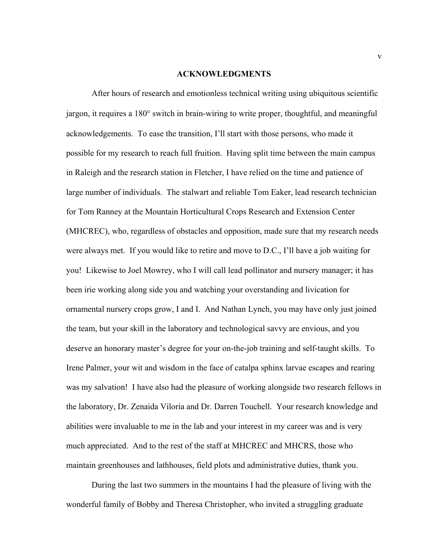#### **ACKNOWLEDGMENTS**

 After hours of research and emotionless technical writing using ubiquitous scientific jargon, it requires a 180° switch in brain-wiring to write proper, thoughtful, and meaningful acknowledgements. To ease the transition, I'll start with those persons, who made it possible for my research to reach full fruition. Having split time between the main campus in Raleigh and the research station in Fletcher, I have relied on the time and patience of large number of individuals. The stalwart and reliable Tom Eaker, lead research technician for Tom Ranney at the Mountain Horticultural Crops Research and Extension Center (MHCREC), who, regardless of obstacles and opposition, made sure that my research needs were always met. If you would like to retire and move to D.C., I'll have a job waiting for you! Likewise to Joel Mowrey, who I will call lead pollinator and nursery manager; it has been irie working along side you and watching your overstanding and livication for ornamental nursery crops grow, I and I. And Nathan Lynch, you may have only just joined the team, but your skill in the laboratory and technological savvy are envious, and you deserve an honorary master's degree for your on-the-job training and self-taught skills. To Irene Palmer, your wit and wisdom in the face of catalpa sphinx larvae escapes and rearing was my salvation! I have also had the pleasure of working alongside two research fellows in the laboratory, Dr. Zenaida Viloria and Dr. Darren Touchell. Your research knowledge and abilities were invaluable to me in the lab and your interest in my career was and is very much appreciated. And to the rest of the staff at MHCREC and MHCRS, those who maintain greenhouses and lathhouses, field plots and administrative duties, thank you.

 During the last two summers in the mountains I had the pleasure of living with the wonderful family of Bobby and Theresa Christopher, who invited a struggling graduate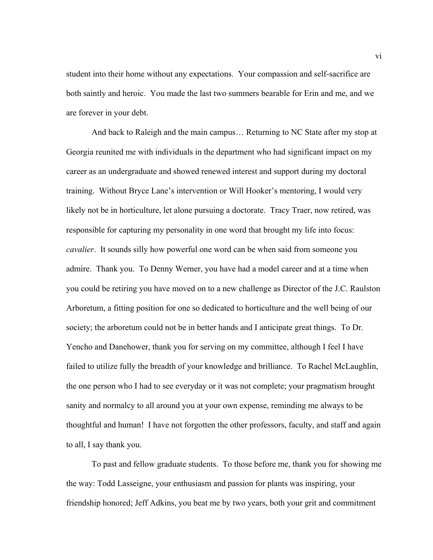student into their home without any expectations. Your compassion and self-sacrifice are both saintly and heroic. You made the last two summers bearable for Erin and me, and we are forever in your debt.

 And back to Raleigh and the main campus… Returning to NC State after my stop at Georgia reunited me with individuals in the department who had significant impact on my career as an undergraduate and showed renewed interest and support during my doctoral training. Without Bryce Lane's intervention or Will Hooker's mentoring, I would very likely not be in horticulture, let alone pursuing a doctorate. Tracy Traer, now retired, was responsible for capturing my personality in one word that brought my life into focus: *cavalier*. It sounds silly how powerful one word can be when said from someone you admire. Thank you. To Denny Werner, you have had a model career and at a time when you could be retiring you have moved on to a new challenge as Director of the J.C. Raulston Arboretum, a fitting position for one so dedicated to horticulture and the well being of our society; the arboretum could not be in better hands and I anticipate great things. To Dr. Yencho and Danehower, thank you for serving on my committee, although I feel I have failed to utilize fully the breadth of your knowledge and brilliance. To Rachel McLaughlin, the one person who I had to see everyday or it was not complete; your pragmatism brought sanity and normalcy to all around you at your own expense, reminding me always to be thoughtful and human! I have not forgotten the other professors, faculty, and staff and again to all, I say thank you.

 To past and fellow graduate students. To those before me, thank you for showing me the way: Todd Lasseigne, your enthusiasm and passion for plants was inspiring, your friendship honored; Jeff Adkins, you beat me by two years, both your grit and commitment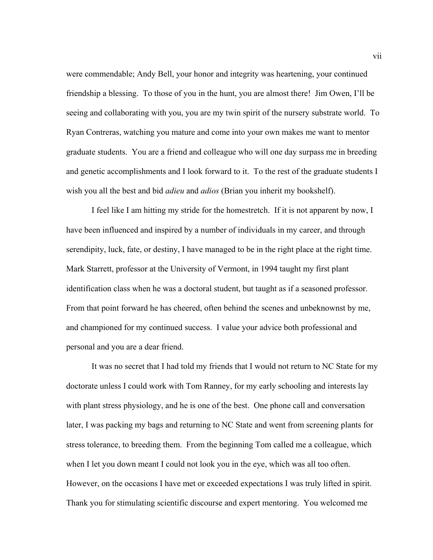were commendable; Andy Bell, your honor and integrity was heartening, your continued friendship a blessing. To those of you in the hunt, you are almost there! Jim Owen, I'll be seeing and collaborating with you, you are my twin spirit of the nursery substrate world. To Ryan Contreras, watching you mature and come into your own makes me want to mentor graduate students. You are a friend and colleague who will one day surpass me in breeding and genetic accomplishments and I look forward to it. To the rest of the graduate students I wish you all the best and bid *adieu* and *adios* (Brian you inherit my bookshelf).

 I feel like I am hitting my stride for the homestretch. If it is not apparent by now, I have been influenced and inspired by a number of individuals in my career, and through serendipity, luck, fate, or destiny, I have managed to be in the right place at the right time. Mark Starrett, professor at the University of Vermont, in 1994 taught my first plant identification class when he was a doctoral student, but taught as if a seasoned professor. From that point forward he has cheered, often behind the scenes and unbeknownst by me, and championed for my continued success. I value your advice both professional and personal and you are a dear friend.

 It was no secret that I had told my friends that I would not return to NC State for my doctorate unless I could work with Tom Ranney, for my early schooling and interests lay with plant stress physiology, and he is one of the best. One phone call and conversation later, I was packing my bags and returning to NC State and went from screening plants for stress tolerance, to breeding them. From the beginning Tom called me a colleague, which when I let you down meant I could not look you in the eye, which was all too often. However, on the occasions I have met or exceeded expectations I was truly lifted in spirit. Thank you for stimulating scientific discourse and expert mentoring. You welcomed me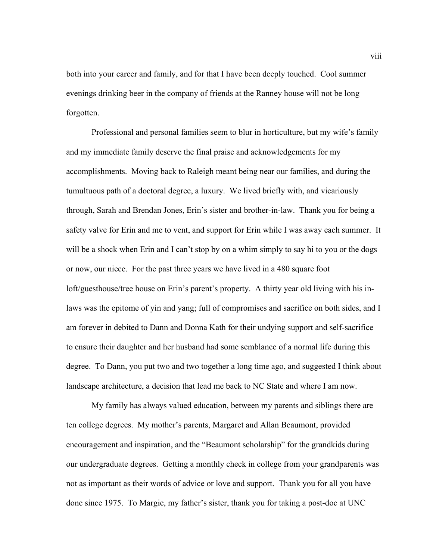both into your career and family, and for that I have been deeply touched. Cool summer evenings drinking beer in the company of friends at the Ranney house will not be long forgotten.

 Professional and personal families seem to blur in horticulture, but my wife's family and my immediate family deserve the final praise and acknowledgements for my accomplishments. Moving back to Raleigh meant being near our families, and during the tumultuous path of a doctoral degree, a luxury. We lived briefly with, and vicariously through, Sarah and Brendan Jones, Erin's sister and brother-in-law. Thank you for being a safety valve for Erin and me to vent, and support for Erin while I was away each summer. It will be a shock when Erin and I can't stop by on a whim simply to say hi to you or the dogs or now, our niece. For the past three years we have lived in a 480 square foot loft/guesthouse/tree house on Erin's parent's property. A thirty year old living with his inlaws was the epitome of yin and yang; full of compromises and sacrifice on both sides, and I am forever in debited to Dann and Donna Kath for their undying support and self-sacrifice to ensure their daughter and her husband had some semblance of a normal life during this degree. To Dann, you put two and two together a long time ago, and suggested I think about landscape architecture, a decision that lead me back to NC State and where I am now.

 My family has always valued education, between my parents and siblings there are ten college degrees. My mother's parents, Margaret and Allan Beaumont, provided encouragement and inspiration, and the "Beaumont scholarship" for the grandkids during our undergraduate degrees. Getting a monthly check in college from your grandparents was not as important as their words of advice or love and support. Thank you for all you have done since 1975. To Margie, my father's sister, thank you for taking a post-doc at UNC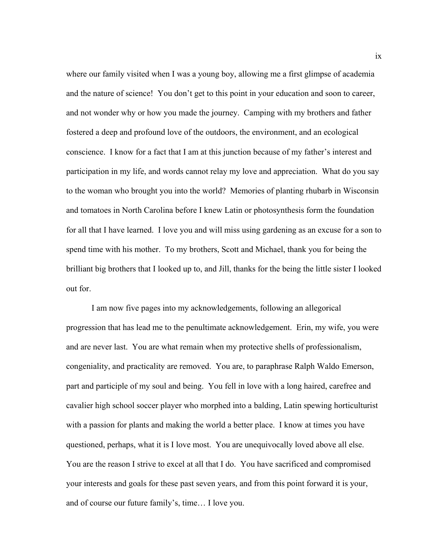where our family visited when I was a young boy, allowing me a first glimpse of academia and the nature of science! You don't get to this point in your education and soon to career, and not wonder why or how you made the journey. Camping with my brothers and father fostered a deep and profound love of the outdoors, the environment, and an ecological conscience. I know for a fact that I am at this junction because of my father's interest and participation in my life, and words cannot relay my love and appreciation. What do you say to the woman who brought you into the world? Memories of planting rhubarb in Wisconsin and tomatoes in North Carolina before I knew Latin or photosynthesis form the foundation for all that I have learned. I love you and will miss using gardening as an excuse for a son to spend time with his mother. To my brothers, Scott and Michael, thank you for being the brilliant big brothers that I looked up to, and Jill, thanks for the being the little sister I looked out for.

 I am now five pages into my acknowledgements, following an allegorical progression that has lead me to the penultimate acknowledgement. Erin, my wife, you were and are never last. You are what remain when my protective shells of professionalism, congeniality, and practicality are removed. You are, to paraphrase Ralph Waldo Emerson, part and participle of my soul and being. You fell in love with a long haired, carefree and cavalier high school soccer player who morphed into a balding, Latin spewing horticulturist with a passion for plants and making the world a better place. I know at times you have questioned, perhaps, what it is I love most. You are unequivocally loved above all else. You are the reason I strive to excel at all that I do. You have sacrificed and compromised your interests and goals for these past seven years, and from this point forward it is your, and of course our future family's, time… I love you.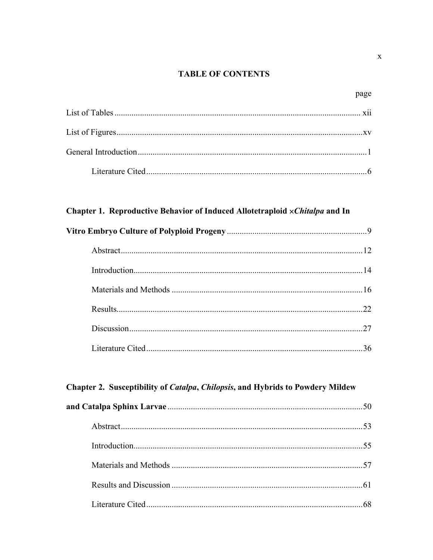### **TABLE OF CONTENTS**

### Chapter 1. Reproductive Behavior of Induced Allotetraploid × Chitalpa and In

| 22 |
|----|
| 27 |
|    |

### Chapter 2. Susceptibility of *Catalpa*, *Chilopsis*, and Hybrids to Powdery Mildew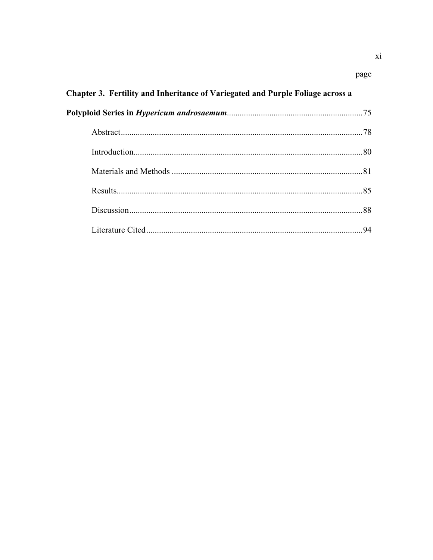### page

| Chapter 3. Fertility and Inheritance of Variegated and Purple Foliage across a |  |  |  |
|--------------------------------------------------------------------------------|--|--|--|
|                                                                                |  |  |  |
|                                                                                |  |  |  |
|                                                                                |  |  |  |
|                                                                                |  |  |  |
|                                                                                |  |  |  |
|                                                                                |  |  |  |
|                                                                                |  |  |  |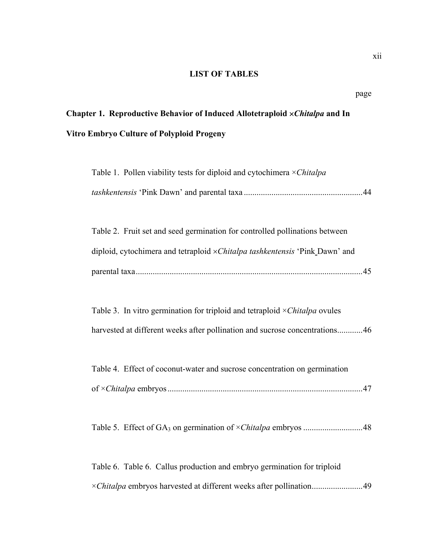### **LIST OF TABLES**

# **Chapter 1. Reproductive Behavior of Induced Allotetraploid** ×*Chitalpa* **and In Vitro Embryo Culture of Polyploid Progeny**

| Table 1. Pollen viability tests for diploid and cytochimera $\times Chitalpa$ |  |  |
|-------------------------------------------------------------------------------|--|--|
|                                                                               |  |  |

| Table 2. Fruit set and seed germination for controlled pollinations between        |  |
|------------------------------------------------------------------------------------|--|
| diploid, cytochimera and tetraploid <i>xChitalpa tashkentensis</i> 'Pink_Dawn' and |  |
|                                                                                    |  |

 Table 3. In vitro germination for triploid and tetraploid ×*Chitalpa* ovules harvested at different weeks after pollination and sucrose concentrations.............46

|  |  |  | Table 4. Effect of coconut-water and sucrose concentration on germination |  |
|--|--|--|---------------------------------------------------------------------------|--|
|  |  |  |                                                                           |  |

Table 5. Effect of GA3 on germination of ×*Chitalpa* embryos ............................48

 Table 6. Table 6. Callus production and embryo germination for triploid ×*Chitalpa* embryos harvested at different weeks after pollination........................49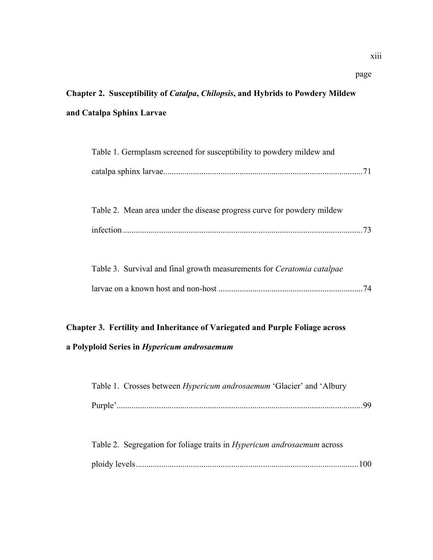# **Chapter 2. Susceptibility of** *Catalpa***,** *Chilopsis***, and Hybrids to Powdery Mildew and Catalpa Sphinx Larvae**

page

| Table 1. Germplasm screened for susceptibility to powdery mildew and          |    |
|-------------------------------------------------------------------------------|----|
|                                                                               |    |
|                                                                               |    |
| Table 2. Mean area under the disease progress curve for powdery mildew        |    |
|                                                                               | 73 |
|                                                                               |    |
| Table 3. Survival and final growth measurements for <i>Ceratomia catalpae</i> |    |
|                                                                               | 74 |

# **Chapter 3. Fertility and Inheritance of Variegated and Purple Foliage across**

### **a Polyploid Series in** *Hypericum androsaemum*

|         | Table 1. Crosses between <i>Hypericum androsaemum</i> 'Glacier' and 'Albury |  |  |
|---------|-----------------------------------------------------------------------------|--|--|
| Purple' |                                                                             |  |  |

|  | Table 2. Segregation for foliage traits in <i>Hypericum androsaemum</i> across |  |
|--|--------------------------------------------------------------------------------|--|
|  |                                                                                |  |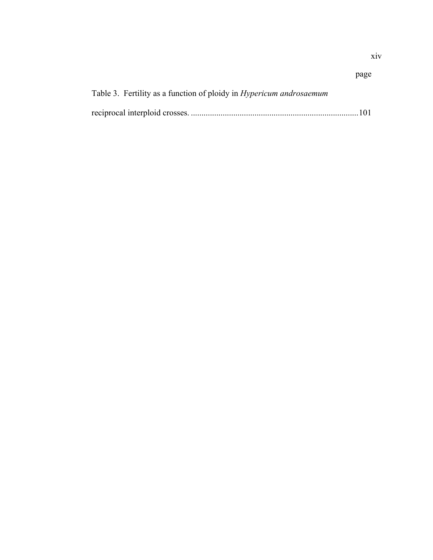# page Table 3. Fertility as a function of ploidy in *Hypericum androsaemum*  reciprocal interploid crosses. ...............................................................................101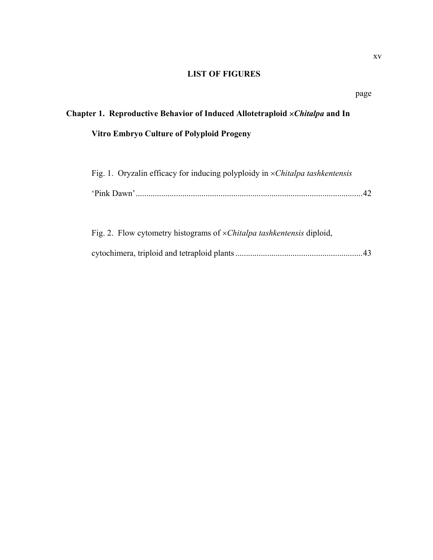### **LIST OF FIGURES**

# **Chapter 1. Reproductive Behavior of Induced Allotetraploid** ×*Chitalpa* **and In Vitro Embryo Culture of Polyploid Progeny**

| Fig. 1. Oryzalin efficacy for inducing polyploidy in $\times Chitalpa$ tashkentensis |    |
|--------------------------------------------------------------------------------------|----|
|                                                                                      | 42 |
| Fig. 2. Flow cytometry histograms of $\times Childpa$ tashkentensis diploid,         |    |
|                                                                                      |    |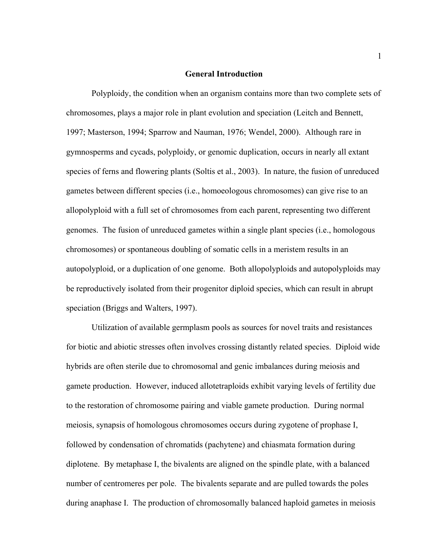#### **General Introduction**

 Polyploidy, the condition when an organism contains more than two complete sets of chromosomes, plays a major role in plant evolution and speciation (Leitch and Bennett, 1997; Masterson, 1994; Sparrow and Nauman, 1976; Wendel, 2000). Although rare in gymnosperms and cycads, polyploidy, or genomic duplication, occurs in nearly all extant species of ferns and flowering plants (Soltis et al., 2003). In nature, the fusion of unreduced gametes between different species (i.e., homoeologous chromosomes) can give rise to an allopolyploid with a full set of chromosomes from each parent, representing two different genomes. The fusion of unreduced gametes within a single plant species (i.e., homologous chromosomes) or spontaneous doubling of somatic cells in a meristem results in an autopolyploid, or a duplication of one genome. Both allopolyploids and autopolyploids may be reproductively isolated from their progenitor diploid species, which can result in abrupt speciation (Briggs and Walters, 1997).

 Utilization of available germplasm pools as sources for novel traits and resistances for biotic and abiotic stresses often involves crossing distantly related species. Diploid wide hybrids are often sterile due to chromosomal and genic imbalances during meiosis and gamete production. However, induced allotetraploids exhibit varying levels of fertility due to the restoration of chromosome pairing and viable gamete production. During normal meiosis, synapsis of homologous chromosomes occurs during zygotene of prophase I, followed by condensation of chromatids (pachytene) and chiasmata formation during diplotene. By metaphase I, the bivalents are aligned on the spindle plate, with a balanced number of centromeres per pole. The bivalents separate and are pulled towards the poles during anaphase I. The production of chromosomally balanced haploid gametes in meiosis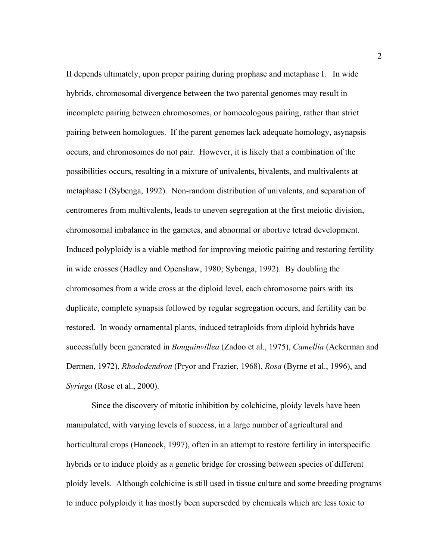II depends ultimately, upon proper pairing during prophase and metaphase I. In wide hybrids, chromosomal divergence between the two parental genomes may result in incomplete pairing between chromosomes, or homoeologous pairing, rather than strict pairing between homologues. If the parent genomes lack adequate homology, asynapsis occurs, and chromosomes do not pair. However, it is likely that a combination of the possibilities occurs, resulting in a mixture of univalents, bivalents, and multivalents at metaphase I (Sybenga, 1992). Non-random distribution of univalents, and separation of centromeres from multivalents, leads to uneven segregation at the first meiotic division, chromosomal imbalance in the gametes, and abnormal or abortive tetrad development. Induced polyploidy is a viable method for improving meiotic pairing and restoring fertility in wide crosses (Hadley and Openshaw, 1980; Sybenga, 1992). By doubling the chromosomes from a wide cross at the diploid level, each chromosome pairs with its duplicate, complete synapsis followed by regular segregation occurs, and fertility can be restored. In woody ornamental plants, induced tetraploids from diploid hybrids have successfully been generated in *Bougainvillea* (Zadoo et al., 1975), *Camellia* (Ackerman and Dermen, 1972), *Rhododendron* (Pryor and Frazier, 1968), *Rosa* (Byrne et al., 1996), and *Syringa* (Rose et al., 2000).

 Since the discovery of mitotic inhibition by colchicine, ploidy levels have been manipulated, with varying levels of success, in a large number of agricultural and horticultural crops (Hancock, 1997), often in an attempt to restore fertility in interspecific hybrids or to induce ploidy as a genetic bridge for crossing between species of different ploidy levels. Although colchicine is still used in tissue culture and some breeding programs to induce polyploidy it has mostly been superseded by chemicals which are less toxic to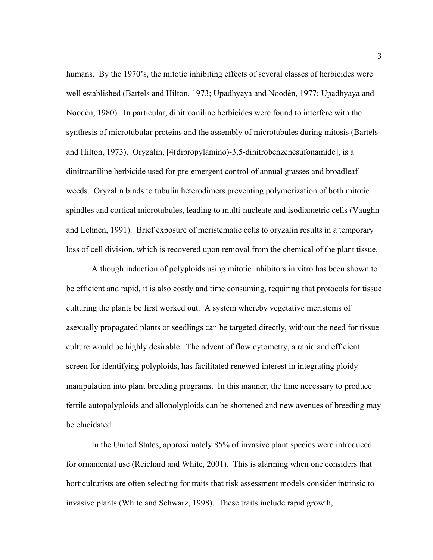humans. By the 1970's, the mitotic inhibiting effects of several classes of herbicides were well established (Bartels and Hilton, 1973; Upadhyaya and Noodèn, 1977; Upadhyaya and Noodèn, 1980). In particular, dinitroaniline herbicides were found to interfere with the synthesis of microtubular proteins and the assembly of microtubules during mitosis (Bartels and Hilton, 1973). Oryzalin, [4(dipropylamino)-3,5-dinitrobenzenesufonamide], is a dinitroaniline herbicide used for pre-emergent control of annual grasses and broadleaf weeds. Oryzalin binds to tubulin heterodimers preventing polymerization of both mitotic spindles and cortical microtubules, leading to multi-nucleate and isodiametric cells (Vaughn and Lehnen, 1991). Brief exposure of meristematic cells to oryzalin results in a temporary loss of cell division, which is recovered upon removal from the chemical of the plant tissue.

 Although induction of polyploids using mitotic inhibitors in vitro has been shown to be efficient and rapid, it is also costly and time consuming, requiring that protocols for tissue culturing the plants be first worked out. A system whereby vegetative meristems of asexually propagated plants or seedlings can be targeted directly, without the need for tissue culture would be highly desirable. The advent of flow cytometry, a rapid and efficient screen for identifying polyploids, has facilitated renewed interest in integrating ploidy manipulation into plant breeding programs. In this manner, the time necessary to produce fertile autopolyploids and allopolyploids can be shortened and new avenues of breeding may be elucidated.

 In the United States, approximately 85% of invasive plant species were introduced for ornamental use (Reichard and White, 2001). This is alarming when one considers that horticulturists are often selecting for traits that risk assessment models consider intrinsic to invasive plants (White and Schwarz, 1998). These traits include rapid growth,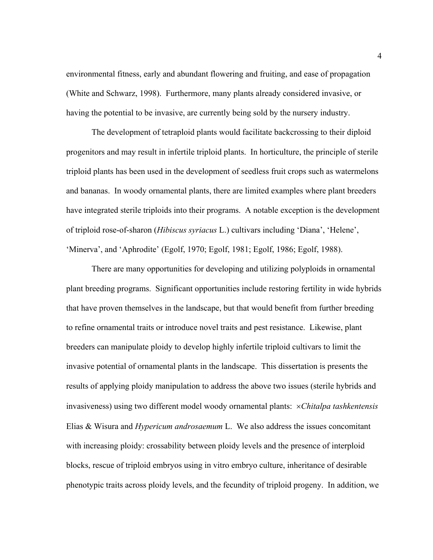environmental fitness, early and abundant flowering and fruiting, and ease of propagation (White and Schwarz, 1998). Furthermore, many plants already considered invasive, or having the potential to be invasive, are currently being sold by the nursery industry.

 The development of tetraploid plants would facilitate backcrossing to their diploid progenitors and may result in infertile triploid plants. In horticulture, the principle of sterile triploid plants has been used in the development of seedless fruit crops such as watermelons and bananas. In woody ornamental plants, there are limited examples where plant breeders have integrated sterile triploids into their programs. A notable exception is the development of triploid rose-of-sharon (*Hibiscus syriacus* L.) cultivars including 'Diana', 'Helene', 'Minerva', and 'Aphrodite' (Egolf, 1970; Egolf, 1981; Egolf, 1986; Egolf, 1988).

 There are many opportunities for developing and utilizing polyploids in ornamental plant breeding programs. Significant opportunities include restoring fertility in wide hybrids that have proven themselves in the landscape, but that would benefit from further breeding to refine ornamental traits or introduce novel traits and pest resistance. Likewise, plant breeders can manipulate ploidy to develop highly infertile triploid cultivars to limit the invasive potential of ornamental plants in the landscape. This dissertation is presents the results of applying ploidy manipulation to address the above two issues (sterile hybrids and invasiveness) using two different model woody ornamental plants: ×*Chitalpa tashkentensis* Elias & Wisura and *Hypericum androsaemum* L. We also address the issues concomitant with increasing ploidy: crossability between ploidy levels and the presence of interploid blocks, rescue of triploid embryos using in vitro embryo culture, inheritance of desirable phenotypic traits across ploidy levels, and the fecundity of triploid progeny. In addition, we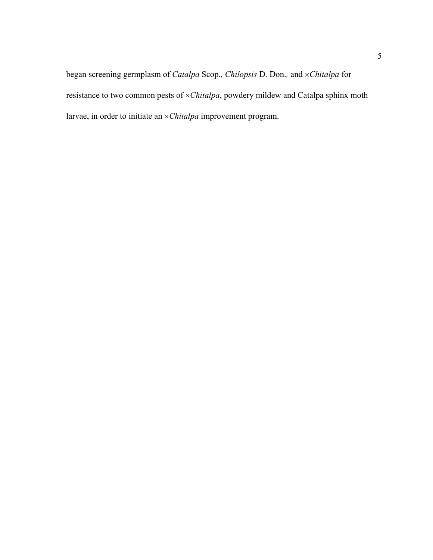began screening germplasm of *Catalpa* Scop.*, Chilopsis* D. Don.*,* and ×*Chitalpa* for resistance to two common pests of ×*Chitalpa*, powdery mildew and Catalpa sphinx moth larvae, in order to initiate an ×*Chitalpa* improvement program.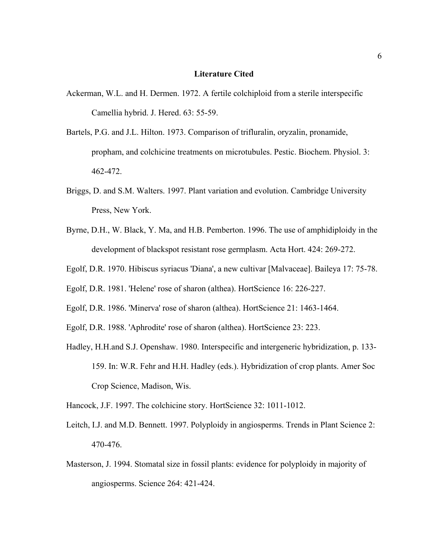### **Literature Cited**

- Ackerman, W.L. and H. Dermen. 1972. A fertile colchiploid from a sterile interspecific Camellia hybrid. J. Hered. 63: 55-59.
- Bartels, P.G. and J.L. Hilton. 1973. Comparison of trifluralin, oryzalin, pronamide, propham, and colchicine treatments on microtubules. Pestic. Biochem. Physiol. 3: 462-472.
- Briggs, D. and S.M. Walters. 1997. Plant variation and evolution. Cambridge University Press, New York.
- Byrne, D.H., W. Black, Y. Ma, and H.B. Pemberton. 1996. The use of amphidiploidy in the development of blackspot resistant rose germplasm. Acta Hort. 424: 269-272.
- Egolf, D.R. 1970. Hibiscus syriacus 'Diana', a new cultivar [Malvaceae]. Baileya 17: 75-78.
- Egolf, D.R. 1981. 'Helene' rose of sharon (althea). HortScience 16: 226-227.
- Egolf, D.R. 1986. 'Minerva' rose of sharon (althea). HortScience 21: 1463-1464.
- Egolf, D.R. 1988. 'Aphrodite' rose of sharon (althea). HortScience 23: 223.
- Hadley, H.H.and S.J. Openshaw. 1980. Interspecific and intergeneric hybridization, p. 133- 159. In: W.R. Fehr and H.H. Hadley (eds.). Hybridization of crop plants. Amer Soc Crop Science, Madison, Wis.

Hancock, J.F. 1997. The colchicine story. HortScience 32: 1011-1012.

- Leitch, I.J. and M.D. Bennett. 1997. Polyploidy in angiosperms. Trends in Plant Science 2: 470-476.
- Masterson, J. 1994. Stomatal size in fossil plants: evidence for polyploidy in majority of angiosperms. Science 264: 421-424.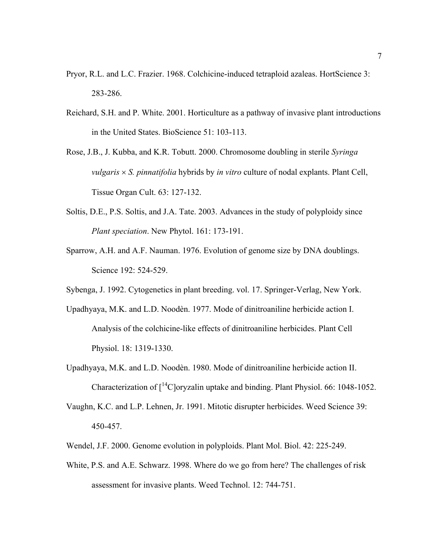- Pryor, R.L. and L.C. Frazier. 1968. Colchicine-induced tetraploid azaleas. HortScience 3: 283-286.
- Reichard, S.H. and P. White. 2001. Horticulture as a pathway of invasive plant introductions in the United States. BioScience 51: 103-113.
- Rose, J.B., J. Kubba, and K.R. Tobutt. 2000. Chromosome doubling in sterile *Syringa vulgaris* × *S. pinnatifolia* hybrids by *in vitro* culture of nodal explants. Plant Cell, Tissue Organ Cult. 63: 127-132.
- Soltis, D.E., P.S. Soltis, and J.A. Tate. 2003. Advances in the study of polyploidy since *Plant speciation*. New Phytol. 161: 173-191.
- Sparrow, A.H. and A.F. Nauman. 1976. Evolution of genome size by DNA doublings. Science 192: 524-529.
- Sybenga, J. 1992. Cytogenetics in plant breeding. vol. 17. Springer-Verlag, New York.
- Upadhyaya, M.K. and L.D. Noodèn. 1977. Mode of dinitroaniline herbicide action I. Analysis of the colchicine-like effects of dinitroaniline herbicides. Plant Cell Physiol. 18: 1319-1330.
- Upadhyaya, M.K. and L.D. Noodèn. 1980. Mode of dinitroaniline herbicide action II. Characterization of  $\int_1^{14}$ C oryzalin uptake and binding. Plant Physiol. 66: 1048-1052.
- Vaughn, K.C. and L.P. Lehnen, Jr. 1991. Mitotic disrupter herbicides. Weed Science 39: 450-457.
- Wendel, J.F. 2000. Genome evolution in polyploids. Plant Mol. Biol. 42: 225-249.
- White, P.S. and A.E. Schwarz. 1998. Where do we go from here? The challenges of risk assessment for invasive plants. Weed Technol. 12: 744-751.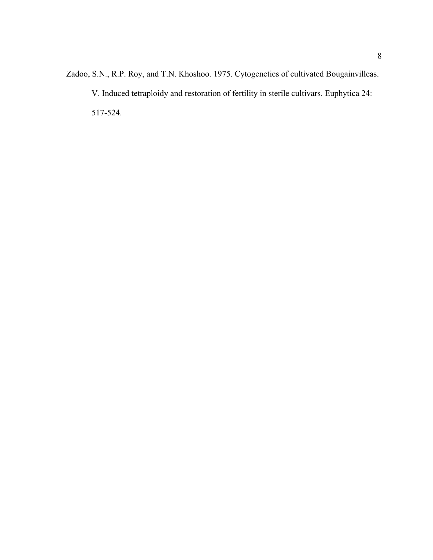Zadoo, S.N., R.P. Roy, and T.N. Khoshoo. 1975. Cytogenetics of cultivated Bougainvilleas. V. Induced tetraploidy and restoration of fertility in sterile cultivars. Euphytica 24: 517-524.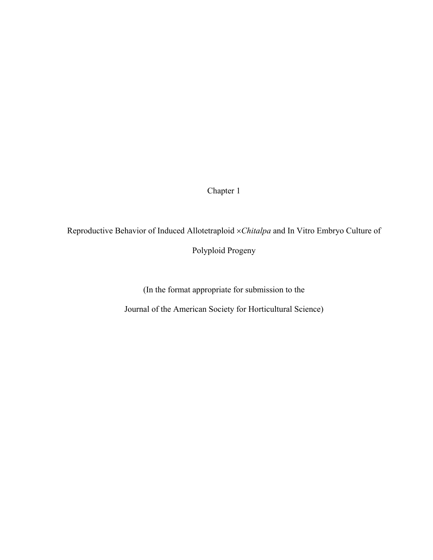Chapter 1

Reproductive Behavior of Induced Allotetraploid ×*Chitalpa* and In Vitro Embryo Culture of

Polyploid Progeny

(In the format appropriate for submission to the

Journal of the American Society for Horticultural Science)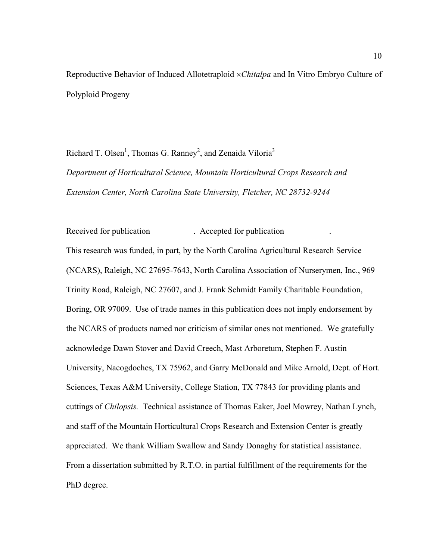Reproductive Behavior of Induced Allotetraploid ×*Chitalpa* and In Vitro Embryo Culture of Polyploid Progeny

Richard T. Olsen<sup>1</sup>, Thomas G. Ranney<sup>2</sup>, and Zenaida Viloria<sup>3</sup> *Department of Horticultural Science, Mountain Horticultural Crops Research and Extension Center, North Carolina State University, Fletcher, NC 28732-9244* 

Received for publication . Accepted for publication . This research was funded, in part, by the North Carolina Agricultural Research Service (NCARS), Raleigh, NC 27695-7643, North Carolina Association of Nurserymen, Inc., 969 Trinity Road, Raleigh, NC 27607, and J. Frank Schmidt Family Charitable Foundation, Boring, OR 97009. Use of trade names in this publication does not imply endorsement by the NCARS of products named nor criticism of similar ones not mentioned. We gratefully acknowledge Dawn Stover and David Creech, Mast Arboretum, Stephen F. Austin University, Nacogdoches, TX 75962, and Garry McDonald and Mike Arnold, Dept. of Hort. Sciences, Texas A&M University, College Station, TX 77843 for providing plants and cuttings of *Chilopsis.* Technical assistance of Thomas Eaker, Joel Mowrey, Nathan Lynch, and staff of the Mountain Horticultural Crops Research and Extension Center is greatly appreciated. We thank William Swallow and Sandy Donaghy for statistical assistance. From a dissertation submitted by R.T.O. in partial fulfillment of the requirements for the PhD degree.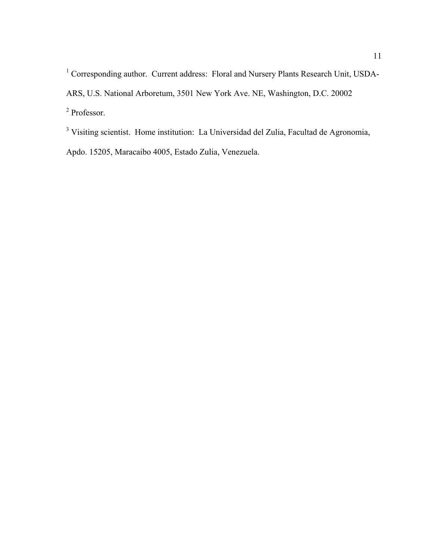<sup>1</sup> Corresponding author. Current address: Floral and Nursery Plants Research Unit, USDA-ARS, U.S. National Arboretum, 3501 New York Ave. NE, Washington, D.C. 20002 2 Professor.

<sup>3</sup> Visiting scientist. Home institution: La Universidad del Zulia, Facultad de Agronomia, Apdo. 15205, Maracaibo 4005, Estado Zulia, Venezuela.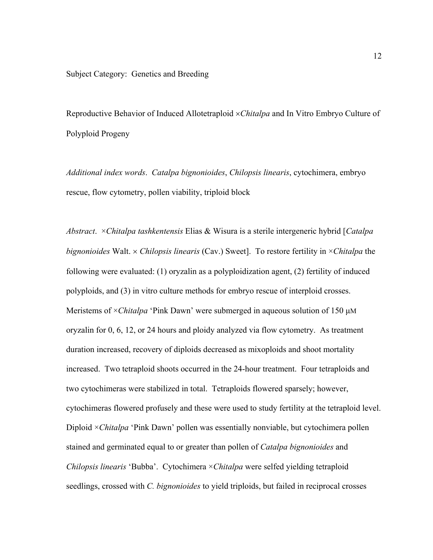### Subject Category: Genetics and Breeding

Reproductive Behavior of Induced Allotetraploid ×*Chitalpa* and In Vitro Embryo Culture of Polyploid Progeny

*Additional index words*. *Catalpa bignonioides*, *Chilopsis linearis*, cytochimera, embryo rescue, flow cytometry, pollen viability, triploid block

*Abstract*. ×*Chitalpa tashkentensis* Elias & Wisura is a sterile intergeneric hybrid [*Catalpa bignonioides* Walt. × *Chilopsis linearis* (Cav.) Sweet]. To restore fertility in ×*Chitalpa* the following were evaluated: (1) oryzalin as a polyploidization agent, (2) fertility of induced polyploids, and (3) in vitro culture methods for embryo rescue of interploid crosses. Meristems of ×*Chitalpa* 'Pink Dawn' were submerged in aqueous solution of 150 µM oryzalin for 0, 6, 12, or 24 hours and ploidy analyzed via flow cytometry. As treatment duration increased, recovery of diploids decreased as mixoploids and shoot mortality increased. Two tetraploid shoots occurred in the 24-hour treatment. Four tetraploids and two cytochimeras were stabilized in total. Tetraploids flowered sparsely; however, cytochimeras flowered profusely and these were used to study fertility at the tetraploid level. Diploid ×*Chitalpa* 'Pink Dawn' pollen was essentially nonviable, but cytochimera pollen stained and germinated equal to or greater than pollen of *Catalpa bignonioides* and *Chilopsis linearis* 'Bubba'. Cytochimera ×*Chitalpa* were selfed yielding tetraploid seedlings, crossed with *C. bignonioides* to yield triploids, but failed in reciprocal crosses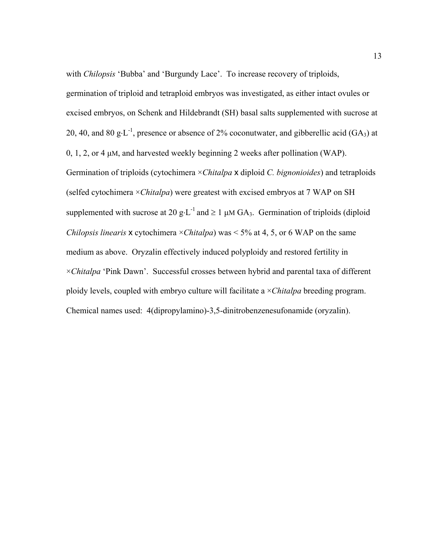with *Chilopsis* 'Bubba' and 'Burgundy Lace'. To increase recovery of triploids, germination of triploid and tetraploid embryos was investigated, as either intact ovules or excised embryos, on Schenk and Hildebrandt (SH) basal salts supplemented with sucrose at 20, 40, and 80 g⋅L<sup>-1</sup>, presence or absence of 2% coconutwater, and gibberellic acid (GA<sub>3</sub>) at 0, 1, 2, or 4 µM, and harvested weekly beginning 2 weeks after pollination (WAP). Germination of triploids (cytochimera ×*Chitalpa* x diploid *C. bignonioides*) and tetraploids (selfed cytochimera ×*Chitalpa*) were greatest with excised embryos at 7 WAP on SH supplemented with sucrose at 20 g⋅L<sup>-1</sup> and  $\geq$  1 µM GA<sub>3</sub>. Germination of triploids (diploid *Chilopsis linearis* **x** cytochimera  $\times$ *Chitalpa*) was  $\times$  5% at 4, 5, or 6 WAP on the same medium as above. Oryzalin effectively induced polyploidy and restored fertility in ×*Chitalpa* 'Pink Dawn'. Successful crosses between hybrid and parental taxa of different ploidy levels, coupled with embryo culture will facilitate a ×*Chitalpa* breeding program. Chemical names used: 4(dipropylamino)-3,5-dinitrobenzenesufonamide (oryzalin).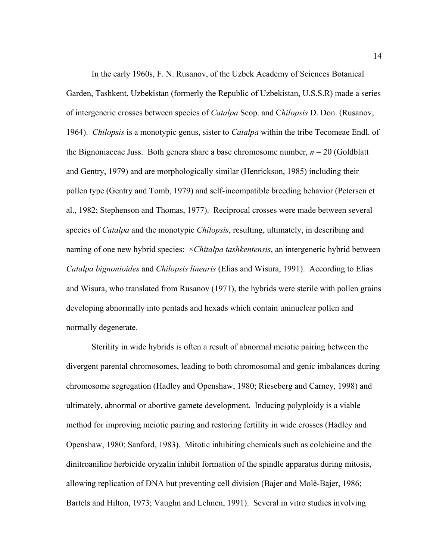In the early 1960s, F. N. Rusanov, of the Uzbek Academy of Sciences Botanical Garden, Tashkent, Uzbekistan (formerly the Republic of Uzbekistan, U.S.S.R) made a series of intergeneric crosses between species of *Catalpa* Scop. and C*hilopsis* D. Don. (Rusanov, 1964). *Chilopsis* is a monotypic genus, sister to *Catalpa* within the tribe Tecomeae Endl. of the Bignoniaceae Juss. Both genera share a base chromosome number,  $n = 20$  (Goldblatt and Gentry, 1979) and are morphologically similar (Henrickson, 1985) including their pollen type (Gentry and Tomb, 1979) and self-incompatible breeding behavior (Petersen et al., 1982; Stephenson and Thomas, 1977). Reciprocal crosses were made between several species of *Catalpa* and the monotypic *Chilopsis*, resulting, ultimately, in describing and naming of one new hybrid species: ×*Chitalpa tashkentensis*, an intergeneric hybrid between *Catalpa bignonioides* and *Chilopsis linearis* (Elias and Wisura, 1991). According to Elias and Wisura, who translated from Rusanov (1971), the hybrids were sterile with pollen grains developing abnormally into pentads and hexads which contain uninuclear pollen and normally degenerate.

 Sterility in wide hybrids is often a result of abnormal meiotic pairing between the divergent parental chromosomes, leading to both chromosomal and genic imbalances during chromosome segregation (Hadley and Openshaw, 1980; Rieseberg and Carney, 1998) and ultimately, abnormal or abortive gamete development. Inducing polyploidy is a viable method for improving meiotic pairing and restoring fertility in wide crosses (Hadley and Openshaw, 1980; Sanford, 1983). Mitotic inhibiting chemicals such as colchicine and the dinitroaniline herbicide oryzalin inhibit formation of the spindle apparatus during mitosis, allowing replication of DNA but preventing cell division (Bajer and Molè-Bajer, 1986; Bartels and Hilton, 1973; Vaughn and Lehnen, 1991). Several in vitro studies involving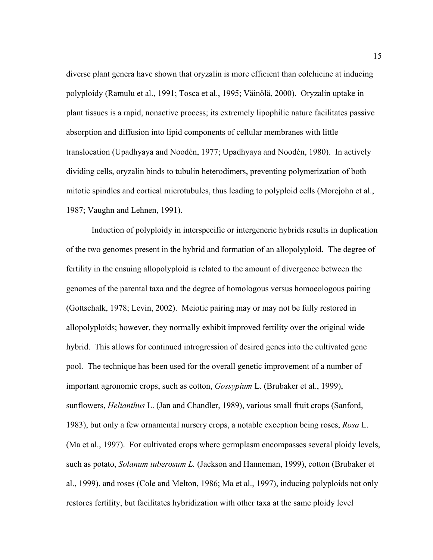diverse plant genera have shown that oryzalin is more efficient than colchicine at inducing polyploidy (Ramulu et al., 1991; Tosca et al., 1995; Väinölä, 2000). Oryzalin uptake in plant tissues is a rapid, nonactive process; its extremely lipophilic nature facilitates passive absorption and diffusion into lipid components of cellular membranes with little translocation (Upadhyaya and Noodèn, 1977; Upadhyaya and Noodèn, 1980). In actively dividing cells, oryzalin binds to tubulin heterodimers, preventing polymerization of both mitotic spindles and cortical microtubules, thus leading to polyploid cells (Morejohn et al., 1987; Vaughn and Lehnen, 1991).

 Induction of polyploidy in interspecific or intergeneric hybrids results in duplication of the two genomes present in the hybrid and formation of an allopolyploid. The degree of fertility in the ensuing allopolyploid is related to the amount of divergence between the genomes of the parental taxa and the degree of homologous versus homoeologous pairing (Gottschalk, 1978; Levin, 2002). Meiotic pairing may or may not be fully restored in allopolyploids; however, they normally exhibit improved fertility over the original wide hybrid. This allows for continued introgression of desired genes into the cultivated gene pool. The technique has been used for the overall genetic improvement of a number of important agronomic crops, such as cotton, *Gossypium* L. (Brubaker et al., 1999), sunflowers, *Helianthus* L. (Jan and Chandler, 1989), various small fruit crops (Sanford, 1983), but only a few ornamental nursery crops, a notable exception being roses, *Rosa* L. (Ma et al., 1997). For cultivated crops where germplasm encompasses several ploidy levels, such as potato, *Solanum tuberosum L.* (Jackson and Hanneman, 1999), cotton (Brubaker et al., 1999), and roses (Cole and Melton, 1986; Ma et al., 1997), inducing polyploids not only restores fertility, but facilitates hybridization with other taxa at the same ploidy level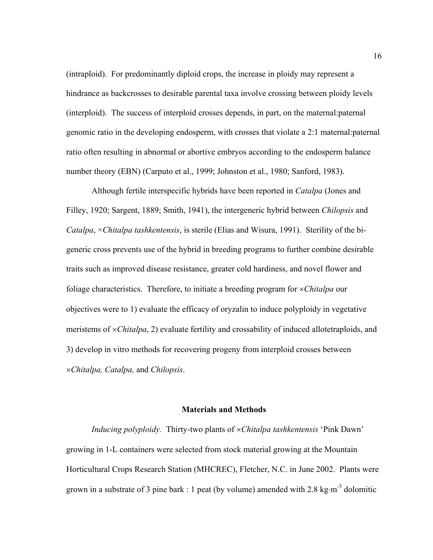(intraploid). For predominantly diploid crops, the increase in ploidy may represent a hindrance as backcrosses to desirable parental taxa involve crossing between ploidy levels (interploid). The success of interploid crosses depends, in part, on the maternal:paternal genomic ratio in the developing endosperm, with crosses that violate a 2:1 maternal:paternal ratio often resulting in abnormal or abortive embryos according to the endosperm balance number theory (EBN) (Carputo et al., 1999; Johnston et al., 1980; Sanford, 1983).

 Although fertile interspecific hybrids have been reported in *Catalpa* (Jones and Filley, 1920; Sargent, 1889; Smith, 1941), the intergeneric hybrid between *Chilopsis* and *Catalpa*, ×*Chitalpa tashkentensis*, is sterile (Elias and Wisura, 1991). Sterility of the bigeneric cross prevents use of the hybrid in breeding programs to further combine desirable traits such as improved disease resistance, greater cold hardiness, and novel flower and foliage characteristics. Therefore, to initiate a breeding program for ×*Chitalpa* our objectives were to 1) evaluate the efficacy of oryzalin to induce polyploidy in vegetative meristems of ×*Chitalpa*, 2) evaluate fertility and crossability of induced allotetraploids, and 3) develop in vitro methods for recovering progeny from interploid crosses between ×*Chitalpa, Catalpa,* and *Chilopsis*.

### **Materials and Methods**

 *Inducing polyploidy.* Thirty-two plants of ×*Chitalpa tashkentensis* 'Pink Dawn' growing in 1-L containers were selected from stock material growing at the Mountain Horticultural Crops Research Station (MHCREC), Fletcher, N.C. in June 2002. Plants were grown in a substrate of 3 pine bark : 1 peat (by volume) amended with 2.8 kg⋅m<sup>-3</sup> dolomitic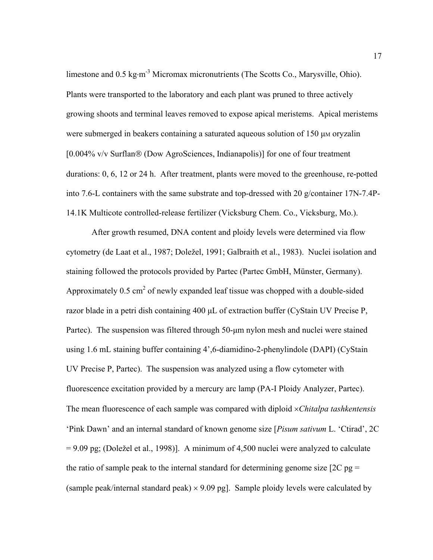limestone and 0.5 kg⋅m-3 Micromax micronutrients (The Scotts Co., Marysville, Ohio). Plants were transported to the laboratory and each plant was pruned to three actively growing shoots and terminal leaves removed to expose apical meristems. Apical meristems were submerged in beakers containing a saturated aqueous solution of 150 µm oryzalin [0.004% v/v Surflan® (Dow AgroSciences, Indianapolis)] for one of four treatment durations: 0, 6, 12 or 24 h. After treatment, plants were moved to the greenhouse, re-potted into 7.6-L containers with the same substrate and top-dressed with 20 g/container 17N-7.4P-14.1K Multicote controlled-release fertilizer (Vicksburg Chem. Co., Vicksburg, Mo.).

 After growth resumed, DNA content and ploidy levels were determined via flow cytometry (de Laat et al., 1987; Doležel, 1991; Galbraith et al., 1983). Nuclei isolation and staining followed the protocols provided by Partec (Partec GmbH, Münster, Germany). Approximately 0.5 cm<sup>2</sup> of newly expanded leaf tissue was chopped with a double-sided razor blade in a petri dish containing 400 µL of extraction buffer (CyStain UV Precise P, Partec). The suspension was filtered through 50-µm nylon mesh and nuclei were stained using 1.6 mL staining buffer containing 4',6-diamidino-2-phenylindole (DAPI) (CyStain UV Precise P, Partec). The suspension was analyzed using a flow cytometer with fluorescence excitation provided by a mercury arc lamp (PA-I Ploidy Analyzer, Partec). The mean fluorescence of each sample was compared with diploid ×*Chitalpa tashkentensis*  'Pink Dawn' and an internal standard of known genome size [*Pisum sativum* L. 'Ctirad', 2C = 9.09 pg; (Doležel et al., 1998)]. A minimum of 4,500 nuclei were analyzed to calculate the ratio of sample peak to the internal standard for determining genome size  $[2C$  pg = (sample peak/internal standard peak)  $\times$  9.09 pg]. Sample ploidy levels were calculated by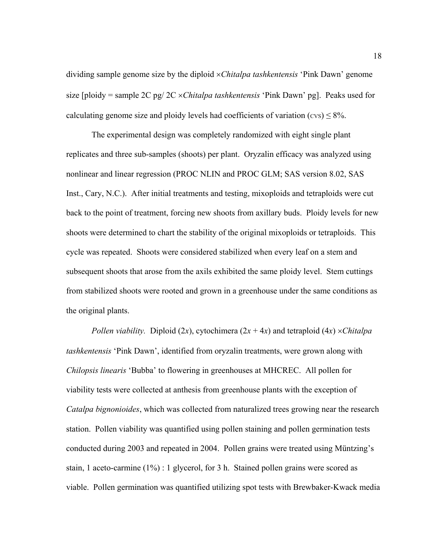dividing sample genome size by the diploid ×*Chitalpa tashkentensis* 'Pink Dawn' genome size [ploidy = sample 2C pg/ 2C ×*Chitalpa tashkentensis* 'Pink Dawn' pg]. Peaks used for calculating genome size and ploidy levels had coefficients of variation ( $\cos$ )  $\leq$  8%.

 The experimental design was completely randomized with eight single plant replicates and three sub-samples (shoots) per plant. Oryzalin efficacy was analyzed using nonlinear and linear regression (PROC NLIN and PROC GLM; SAS version 8.02, SAS Inst., Cary, N.C.). After initial treatments and testing, mixoploids and tetraploids were cut back to the point of treatment, forcing new shoots from axillary buds. Ploidy levels for new shoots were determined to chart the stability of the original mixoploids or tetraploids. This cycle was repeated. Shoots were considered stabilized when every leaf on a stem and subsequent shoots that arose from the axils exhibited the same ploidy level. Stem cuttings from stabilized shoots were rooted and grown in a greenhouse under the same conditions as the original plants.

*Pollen viability.* Diploid (2*x*), cytochimera (2*x* + 4*x*) and tetraploid (4*x*) ×*Chitalpa tashkentensis* 'Pink Dawn', identified from oryzalin treatments, were grown along with *Chilopsis linearis* 'Bubba' to flowering in greenhouses at MHCREC. All pollen for viability tests were collected at anthesis from greenhouse plants with the exception of *Catalpa bignonioides*, which was collected from naturalized trees growing near the research station. Pollen viability was quantified using pollen staining and pollen germination tests conducted during 2003 and repeated in 2004. Pollen grains were treated using Müntzing's stain, 1 aceto-carmine (1%) : 1 glycerol, for 3 h. Stained pollen grains were scored as viable. Pollen germination was quantified utilizing spot tests with Brewbaker-Kwack media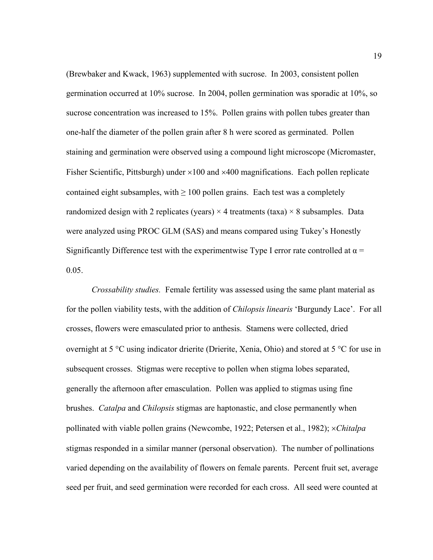(Brewbaker and Kwack, 1963) supplemented with sucrose. In 2003, consistent pollen germination occurred at 10% sucrose. In 2004, pollen germination was sporadic at 10%, so sucrose concentration was increased to 15%. Pollen grains with pollen tubes greater than one-half the diameter of the pollen grain after 8 h were scored as germinated. Pollen staining and germination were observed using a compound light microscope (Micromaster, Fisher Scientific, Pittsburgh) under  $\times$ 100 and  $\times$ 400 magnifications. Each pollen replicate contained eight subsamples, with  $\geq 100$  pollen grains. Each test was a completely randomized design with 2 replicates (years)  $\times$  4 treatments (taxa)  $\times$  8 subsamples. Data were analyzed using PROC GLM (SAS) and means compared using Tukey's Honestly Significantly Difference test with the experimentwise Type I error rate controlled at  $\alpha$  = 0.05.

*Crossability studies.* Female fertility was assessed using the same plant material as for the pollen viability tests, with the addition of *Chilopsis linearis* 'Burgundy Lace'. For all crosses, flowers were emasculated prior to anthesis. Stamens were collected, dried overnight at 5 °C using indicator drierite (Drierite, Xenia, Ohio) and stored at 5 °C for use in subsequent crosses. Stigmas were receptive to pollen when stigma lobes separated, generally the afternoon after emasculation. Pollen was applied to stigmas using fine brushes. *Catalpa* and *Chilopsis* stigmas are haptonastic, and close permanently when pollinated with viable pollen grains (Newcombe, 1922; Petersen et al., 1982); ×*Chitalpa*  stigmas responded in a similar manner (personal observation). The number of pollinations varied depending on the availability of flowers on female parents. Percent fruit set, average seed per fruit, and seed germination were recorded for each cross. All seed were counted at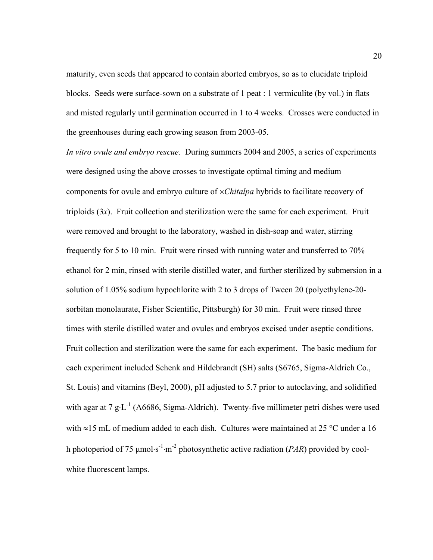maturity, even seeds that appeared to contain aborted embryos, so as to elucidate triploid blocks. Seeds were surface-sown on a substrate of 1 peat : 1 vermiculite (by vol.) in flats and misted regularly until germination occurred in 1 to 4 weeks. Crosses were conducted in the greenhouses during each growing season from 2003-05.

*In vitro ovule and embryo rescue.* During summers 2004 and 2005, a series of experiments were designed using the above crosses to investigate optimal timing and medium components for ovule and embryo culture of ×*Chitalpa* hybrids to facilitate recovery of triploids (3*x*). Fruit collection and sterilization were the same for each experiment. Fruit were removed and brought to the laboratory, washed in dish-soap and water, stirring frequently for 5 to 10 min. Fruit were rinsed with running water and transferred to 70% ethanol for 2 min, rinsed with sterile distilled water, and further sterilized by submersion in a solution of 1.05% sodium hypochlorite with 2 to 3 drops of Tween 20 (polyethylene-20 sorbitan monolaurate, Fisher Scientific, Pittsburgh) for 30 min. Fruit were rinsed three times with sterile distilled water and ovules and embryos excised under aseptic conditions. Fruit collection and sterilization were the same for each experiment. The basic medium for each experiment included Schenk and Hildebrandt (SH) salts (S6765, Sigma-Aldrich Co., St. Louis) and vitamins (Beyl, 2000), pH adjusted to 5.7 prior to autoclaving, and solidified with agar at 7  $g \cdot L^{-1}$  (A6686, Sigma-Aldrich). Twenty-five millimeter petri dishes were used with ≈15 mL of medium added to each dish. Cultures were maintained at 25 °C under a 16 h photoperiod of 75 µmol⋅s -1⋅m -2 photosynthetic active radiation (*PAR*) provided by coolwhite fluorescent lamps.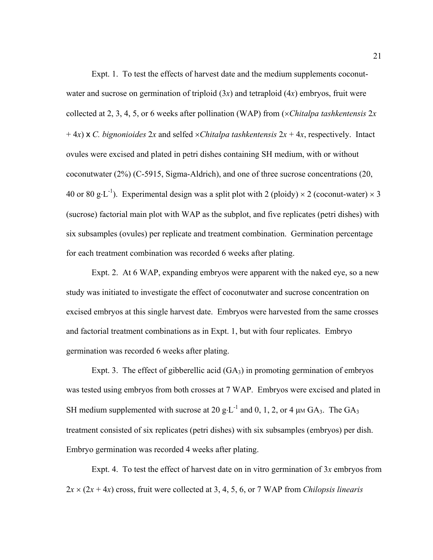Expt. 1. To test the effects of harvest date and the medium supplements coconutwater and sucrose on germination of triploid (3*x*) and tetraploid (4*x*) embryos, fruit were collected at 2, 3, 4, 5, or 6 weeks after pollination (WAP) from (×*Chitalpa tashkentensis* 2*x*   $+ 4x$ ) x *C. bignonioides* 2*x* and selfed  $\times$ *Chitalpa tashkentensis* 2*x* + 4*x*, respectively. Intact ovules were excised and plated in petri dishes containing SH medium, with or without coconutwater (2%) (C-5915, Sigma-Aldrich), and one of three sucrose concentrations (20, 40 or 80 g⋅L<sup>-1</sup>). Experimental design was a split plot with 2 (ploidy)  $\times$  2 (coconut-water)  $\times$  3 (sucrose) factorial main plot with WAP as the subplot, and five replicates (petri dishes) with six subsamples (ovules) per replicate and treatment combination. Germination percentage for each treatment combination was recorded 6 weeks after plating.

 Expt. 2. At 6 WAP, expanding embryos were apparent with the naked eye, so a new study was initiated to investigate the effect of coconutwater and sucrose concentration on excised embryos at this single harvest date. Embryos were harvested from the same crosses and factorial treatment combinations as in Expt. 1, but with four replicates. Embryo germination was recorded 6 weeks after plating.

Expt. 3. The effect of gibberellic acid  $(GA_3)$  in promoting germination of embryos was tested using embryos from both crosses at 7 WAP. Embryos were excised and plated in SH medium supplemented with sucrose at 20 g⋅L<sup>-1</sup> and 0, 1, 2, or 4  $\mu$ M GA<sub>3</sub>. The GA<sub>3</sub> treatment consisted of six replicates (petri dishes) with six subsamples (embryos) per dish. Embryo germination was recorded 4 weeks after plating.

 Expt. 4. To test the effect of harvest date on in vitro germination of 3*x* embryos from  $2x \times (2x + 4x)$  cross, fruit were collected at 3, 4, 5, 6, or 7 WAP from *Chilopsis linearis*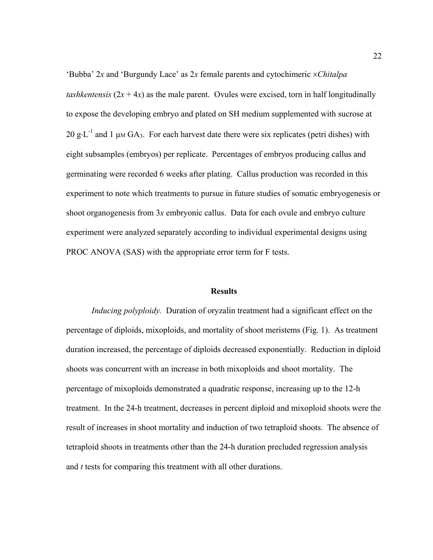'Bubba' 2*x* and 'Burgundy Lace' as 2*x* female parents and cytochimeric ×*Chitalpa tashkentensis*  $(2x + 4x)$  as the male parent. Ovules were excised, torn in half longitudinally to expose the developing embryo and plated on SH medium supplemented with sucrose at 20 g⋅L<sup>-1</sup> and 1 μM GA<sub>3</sub>. For each harvest date there were six replicates (petri dishes) with eight subsamples (embryos) per replicate. Percentages of embryos producing callus and germinating were recorded 6 weeks after plating. Callus production was recorded in this experiment to note which treatments to pursue in future studies of somatic embryogenesis or shoot organogenesis from 3*x* embryonic callus. Data for each ovule and embryo culture experiment were analyzed separately according to individual experimental designs using PROC ANOVA (SAS) with the appropriate error term for F tests.

## **Results**

*Inducing polyploidy.* Duration of oryzalin treatment had a significant effect on the percentage of diploids, mixoploids, and mortality of shoot meristems (Fig. 1). As treatment duration increased, the percentage of diploids decreased exponentially. Reduction in diploid shoots was concurrent with an increase in both mixoploids and shoot mortality. The percentage of mixoploids demonstrated a quadratic response, increasing up to the 12-h treatment. In the 24-h treatment, decreases in percent diploid and mixoploid shoots were the result of increases in shoot mortality and induction of two tetraploid shoots. The absence of tetraploid shoots in treatments other than the 24-h duration precluded regression analysis and *t* tests for comparing this treatment with all other durations.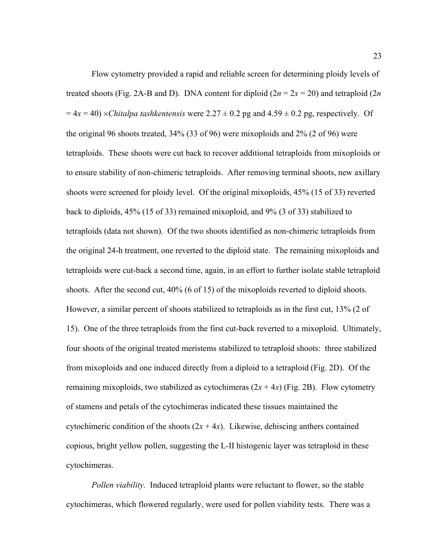Flow cytometry provided a rapid and reliable screen for determining ploidy levels of treated shoots (Fig. 2A-B and D). DNA content for diploid  $(2n = 2x = 20)$  and tetraploid  $(2n)$  $= 4x = 40$ ) ×*Chitalpa tashkentensis* were  $2.27 \pm 0.2$  pg and  $4.59 \pm 0.2$  pg, respectively. Of the original 96 shoots treated, 34% (33 of 96) were mixoploids and 2% (2 of 96) were tetraploids. These shoots were cut back to recover additional tetraploids from mixoploids or to ensure stability of non-chimeric tetraploids. After removing terminal shoots, new axillary shoots were screened for ploidy level. Of the original mixoploids, 45% (15 of 33) reverted back to diploids, 45% (15 of 33) remained mixoploid, and 9% (3 of 33) stabilized to tetraploids (data not shown). Of the two shoots identified as non-chimeric tetraploids from the original 24-h treatment, one reverted to the diploid state. The remaining mixoploids and tetraploids were cut-back a second time, again, in an effort to further isolate stable tetraploid shoots. After the second cut, 40% (6 of 15) of the mixoploids reverted to diploid shoots. However, a similar percent of shoots stabilized to tetraploids as in the first cut, 13% (2 of 15). One of the three tetraploids from the first cut-back reverted to a mixoploid. Ultimately, four shoots of the original treated meristems stabilized to tetraploid shoots: three stabilized from mixoploids and one induced directly from a diploid to a tetraploid (Fig. 2D). Of the remaining mixoploids, two stabilized as cytochimeras  $(2x + 4x)$  (Fig. 2B). Flow cytometry of stamens and petals of the cytochimeras indicated these tissues maintained the cytochimeric condition of the shoots  $(2x + 4x)$ . Likewise, dehiscing anthers contained copious, bright yellow pollen, suggesting the L-II histogenic layer was tetraploid in these cytochimeras.

*Pollen viability.* Induced tetraploid plants were reluctant to flower, so the stable cytochimeras, which flowered regularly, were used for pollen viability tests. There was a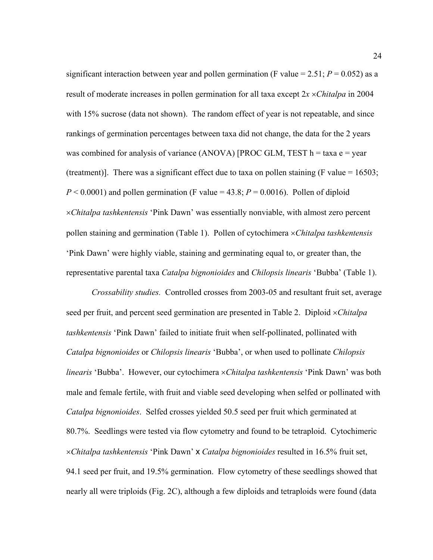significant interaction between year and pollen germination (F value =  $2.51$ ;  $P = 0.052$ ) as a result of moderate increases in pollen germination for all taxa except 2*x* ×*Chitalpa* in 2004 with 15% sucrose (data not shown). The random effect of year is not repeatable, and since rankings of germination percentages between taxa did not change, the data for the 2 years was combined for analysis of variance (ANOVA) [PROC GLM, TEST  $h = \tan a e = \text{year}$ (treatment)]. There was a significant effect due to taxa on pollen staining (F value =  $16503$ ;  $P < 0.0001$ ) and pollen germination (F value = 43.8;  $P = 0.0016$ ). Pollen of diploid ×*Chitalpa tashkentensis* 'Pink Dawn' was essentially nonviable, with almost zero percent pollen staining and germination (Table 1). Pollen of cytochimera ×*Chitalpa tashkentensis*  'Pink Dawn' were highly viable, staining and germinating equal to, or greater than, the representative parental taxa *Catalpa bignonioides* and *Chilopsis linearis* 'Bubba' (Table 1).

*Crossability studies.* Controlled crosses from 2003-05 and resultant fruit set, average seed per fruit, and percent seed germination are presented in Table 2. Diploid ×*Chitalpa tashkentensis* 'Pink Dawn' failed to initiate fruit when self-pollinated, pollinated with *Catalpa bignonioides* or *Chilopsis linearis* 'Bubba', or when used to pollinate *Chilopsis linearis* 'Bubba'. However, our cytochimera ×*Chitalpa tashkentensis* 'Pink Dawn' was both male and female fertile, with fruit and viable seed developing when selfed or pollinated with *Catalpa bignonioides*. Selfed crosses yielded 50.5 seed per fruit which germinated at 80.7%. Seedlings were tested via flow cytometry and found to be tetraploid. Cytochimeric ×*Chitalpa tashkentensis* 'Pink Dawn' x *Catalpa bignonioides* resulted in 16.5% fruit set, 94.1 seed per fruit, and 19.5% germination. Flow cytometry of these seedlings showed that nearly all were triploids (Fig. 2C), although a few diploids and tetraploids were found (data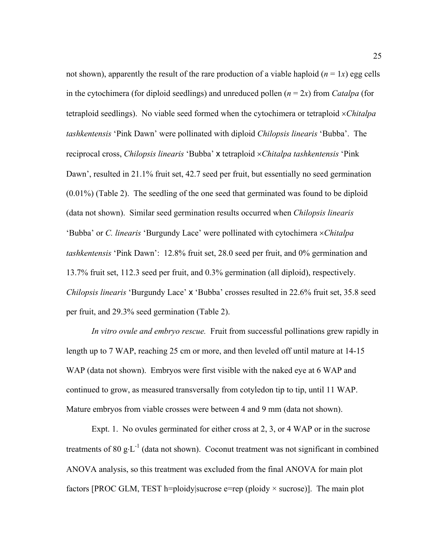not shown), apparently the result of the rare production of a viable haploid  $(n = 1x)$  egg cells in the cytochimera (for diploid seedlings) and unreduced pollen  $(n = 2x)$  from *Catalpa* (for tetraploid seedlings). No viable seed formed when the cytochimera or tetraploid ×*Chitalpa tashkentensis* 'Pink Dawn' were pollinated with diploid *Chilopsis linearis* 'Bubba'. The reciprocal cross, *Chilopsis linearis* 'Bubba' x tetraploid ×*Chitalpa tashkentensis* 'Pink Dawn', resulted in 21.1% fruit set, 42.7 seed per fruit, but essentially no seed germination (0.01%) (Table 2). The seedling of the one seed that germinated was found to be diploid (data not shown). Similar seed germination results occurred when *Chilopsis linearis* 'Bubba' or *C. linearis* 'Burgundy Lace' were pollinated with cytochimera ×*Chitalpa tashkentensis* 'Pink Dawn': 12.8% fruit set, 28.0 seed per fruit, and 0% germination and 13.7% fruit set, 112.3 seed per fruit, and 0.3% germination (all diploid), respectively. *Chilopsis linearis* 'Burgundy Lace' x 'Bubba' crosses resulted in 22.6% fruit set, 35.8 seed per fruit, and 29.3% seed germination (Table 2).

*In vitro ovule and embryo rescue.* Fruit from successful pollinations grew rapidly in length up to 7 WAP, reaching 25 cm or more, and then leveled off until mature at 14-15 WAP (data not shown). Embryos were first visible with the naked eye at 6 WAP and continued to grow, as measured transversally from cotyledon tip to tip, until 11 WAP. Mature embryos from viable crosses were between 4 and 9 mm (data not shown).

 Expt. 1. No ovules germinated for either cross at 2, 3, or 4 WAP or in the sucrose treatments of 80 g⋅L<sup>-1</sup> (data not shown). Coconut treatment was not significant in combined ANOVA analysis, so this treatment was excluded from the final ANOVA for main plot factors [PROC GLM, TEST h=ploidy|sucrose e=rep (ploidy  $\times$  sucrose)]. The main plot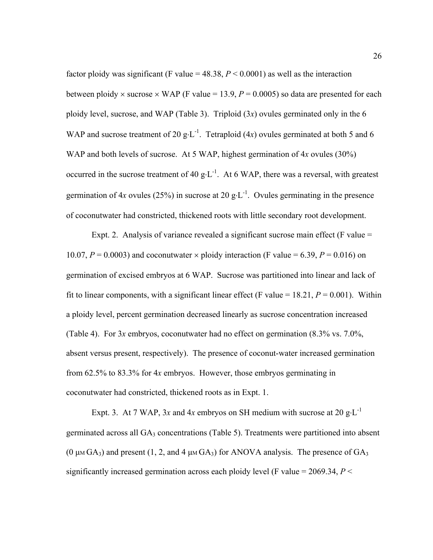factor ploidy was significant (F value =  $48.38$ ,  $P < 0.0001$ ) as well as the interaction between ploidy  $\times$  sucrose  $\times$  WAP (F value = 13.9,  $P = 0.0005$ ) so data are presented for each ploidy level, sucrose, and WAP (Table 3). Triploid (3*x*) ovules germinated only in the 6 WAP and sucrose treatment of 20 g⋅L<sup>-1</sup>. Tetraploid (4x) ovules germinated at both 5 and 6 WAP and both levels of sucrose. At 5 WAP, highest germination of 4*x* ovules (30%) occurred in the sucrose treatment of 40 g⋅L<sup>-1</sup>. At 6 WAP, there was a reversal, with greatest germination of  $4x$  ovules (25%) in sucrose at 20 g⋅L<sup>-1</sup>. Ovules germinating in the presence of coconutwater had constricted, thickened roots with little secondary root development.

Expt. 2. Analysis of variance revealed a significant sucrose main effect (F value = 10.07,  $P = 0.0003$ ) and coconutwater  $\times$  ploidy interaction (F value = 6.39,  $P = 0.016$ ) on germination of excised embryos at 6 WAP. Sucrose was partitioned into linear and lack of fit to linear components, with a significant linear effect (F value  $= 18.21$ ,  $P = 0.001$ ). Within a ploidy level, percent germination decreased linearly as sucrose concentration increased (Table 4). For 3*x* embryos, coconutwater had no effect on germination (8.3% vs. 7.0%, absent versus present, respectively). The presence of coconut-water increased germination from 62.5% to 83.3% for 4*x* embryos. However, those embryos germinating in coconutwater had constricted, thickened roots as in Expt. 1.

Expt. 3. At 7 WAP, 3x and 4x embryos on SH medium with sucrose at 20 g⋅L<sup>-1</sup> germinated across all  $GA_3$  concentrations (Table 5). Treatments were partitioned into absent (0  $\mu$ M GA<sub>3</sub>) and present (1, 2, and 4  $\mu$ M GA<sub>3</sub>) for ANOVA analysis. The presence of GA<sub>3</sub> significantly increased germination across each ploidy level (F value = 2069.34, *P* <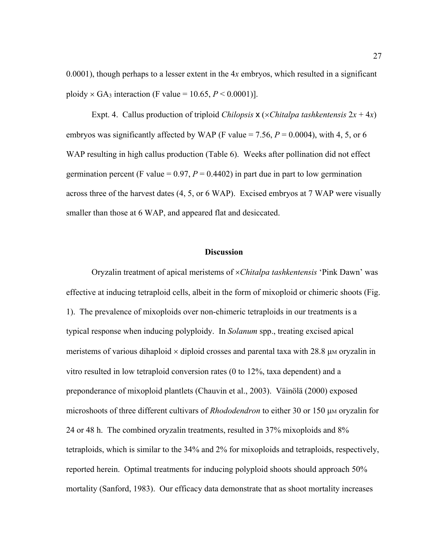0.0001), though perhaps to a lesser extent in the 4*x* embryos, which resulted in a significant ploidy  $\times$  GA<sub>3</sub> interaction (F value = 10.65,  $P \le 0.0001$ )].

Expt. 4. Callus production of triploid *Chilopsis*  $x$  (*×Chitalpa tashkentensis*  $2x + 4x$ ) embryos was significantly affected by WAP (F value  $= 7.56$ ,  $P = 0.0004$ ), with 4, 5, or 6 WAP resulting in high callus production (Table 6). Weeks after pollination did not effect germination percent (F value =  $0.97$ ,  $P = 0.4402$ ) in part due in part to low germination across three of the harvest dates (4, 5, or 6 WAP). Excised embryos at 7 WAP were visually smaller than those at 6 WAP, and appeared flat and desiccated.

## **Discussion**

Oryzalin treatment of apical meristems of ×*Chitalpa tashkentensis* 'Pink Dawn' was effective at inducing tetraploid cells, albeit in the form of mixoploid or chimeric shoots (Fig. 1). The prevalence of mixoploids over non-chimeric tetraploids in our treatments is a typical response when inducing polyploidy. In *Solanum* spp., treating excised apical meristems of various dihaploid  $\times$  diploid crosses and parental taxa with 28.8  $\mu$ M oryzalin in vitro resulted in low tetraploid conversion rates (0 to 12%, taxa dependent) and a preponderance of mixoploid plantlets (Chauvin et al., 2003). Väinölä (2000) exposed microshoots of three different cultivars of *Rhododendron* to either 30 or 150 µm oryzalin for 24 or 48 h. The combined oryzalin treatments, resulted in 37% mixoploids and 8% tetraploids, which is similar to the 34% and 2% for mixoploids and tetraploids, respectively, reported herein. Optimal treatments for inducing polyploid shoots should approach 50% mortality (Sanford, 1983). Our efficacy data demonstrate that as shoot mortality increases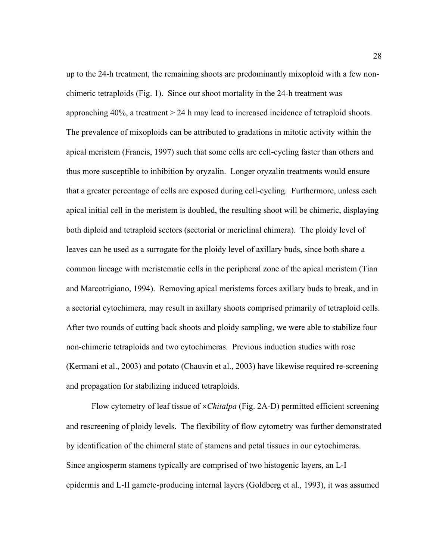up to the 24-h treatment, the remaining shoots are predominantly mixoploid with a few nonchimeric tetraploids (Fig. 1). Since our shoot mortality in the 24-h treatment was approaching 40%, a treatment > 24 h may lead to increased incidence of tetraploid shoots. The prevalence of mixoploids can be attributed to gradations in mitotic activity within the apical meristem (Francis, 1997) such that some cells are cell-cycling faster than others and thus more susceptible to inhibition by oryzalin. Longer oryzalin treatments would ensure that a greater percentage of cells are exposed during cell-cycling. Furthermore, unless each apical initial cell in the meristem is doubled, the resulting shoot will be chimeric, displaying both diploid and tetraploid sectors (sectorial or mericlinal chimera). The ploidy level of leaves can be used as a surrogate for the ploidy level of axillary buds, since both share a common lineage with meristematic cells in the peripheral zone of the apical meristem (Tian and Marcotrigiano, 1994). Removing apical meristems forces axillary buds to break, and in a sectorial cytochimera, may result in axillary shoots comprised primarily of tetraploid cells. After two rounds of cutting back shoots and ploidy sampling, we were able to stabilize four non-chimeric tetraploids and two cytochimeras. Previous induction studies with rose (Kermani et al., 2003) and potato (Chauvin et al., 2003) have likewise required re-screening and propagation for stabilizing induced tetraploids.

 Flow cytometry of leaf tissue of ×*Chitalpa* (Fig. 2A-D) permitted efficient screening and rescreening of ploidy levels. The flexibility of flow cytometry was further demonstrated by identification of the chimeral state of stamens and petal tissues in our cytochimeras. Since angiosperm stamens typically are comprised of two histogenic layers, an L-I epidermis and L-II gamete-producing internal layers (Goldberg et al., 1993), it was assumed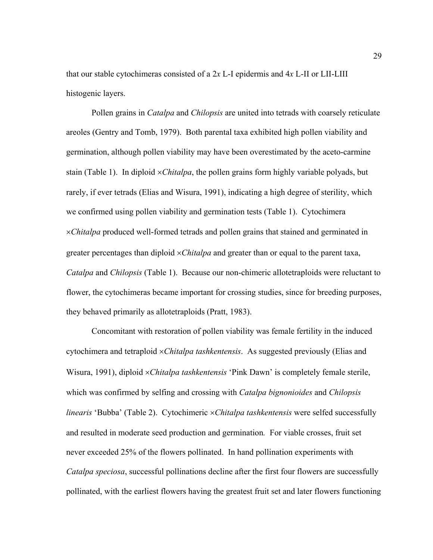that our stable cytochimeras consisted of a 2*x* L-I epidermis and 4*x* L-II or LII-LIII histogenic layers.

 Pollen grains in *Catalpa* and *Chilopsis* are united into tetrads with coarsely reticulate areoles (Gentry and Tomb, 1979). Both parental taxa exhibited high pollen viability and germination, although pollen viability may have been overestimated by the aceto-carmine stain (Table 1). In diploid ×*Chitalpa*, the pollen grains form highly variable polyads, but rarely, if ever tetrads (Elias and Wisura, 1991), indicating a high degree of sterility, which we confirmed using pollen viability and germination tests (Table 1). Cytochimera ×*Chitalpa* produced well-formed tetrads and pollen grains that stained and germinated in greater percentages than diploid ×*Chitalpa* and greater than or equal to the parent taxa, *Catalpa* and *Chilopsis* (Table 1). Because our non-chimeric allotetraploids were reluctant to flower, the cytochimeras became important for crossing studies, since for breeding purposes, they behaved primarily as allotetraploids (Pratt, 1983).

 Concomitant with restoration of pollen viability was female fertility in the induced cytochimera and tetraploid ×*Chitalpa tashkentensis*. As suggested previously (Elias and Wisura, 1991), diploid ×*Chitalpa tashkentensis* 'Pink Dawn' is completely female sterile, which was confirmed by selfing and crossing with *Catalpa bignonioides* and *Chilopsis linearis* 'Bubba' (Table 2). Cytochimeric ×*Chitalpa tashkentensis* were selfed successfully and resulted in moderate seed production and germination*.* For viable crosses, fruit set never exceeded 25% of the flowers pollinated. In hand pollination experiments with *Catalpa speciosa*, successful pollinations decline after the first four flowers are successfully pollinated, with the earliest flowers having the greatest fruit set and later flowers functioning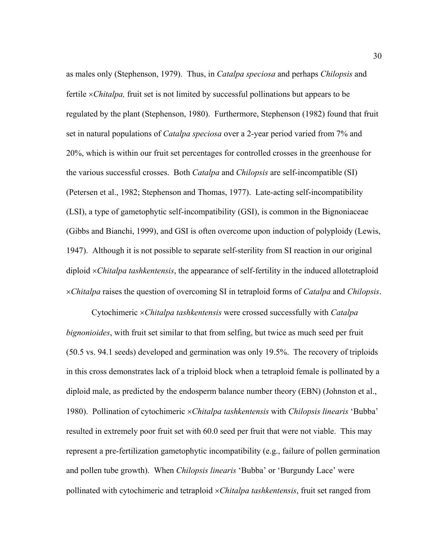as males only (Stephenson, 1979). Thus, in *Catalpa speciosa* and perhaps *Chilopsis* and fertile ×*Chitalpa,* fruit set is not limited by successful pollinations but appears to be regulated by the plant (Stephenson, 1980). Furthermore, Stephenson (1982) found that fruit set in natural populations of *Catalpa speciosa* over a 2-year period varied from 7% and 20%, which is within our fruit set percentages for controlled crosses in the greenhouse for the various successful crosses. Both *Catalpa* and *Chilopsis* are self-incompatible (SI) (Petersen et al., 1982; Stephenson and Thomas, 1977). Late-acting self-incompatibility (LSI), a type of gametophytic self-incompatibility (GSI), is common in the Bignoniaceae (Gibbs and Bianchi, 1999), and GSI is often overcome upon induction of polyploidy (Lewis, 1947). Although it is not possible to separate self-sterility from SI reaction in our original diploid ×*Chitalpa tashkentensis*, the appearance of self-fertility in the induced allotetraploid ×*Chitalpa* raises the question of overcoming SI in tetraploid forms of *Catalpa* and *Chilopsis*.

 Cytochimeric ×*Chitalpa tashkentensis* were crossed successfully with *Catalpa bignonioides*, with fruit set similar to that from selfing, but twice as much seed per fruit (50.5 vs. 94.1 seeds) developed and germination was only 19.5%. The recovery of triploids in this cross demonstrates lack of a triploid block when a tetraploid female is pollinated by a diploid male, as predicted by the endosperm balance number theory (EBN) (Johnston et al., 1980). Pollination of cytochimeric ×*Chitalpa tashkentensis* with *Chilopsis linearis* 'Bubba' resulted in extremely poor fruit set with 60.0 seed per fruit that were not viable. This may represent a pre-fertilization gametophytic incompatibility (e.g., failure of pollen germination and pollen tube growth). When *Chilopsis linearis* 'Bubba' or 'Burgundy Lace' were pollinated with cytochimeric and tetraploid ×*Chitalpa tashkentensis*, fruit set ranged from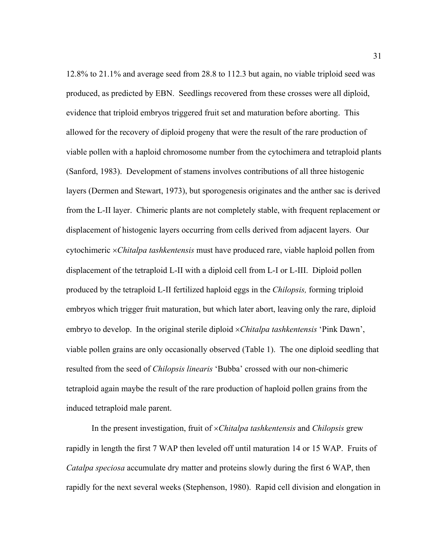12.8% to 21.1% and average seed from 28.8 to 112.3 but again, no viable triploid seed was produced, as predicted by EBN. Seedlings recovered from these crosses were all diploid, evidence that triploid embryos triggered fruit set and maturation before aborting. This allowed for the recovery of diploid progeny that were the result of the rare production of viable pollen with a haploid chromosome number from the cytochimera and tetraploid plants (Sanford, 1983). Development of stamens involves contributions of all three histogenic layers (Dermen and Stewart, 1973), but sporogenesis originates and the anther sac is derived from the L-II layer. Chimeric plants are not completely stable, with frequent replacement or displacement of histogenic layers occurring from cells derived from adjacent layers. Our cytochimeric ×*Chitalpa tashkentensis* must have produced rare, viable haploid pollen from displacement of the tetraploid L-II with a diploid cell from L-I or L-III. Diploid pollen produced by the tetraploid L-II fertilized haploid eggs in the *Chilopsis,* forming triploid embryos which trigger fruit maturation, but which later abort, leaving only the rare, diploid embryo to develop. In the original sterile diploid ×*Chitalpa tashkentensis* 'Pink Dawn', viable pollen grains are only occasionally observed (Table 1). The one diploid seedling that resulted from the seed of *Chilopsis linearis* 'Bubba' crossed with our non-chimeric tetraploid again maybe the result of the rare production of haploid pollen grains from the induced tetraploid male parent.

 In the present investigation, fruit of ×*Chitalpa tashkentensis* and *Chilopsis* grew rapidly in length the first 7 WAP then leveled off until maturation 14 or 15 WAP. Fruits of *Catalpa speciosa* accumulate dry matter and proteins slowly during the first 6 WAP, then rapidly for the next several weeks (Stephenson, 1980). Rapid cell division and elongation in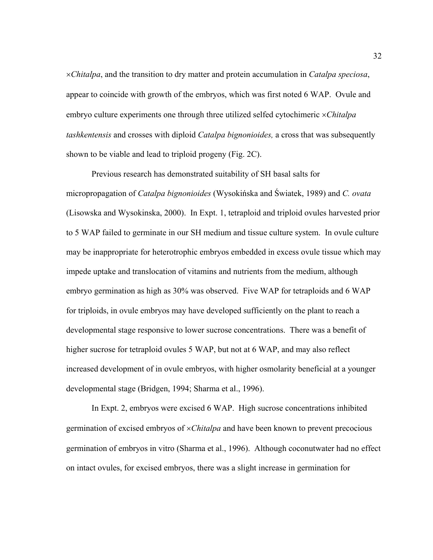×*Chitalpa*, and the transition to dry matter and protein accumulation in *Catalpa speciosa*, appear to coincide with growth of the embryos, which was first noted 6 WAP. Ovule and embryo culture experiments one through three utilized selfed cytochimeric ×*Chitalpa tashkentensis* and crosses with diploid *Catalpa bignonioides,* a cross that was subsequently shown to be viable and lead to triploid progeny (Fig. 2C).

 Previous research has demonstrated suitability of SH basal salts for micropropagation of *Catalpa bignonioides* (Wysokińska and Światek, 1989) and *C. ovata*  (Lisowska and Wysokinska, 2000). In Expt. 1, tetraploid and triploid ovules harvested prior to 5 WAP failed to germinate in our SH medium and tissue culture system. In ovule culture may be inappropriate for heterotrophic embryos embedded in excess ovule tissue which may impede uptake and translocation of vitamins and nutrients from the medium, although embryo germination as high as 30% was observed. Five WAP for tetraploids and 6 WAP for triploids, in ovule embryos may have developed sufficiently on the plant to reach a developmental stage responsive to lower sucrose concentrations. There was a benefit of higher sucrose for tetraploid ovules 5 WAP, but not at 6 WAP, and may also reflect increased development of in ovule embryos, with higher osmolarity beneficial at a younger developmental stage (Bridgen, 1994; Sharma et al., 1996).

 In Expt. 2, embryos were excised 6 WAP. High sucrose concentrations inhibited germination of excised embryos of ×*Chitalpa* and have been known to prevent precocious germination of embryos in vitro (Sharma et al., 1996). Although coconutwater had no effect on intact ovules, for excised embryos, there was a slight increase in germination for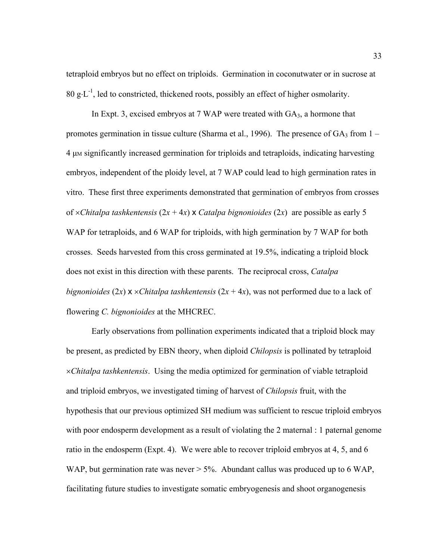tetraploid embryos but no effect on triploids. Germination in coconutwater or in sucrose at 80 g⋅L<sup>-1</sup>, led to constricted, thickened roots, possibly an effect of higher osmolarity.

In Expt. 3, excised embryos at 7 WAP were treated with  $GA_3$ , a hormone that promotes germination in tissue culture (Sharma et al., 1996). The presence of  $GA_3$  from  $1 -$ 4 µM significantly increased germination for triploids and tetraploids, indicating harvesting embryos, independent of the ploidy level, at 7 WAP could lead to high germination rates in vitro. These first three experiments demonstrated that germination of embryos from crosses of  $\times$ *Chitalpa tashkentensis*  $(2x + 4x) \times$ *Catalpa bignonioides*  $(2x)$  are possible as early 5 WAP for tetraploids, and 6 WAP for triploids, with high germination by 7 WAP for both crosses. Seeds harvested from this cross germinated at 19.5%, indicating a triploid block does not exist in this direction with these parents. The reciprocal cross, *Catalpa bignonioides* (2*x*)  $\times$  *×Chitalpa tashkentensis* (2*x* + 4*x*), was not performed due to a lack of flowering *C. bignonioides* at the MHCREC.

 Early observations from pollination experiments indicated that a triploid block may be present, as predicted by EBN theory, when diploid *Chilopsis* is pollinated by tetraploid ×*Chitalpa tashkentensis*. Using the media optimized for germination of viable tetraploid and triploid embryos, we investigated timing of harvest of *Chilopsis* fruit, with the hypothesis that our previous optimized SH medium was sufficient to rescue triploid embryos with poor endosperm development as a result of violating the 2 maternal : 1 paternal genome ratio in the endosperm (Expt. 4). We were able to recover triploid embryos at 4, 5, and 6 WAP, but germination rate was never  $> 5\%$ . Abundant callus was produced up to 6 WAP, facilitating future studies to investigate somatic embryogenesis and shoot organogenesis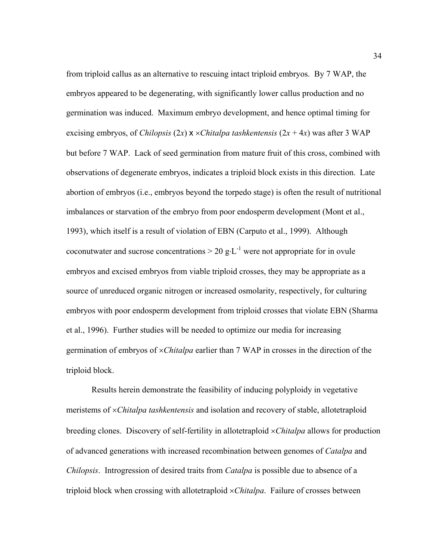from triploid callus as an alternative to rescuing intact triploid embryos. By 7 WAP, the embryos appeared to be degenerating, with significantly lower callus production and no germination was induced. Maximum embryo development, and hence optimal timing for excising embryos, of *Chilopsis*  $(2x) \times \times$ *Chitalpa tashkentensis*  $(2x + 4x)$  was after 3 WAP but before 7 WAP. Lack of seed germination from mature fruit of this cross, combined with observations of degenerate embryos, indicates a triploid block exists in this direction. Late abortion of embryos (i.e., embryos beyond the torpedo stage) is often the result of nutritional imbalances or starvation of the embryo from poor endosperm development (Mont et al., 1993), which itself is a result of violation of EBN (Carputo et al., 1999). Although coconutwater and sucrose concentrations  $> 20 \text{ g} \cdot L^{-1}$  were not appropriate for in ovule embryos and excised embryos from viable triploid crosses, they may be appropriate as a source of unreduced organic nitrogen or increased osmolarity, respectively, for culturing embryos with poor endosperm development from triploid crosses that violate EBN (Sharma et al., 1996). Further studies will be needed to optimize our media for increasing germination of embryos of ×*Chitalpa* earlier than 7 WAP in crosses in the direction of the triploid block.

 Results herein demonstrate the feasibility of inducing polyploidy in vegetative meristems of ×*Chitalpa tashkentensis* and isolation and recovery of stable, allotetraploid breeding clones. Discovery of self-fertility in allotetraploid ×*Chitalpa* allows for production of advanced generations with increased recombination between genomes of *Catalpa* and *Chilopsis*. Introgression of desired traits from *Catalpa* is possible due to absence of a triploid block when crossing with allotetraploid ×*Chitalpa*. Failure of crosses between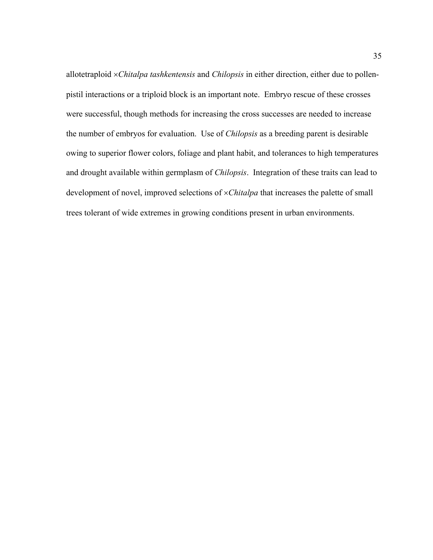allotetraploid ×*Chitalpa tashkentensis* and *Chilopsis* in either direction, either due to pollenpistil interactions or a triploid block is an important note. Embryo rescue of these crosses were successful, though methods for increasing the cross successes are needed to increase the number of embryos for evaluation. Use of *Chilopsis* as a breeding parent is desirable owing to superior flower colors, foliage and plant habit, and tolerances to high temperatures and drought available within germplasm of *Chilopsis*. Integration of these traits can lead to development of novel, improved selections of ×*Chitalpa* that increases the palette of small trees tolerant of wide extremes in growing conditions present in urban environments.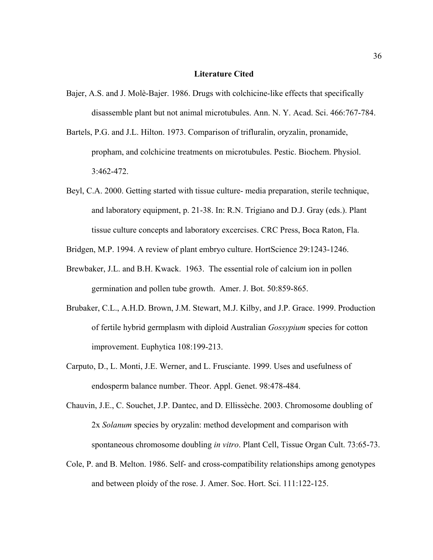## **Literature Cited**

- Bajer, A.S. and J. Molè-Bajer. 1986. Drugs with colchicine-like effects that specifically disassemble plant but not animal microtubules. Ann. N. Y. Acad. Sci. 466:767-784.
- Bartels, P.G. and J.L. Hilton. 1973. Comparison of trifluralin, oryzalin, pronamide, propham, and colchicine treatments on microtubules. Pestic. Biochem. Physiol. 3:462-472.
- Beyl, C.A. 2000. Getting started with tissue culture- media preparation, sterile technique, and laboratory equipment, p. 21-38. In: R.N. Trigiano and D.J. Gray (eds.). Plant tissue culture concepts and laboratory excercises. CRC Press, Boca Raton, Fla.

Bridgen, M.P. 1994. A review of plant embryo culture. HortScience 29:1243-1246.

- Brewbaker, J.L. and B.H. Kwack. 1963. The essential role of calcium ion in pollen germination and pollen tube growth. Amer. J. Bot. 50:859-865.
- Brubaker, C.L., A.H.D. Brown, J.M. Stewart, M.J. Kilby, and J.P. Grace. 1999. Production of fertile hybrid germplasm with diploid Australian *Gossypium* species for cotton improvement. Euphytica 108:199-213.
- Carputo, D., L. Monti, J.E. Werner, and L. Frusciante. 1999. Uses and usefulness of endosperm balance number. Theor. Appl. Genet. 98:478-484.
- Chauvin, J.E., C. Souchet, J.P. Dantec, and D. Ellissèche. 2003. Chromosome doubling of 2x *Solanum* species by oryzalin: method development and comparison with spontaneous chromosome doubling *in vitro*. Plant Cell, Tissue Organ Cult. 73:65-73.
- Cole, P. and B. Melton. 1986. Self- and cross-compatibility relationships among genotypes and between ploidy of the rose. J. Amer. Soc. Hort. Sci. 111:122-125.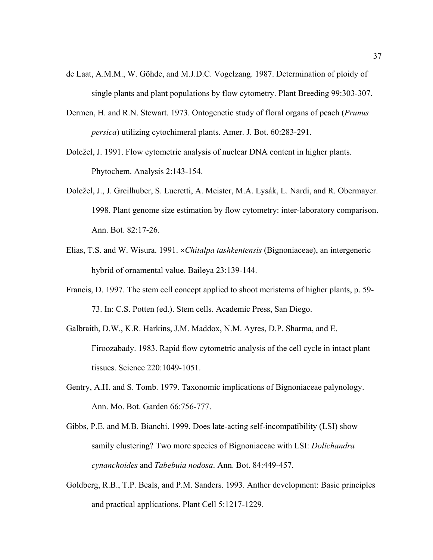- de Laat, A.M.M., W. Göhde, and M.J.D.C. Vogelzang. 1987. Determination of ploidy of single plants and plant populations by flow cytometry. Plant Breeding 99:303-307.
- Dermen, H. and R.N. Stewart. 1973. Ontogenetic study of floral organs of peach (*Prunus persica*) utilizing cytochimeral plants. Amer. J. Bot. 60:283-291.
- Doležel, J. 1991. Flow cytometric analysis of nuclear DNA content in higher plants. Phytochem. Analysis 2:143-154.
- Doležel, J., J. Greilhuber, S. Lucretti, A. Meister, M.A. Lysák, L. Nardi, and R. Obermayer. 1998. Plant genome size estimation by flow cytometry: inter-laboratory comparison. Ann. Bot. 82:17-26.
- Elias, T.S. and W. Wisura. 1991. ×*Chitalpa tashkentensis* (Bignoniaceae), an intergeneric hybrid of ornamental value. Baileya 23:139-144.
- Francis, D. 1997. The stem cell concept applied to shoot meristems of higher plants, p. 59- 73. In: C.S. Potten (ed.). Stem cells. Academic Press, San Diego.
- Galbraith, D.W., K.R. Harkins, J.M. Maddox, N.M. Ayres, D.P. Sharma, and E. Firoozabady. 1983. Rapid flow cytometric analysis of the cell cycle in intact plant tissues. Science 220:1049-1051.
- Gentry, A.H. and S. Tomb. 1979. Taxonomic implications of Bignoniaceae palynology. Ann. Mo. Bot. Garden 66:756-777.
- Gibbs, P.E. and M.B. Bianchi. 1999. Does late-acting self-incompatibility (LSI) show samily clustering? Two more species of Bignoniaceae with LSI: *Dolichandra cynanchoides* and *Tabebuia nodosa*. Ann. Bot. 84:449-457.
- Goldberg, R.B., T.P. Beals, and P.M. Sanders. 1993. Anther development: Basic principles and practical applications. Plant Cell 5:1217-1229.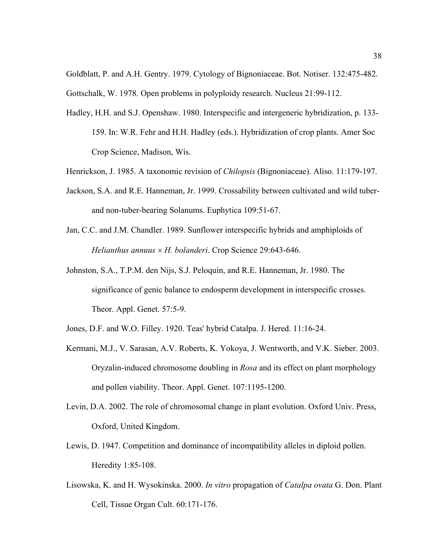Goldblatt, P. and A.H. Gentry. 1979. Cytology of Bignoniaceae. Bot. Notiser. 132:475-482. Gottschalk, W. 1978. Open problems in polyploidy research. Nucleus 21:99-112.

- Hadley, H.H. and S.J. Openshaw. 1980. Interspecific and intergeneric hybridization, p. 133- 159. In: W.R. Fehr and H.H. Hadley (eds.). Hybridization of crop plants. Amer Soc Crop Science, Madison, Wis.
- Henrickson, J. 1985. A taxonomic revision of *Chilopsis* (Bignoniaceae). Aliso. 11:179-197.
- Jackson, S.A. and R.E. Hanneman, Jr. 1999. Crossability between cultivated and wild tuberand non-tuber-bearing Solanums. Euphytica 109:51-67.
- Jan, C.C. and J.M. Chandler. 1989. Sunflower interspecific hybrids and amphiploids of *Helianthus annuus* × *H. bolanderi*. Crop Science 29:643-646.
- Johnston, S.A., T.P.M. den Nijs, S.J. Peloquin, and R.E. Hanneman, Jr. 1980. The significance of genic balance to endosperm development in interspecific crosses. Theor. Appl. Genet. 57:5-9.
- Jones, D.F. and W.O. Filley. 1920. Teas' hybrid Catalpa. J. Hered. 11:16-24.
- Kermani, M.J., V. Sarasan, A.V. Roberts, K. Yokoya, J. Wentworth, and V.K. Sieber. 2003. Oryzalin-induced chromosome doubling in *Rosa* and its effect on plant morphology and pollen viability. Theor. Appl. Genet. 107:1195-1200.
- Levin, D.A. 2002. The role of chromosomal change in plant evolution. Oxford Univ. Press, Oxford, United Kingdom.
- Lewis, D. 1947. Competition and dominance of incompatibility alleles in diploid pollen. Heredity 1:85-108.
- Lisowska, K. and H. Wysokinska. 2000. *In vitro* propagation of *Catalpa ovata* G. Don. Plant Cell, Tissue Organ Cult. 60:171-176.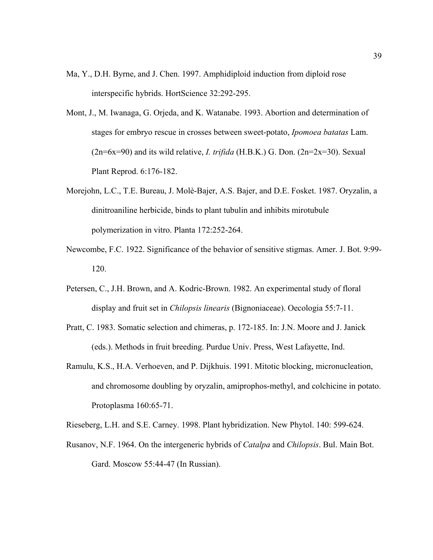- Ma, Y., D.H. Byrne, and J. Chen. 1997. Amphidiploid induction from diploid rose interspecific hybrids. HortScience 32:292-295.
- Mont, J., M. Iwanaga, G. Orjeda, and K. Watanabe. 1993. Abortion and determination of stages for embryo rescue in crosses between sweet-potato, *Ipomoea batatas* Lam. (2n=6x=90) and its wild relative, *I. trifida* (H.B.K.) G. Don. (2n=2x=30). Sexual Plant Reprod. 6:176-182.
- Morejohn, L.C., T.E. Bureau, J. Molè-Bajer, A.S. Bajer, and D.E. Fosket. 1987. Oryzalin, a dinitroaniline herbicide, binds to plant tubulin and inhibits mirotubule polymerization in vitro. Planta 172:252-264.
- Newcombe, F.C. 1922. Significance of the behavior of sensitive stigmas. Amer. J. Bot. 9:99- 120.
- Petersen, C., J.H. Brown, and A. Kodric-Brown. 1982. An experimental study of floral display and fruit set in *Chilopsis linearis* (Bignoniaceae). Oecologia 55:7-11.
- Pratt, C. 1983. Somatic selection and chimeras, p. 172-185. In: J.N. Moore and J. Janick (eds.). Methods in fruit breeding. Purdue Univ. Press, West Lafayette, Ind.
- Ramulu, K.S., H.A. Verhoeven, and P. Dijkhuis. 1991. Mitotic blocking, micronucleation, and chromosome doubling by oryzalin, amiprophos-methyl, and colchicine in potato. Protoplasma 160:65-71.

Rieseberg, L.H. and S.E. Carney. 1998. Plant hybridization. New Phytol. 140: 599-624.

Rusanov, N.F. 1964. On the intergeneric hybrids of *Catalpa* and *Chilopsis*. Bul. Main Bot. Gard. Moscow 55:44-47 (In Russian).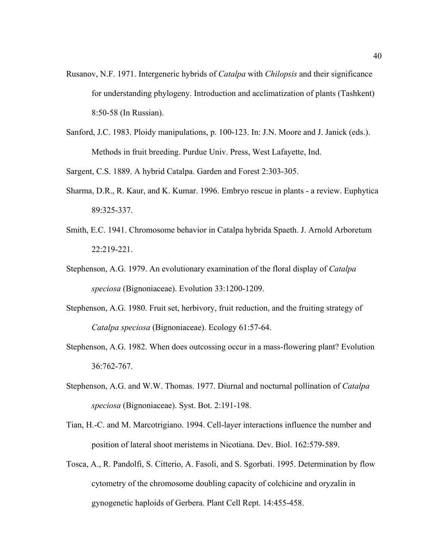- Rusanov, N.F. 1971. Intergeneric hybrids of *Catalpa* with *Chilopsis* and their significance for understanding phylogeny. Introduction and acclimatization of plants (Tashkent) 8:50-58 (In Russian).
- Sanford, J.C. 1983. Ploidy manipulations, p. 100-123. In: J.N. Moore and J. Janick (eds.). Methods in fruit breeding. Purdue Univ. Press, West Lafayette, Ind.

Sargent, C.S. 1889. A hybrid Catalpa. Garden and Forest 2:303-305.

- Sharma, D.R., R. Kaur, and K. Kumar. 1996. Embryo rescue in plants a review. Euphytica 89:325-337.
- Smith, E.C. 1941. Chromosome behavior in Catalpa hybrida Spaeth. J. Arnold Arboretum 22:219-221.
- Stephenson, A.G. 1979. An evolutionary examination of the floral display of *Catalpa speciosa* (Bignoniaceae). Evolution 33:1200-1209.
- Stephenson, A.G. 1980. Fruit set, herbivory, fruit reduction, and the fruiting strategy of *Catalpa speciosa* (Bignoniaceae). Ecology 61:57-64.
- Stephenson, A.G. 1982. When does outcossing occur in a mass-flowering plant? Evolution 36:762-767.
- Stephenson, A.G. and W.W. Thomas. 1977. Diurnal and nocturnal pollination of *Catalpa speciosa* (Bignoniaceae). Syst. Bot. 2:191-198.
- Tian, H.-C. and M. Marcotrigiano. 1994. Cell-layer interactions influence the number and position of lateral shoot meristems in Nicotiana. Dev. Biol. 162:579-589.
- Tosca, A., R. Pandolfi, S. Citterio, A. Fasoli, and S. Sgorbati. 1995. Determination by flow cytometry of the chromosome doubling capacity of colchicine and oryzalin in gynogenetic haploids of Gerbera. Plant Cell Rept. 14:455-458.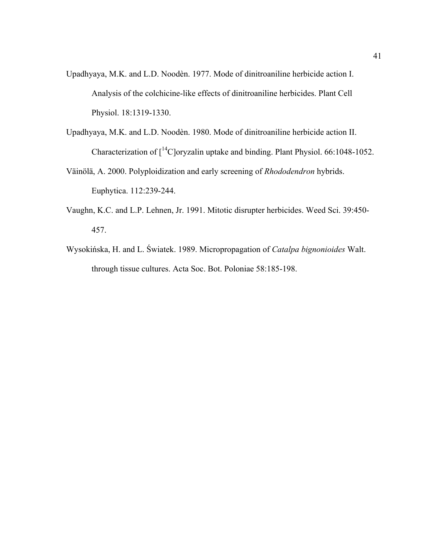- Upadhyaya, M.K. and L.D. Noodèn. 1977. Mode of dinitroaniline herbicide action I. Analysis of the colchicine-like effects of dinitroaniline herbicides. Plant Cell Physiol. 18:1319-1330.
- Upadhyaya, M.K. and L.D. Noodèn. 1980. Mode of dinitroaniline herbicide action II. Characterization of  $\int_1^{14}$ C oryzalin uptake and binding. Plant Physiol. 66:1048-1052.
- Väinölä, A. 2000. Polyploidization and early screening of *Rhododendron* hybrids. Euphytica. 112:239-244.
- Vaughn, K.C. and L.P. Lehnen, Jr. 1991. Mitotic disrupter herbicides. Weed Sci. 39:450- 457.
- Wysokińska, H. and L. Światek. 1989. Micropropagation of *Catalpa bignonioides* Walt. through tissue cultures. Acta Soc. Bot. Poloniae 58:185-198.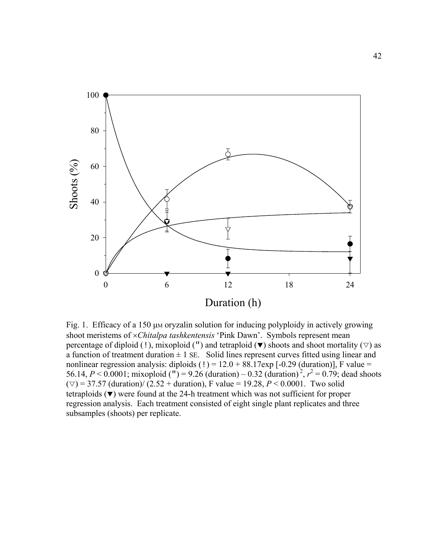

Fig. 1. Efficacy of a 150  $\mu$ M oryzalin solution for inducing polyploidy in actively growing shoot meristems of ×*Chitalpa tashkentensis* 'Pink Dawn'. Symbols represent mean percentage of diploid (!), mixoploid (") and tetraploid ( $\blacktriangledown$ ) shoots and shoot mortality ( $\triangledown$ ) as a function of treatment duration  $\pm 1$  SE. Solid lines represent curves fitted using linear and nonlinear regression analysis: diploids  $(!) = 12.0 + 88.17$  exp  $[-0.29$  (duration)], F value = 56.14,  $P < 0.0001$ ; mixoploid (") = 9.26 (duration) – 0.32 (duration)<sup>2</sup>,  $r^2 = 0.79$ ; dead shoots  $(\triangledown) = 37.57$  (duration)/ (2.52 + duration), F value = 19.28, *P* < 0.0001. Two solid tetraploids  $(\blacktriangledown)$  were found at the 24-h treatment which was not sufficient for proper regression analysis. Each treatment consisted of eight single plant replicates and three subsamples (shoots) per replicate.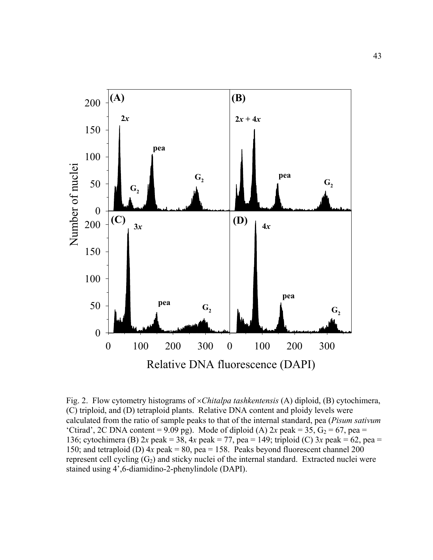

Fig. 2. Flow cytometry histograms of ×*Chitalpa tashkentensis* (A) diploid, (B) cytochimera, (C) triploid, and (D) tetraploid plants. Relative DNA content and ploidy levels were calculated from the ratio of sample peaks to that of the internal standard, pea (*Pisum sativum*  'Ctirad', 2C DNA content = 9.09 pg). Mode of diploid (A)  $2x$  peak = 35,  $G_2$  = 67, pea = 136; cytochimera (B) 2*x* peak = 38, 4*x* peak = 77, pea = 149; triploid (C) 3*x* peak = 62, pea = 150; and tetraploid (D)  $4x$  peak = 80, pea = 158. Peaks beyond fluorescent channel 200 represent cell cycling  $(G_2)$  and sticky nuclei of the internal standard. Extracted nuclei were stained using 4',6-diamidino-2-phenylindole (DAPI).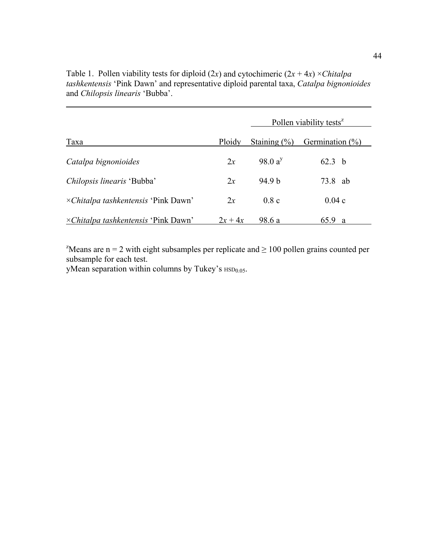Table 1. Pollen viability tests for diploid  $(2x)$  and cytochimeric  $(2x + 4x) \times \text{Chitalpa}$ *tashkentensis* 'Pink Dawn' and representative diploid parental taxa, *Catalpa bignonioides* and *Chilopsis linearis* 'Bubba'.

|                                             |         |                  | Pollen viability tests <sup>2</sup> |
|---------------------------------------------|---------|------------------|-------------------------------------|
| Taxa                                        | Ploidy  | Staining $(\% )$ | Germination $(\% )$                 |
| Catalpa bignonioides                        | 2x      | 98.0 $a^{y}$     | 62.3 <sub>b</sub>                   |
| Chilopsis linearis 'Bubba'                  | 2x      | 94.9 b           | 73.8 ab                             |
| $\times$ Chitalpa tashkentensis 'Pink Dawn' | 2x      | 0.8c             | 0.04c                               |
| $\times Chitalpa$ tashkentensis 'Pink Dawn' | $2x+4x$ | 98.6 a           | 65.9<br>a                           |

<sup>z</sup>Means are n = 2 with eight subsamples per replicate and  $\geq 100$  pollen grains counted per subsample for each test.

yMean separation within columns by Tukey's  $HSD<sub>0.05</sub>$ .

 $\overline{a}$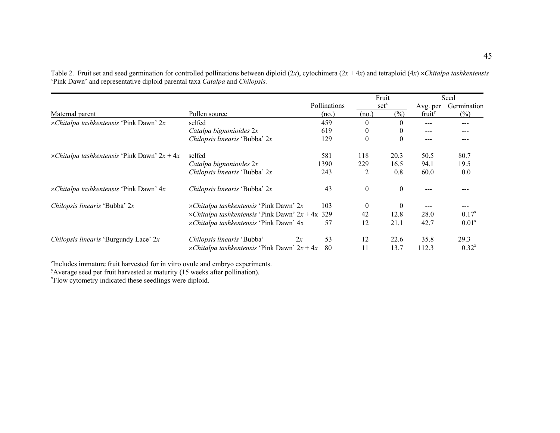|                                                     |                                                         |              |                  | Fruit        |                    | Seed        |
|-----------------------------------------------------|---------------------------------------------------------|--------------|------------------|--------------|--------------------|-------------|
|                                                     |                                                         | Pollinations |                  | $set^z$      | Avg. per           | Germination |
| Maternal parent                                     | Pollen source                                           | (no.)        | (no.)            | $(\%)$       | fruit <sup>y</sup> | (%)         |
| $\times$ Chitalpa tashkentensis 'Pink Dawn' 2x      | selfed                                                  | 459          | $\theta$         | $\theta$     |                    | ---         |
|                                                     | Catalpa bignonioides 2x                                 | 619          | $\boldsymbol{0}$ | $\theta$     | $---$              |             |
|                                                     | Chilopsis linearis 'Bubba' 2x                           | 129          | $\mathbf{0}$     | $\mathbf{0}$ | ---                |             |
| $\times$ Chitalpa tashkentensis 'Pink Dawn' 2x + 4x | selfed                                                  | 581          | 118              | 20.3         | 50.5               | 80.7        |
|                                                     | Catalpa bignonioides 2x                                 | 1390         | 229              | 16.5         | 94.1               | 19.5        |
|                                                     | Chilopsis linearis 'Bubba' 2x                           | 243          | 2                | 0.8          | 60.0               | 0.0         |
| $\times$ Chitalpa tashkentensis 'Pink Dawn' 4x      | <i>Chilopsis linearis</i> 'Bubba' $2x$                  | 43           | $\boldsymbol{0}$ | $\mathbf{0}$ |                    |             |
| Chilopsis linearis 'Bubba' 2x                       | $\times$ Chitalpa tashkentensis 'Pink Dawn' 2x          | 103          | $\mathbf{0}$     | $\theta$     |                    |             |
|                                                     | $\times Chitalpa$ tashkentensis 'Pink Dawn' 2x + 4x 329 |              | 42               | 12.8         | 28.0               | $0.17^{x}$  |
|                                                     | xChitalpa tashkentensis 'Pink Dawn' 4x                  | 57           | 12               | 21.1         | 42.7               | $0.01^x$    |
| <i>Chilopsis linearis</i> 'Burgundy Lace' $2x$      | 2x<br>Chilopsis linearis 'Bubba'                        | 53           | 12               | 22.6         | 35.8               | 29.3        |
|                                                     | $\times$ Chitalpa tashkentensis 'Pink Dawn' 2x + 4x     | 80           |                  | 13.7         | 112.3              | $0.32^{x}$  |

Table 2. Fruit set and seed germination for controlled pollinations between diploid (2 *<sup>x</sup>*), cytochimera (2 *<sup>x</sup>* + 4 *<sup>x</sup>*) and tetraploid (4*x*) ×*Chitalpa tashkentensis*  'Pink Dawn' and representative diploid parental taxa *Catalpa* and *Chilopsis.*

<sup>z</sup>Includes immature fruit harvested for in vitro ovule and embryo experiments.

<sup>y</sup>Average seed per fruit harvested at maturity (15 weeks after pollination).

xFlow cytometry indicated these seedlings were diploid.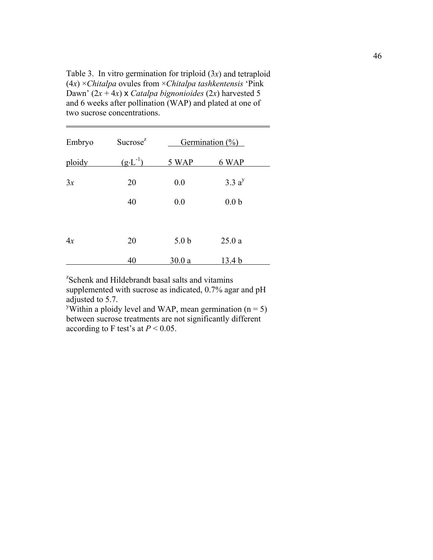Table 3. In vitro germination for triploid (3*x*) and tetraploid (4*x*) ×*Chitalpa* ovules from ×*Chitalpa tashkentensis* 'Pink Dawn'  $(2x + 4x)$  x *Catalpa bignonioides*  $(2x)$  harvested 5 and 6 weeks after pollination (WAP) and plated at one of two sucrose concentrations.

 $\overline{a}$ 

| Embryo | Sucrose <sup>z</sup> |                  | Germination $(\%)$ |  |
|--------|----------------------|------------------|--------------------|--|
| ploidy | $(g \cdot L^{-1})$   | 5 WAP            | 6 WAP              |  |
| 3x     | 20                   | 0.0              | 3.3a <sup>y</sup>  |  |
|        | 40                   | 0.0              | 0.0 <sub>b</sub>   |  |
|        |                      |                  |                    |  |
| 4x     | 20                   | 5.0 <sub>b</sub> | 25.0a              |  |
|        | 40                   | 30.0a            | 13.4 <sub>b</sub>  |  |

z Schenk and Hildebrandt basal salts and vitamins supplemented with sucrose as indicated, 0.7% agar and pH adjusted to 5.7.

<sup>y</sup>Within a ploidy level and WAP, mean germination (n = 5) between sucrose treatments are not significantly different according to F test's at  $P < 0.05$ .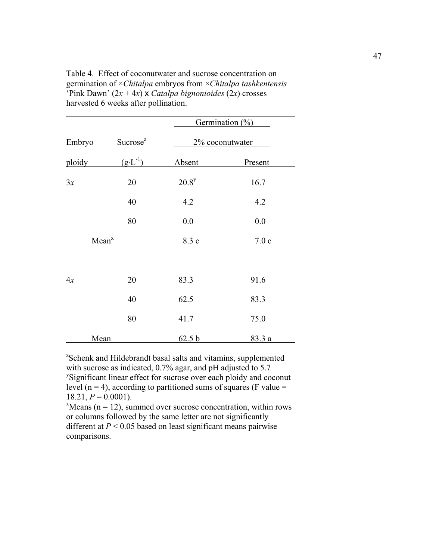| Table 4. Effect of coconutwater and sucrose concentration on                                |
|---------------------------------------------------------------------------------------------|
| germination of $\times$ <i>Chitalpa</i> embryos from $\times$ <i>Chitalpa tashkentensis</i> |
| 'Pink Dawn' $(2x + 4x)$ x Catalpa bignonioides $(2x)$ crosses                               |
| harvested 6 weeks after pollination.                                                        |
|                                                                                             |

|                   |                      | Germination $(\%)$ |                 |
|-------------------|----------------------|--------------------|-----------------|
| Embryo            | Sucrose <sup>z</sup> |                    | 2% coconutwater |
| ploidy            | $(g \cdot L^{-1})$   | Absent             | Present         |
| 3x                | 20                   | $20.8^y$           | 16.7            |
|                   | 40                   | 4.2                | 4.2             |
|                   | 80                   | 0.0                | 0.0             |
| Mean <sup>x</sup> |                      | 8.3 c              | 7.0c            |
|                   |                      |                    |                 |
| 4x                | 20                   | 83.3               | 91.6            |
|                   | 40                   | 62.5               | 83.3            |
|                   | 80                   | 41.7               | 75.0            |
| Mean              |                      | 62.5 b             | 83.3 a          |

z Schenk and Hildebrandt basal salts and vitamins, supplemented with sucrose as indicated, 0.7% agar, and pH adjusted to 5.7 y Significant linear effect for sucrose over each ploidy and coconut level ( $n = 4$ ), according to partitioned sums of squares (F value =  $18.21, P = 0.0001$ .

 $x$ <sup>x</sup>Means (n = 12), summed over sucrose concentration, within rows or columns followed by the same letter are not significantly different at  $P < 0.05$  based on least significant means pairwise comparisons.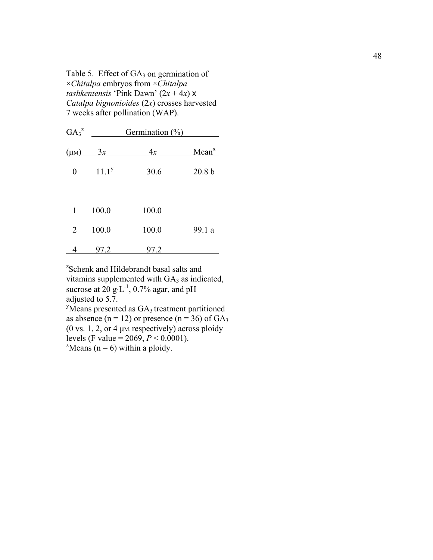Table 5. Effect of  $GA_3$  on germination of ×*Chitalpa* embryos from ×*Chitalpa tashkentensis* 'Pink Dawn'  $(2x + 4x)$  x *Catalpa bignonioides* (2*x*) crosses harvested 7 weeks after pollination (WAP).

| $GA_3^z$  |          | Germination $(\%)$ |                   |
|-----------|----------|--------------------|-------------------|
| $(\mu M)$ | 3x       | 4x                 | Mean <sup>x</sup> |
| 0         | $11.1^y$ | 30.6               | 20.8 <sub>b</sub> |
| 1         | 100.0    | 100.0              |                   |
| 2         | 100.0    | 100.0              | 99.1 a            |
| 4         | 97.2     | 97.2               |                   |

z Schenk and Hildebrandt basal salts and vitamins supplemented with GA3 as indicated, sucrose at  $20 \text{ g} \cdot \text{L}^{-1}$ , 0.7% agar, and pH adjusted to 5.7.  $y$ Means presented as  $GA_3$  treatment partitioned as absence  $(n = 12)$  or presence  $(n = 36)$  of  $GA<sub>3</sub>$ 

(0 vs. 1, 2, or 4  $\mu$ M, respectively) across ploidy levels (F value =  $2069$ ,  $P < 0.0001$ ).  $x$ Means (n = 6) within a ploidy.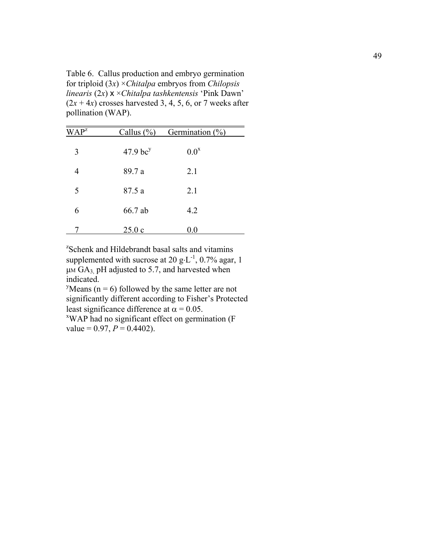Table 6. Callus production and embryo germination for triploid (3*x*) ×*Chitalpa* embryos from *Chilopsis linearis* (2*x*) x ×*Chitalpa tashkentensis* 'Pink Dawn'  $(2x + 4x)$  crosses harvested 3, 4, 5, 6, or 7 weeks after pollination (WAP).

| WAP <sup>z</sup> | Callus $(\% )$         | Germination $(\%)$ |
|------------------|------------------------|--------------------|
| 3                | $47.9$ bc <sup>y</sup> | $0.0^x$            |
| 4                | 89.7 a                 | 2.1                |
| 5                | 87.5 a                 | 2.1                |
| 6                | 66.7 ab                | 4.2                |
|                  | 25.0c                  | 0.0                |

z Schenk and Hildebrandt basal salts and vitamins supplemented with sucrose at 20  $g \cdot L^{-1}$ , 0.7% agar, 1  $\mu$ M GA<sub>3,</sub> pH adjusted to 5.7, and harvested when indicated.

<sup>y</sup>Means ( $n = 6$ ) followed by the same letter are not significantly different according to Fisher's Protected least significance difference at  $\alpha$  = 0.05.

WAP had no significant effect on germination (F value =  $0.97, P = 0.4402$ ).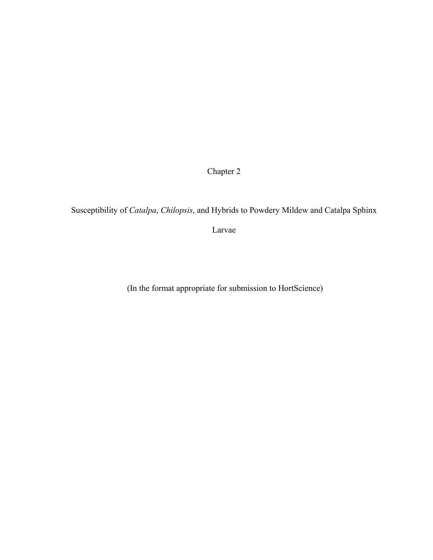Chapter 2

Susceptibility of *Catalpa*, *Chilopsis*, and Hybrids to Powdery Mildew and Catalpa Sphinx

Larvae

(In the format appropriate for submission to HortScience)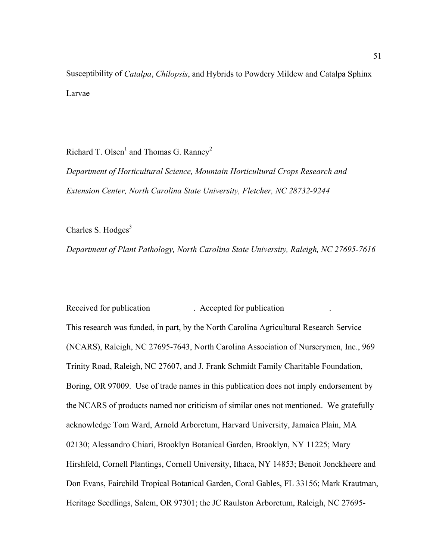Susceptibility of *Catalpa*, *Chilopsis*, and Hybrids to Powdery Mildew and Catalpa Sphinx Larvae

Richard T. Olsen<sup>1</sup> and Thomas G. Ranney<sup>2</sup>

*Department of Horticultural Science, Mountain Horticultural Crops Research and Extension Center, North Carolina State University, Fletcher, NC 28732-9244* 

Charles S. Hodges $3$ 

*Department of Plant Pathology, North Carolina State University, Raleigh, NC 27695-7616* 

Received for publication . Accepted for publication . This research was funded, in part, by the North Carolina Agricultural Research Service (NCARS), Raleigh, NC 27695-7643, North Carolina Association of Nurserymen, Inc., 969 Trinity Road, Raleigh, NC 27607, and J. Frank Schmidt Family Charitable Foundation, Boring, OR 97009. Use of trade names in this publication does not imply endorsement by the NCARS of products named nor criticism of similar ones not mentioned. We gratefully acknowledge Tom Ward, Arnold Arboretum, Harvard University, Jamaica Plain, MA 02130; Alessandro Chiari, Brooklyn Botanical Garden, Brooklyn, NY 11225; Mary Hirshfeld, Cornell Plantings, Cornell University, Ithaca, NY 14853; Benoit Jonckheere and Don Evans, Fairchild Tropical Botanical Garden, Coral Gables, FL 33156; Mark Krautman, Heritage Seedlings, Salem, OR 97301; the JC Raulston Arboretum, Raleigh, NC 27695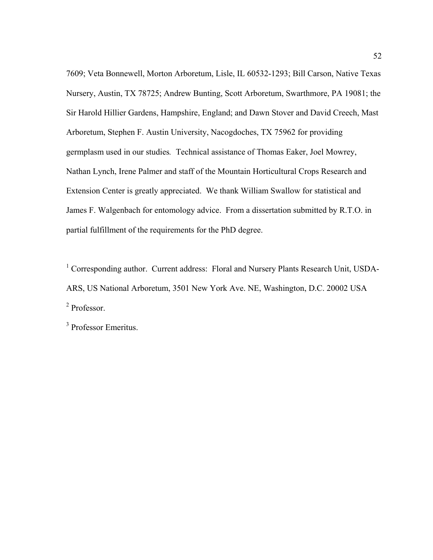7609; Veta Bonnewell, Morton Arboretum, Lisle, IL 60532-1293; Bill Carson, Native Texas Nursery, Austin, TX 78725; Andrew Bunting, Scott Arboretum, Swarthmore, PA 19081; the Sir Harold Hillier Gardens, Hampshire, England; and Dawn Stover and David Creech, Mast Arboretum, Stephen F. Austin University, Nacogdoches, TX 75962 for providing germplasm used in our studies*.* Technical assistance of Thomas Eaker, Joel Mowrey, Nathan Lynch, Irene Palmer and staff of the Mountain Horticultural Crops Research and Extension Center is greatly appreciated. We thank William Swallow for statistical and James F. Walgenbach for entomology advice. From a dissertation submitted by R.T.O. in partial fulfillment of the requirements for the PhD degree.

<sup>1</sup> Corresponding author. Current address: Floral and Nursery Plants Research Unit, USDA-ARS, US National Arboretum, 3501 New York Ave. NE, Washington, D.C. 20002 USA 2 Professor.

<sup>3</sup> Professor Emeritus.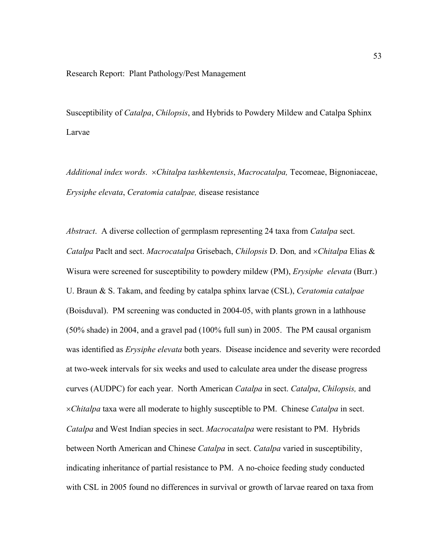## Research Report: Plant Pathology/Pest Management

Susceptibility of *Catalpa*, *Chilopsis*, and Hybrids to Powdery Mildew and Catalpa Sphinx Larvae

*Additional index words*. ×*Chitalpa tashkentensis*, *Macrocatalpa,* Tecomeae, Bignoniaceae, *Erysiphe elevata*, *Ceratomia catalpae,* disease resistance

*Abstract*. A diverse collection of germplasm representing 24 taxa from *Catalpa* sect. *Catalpa* Paclt and sect. *Macrocatalpa* Grisebach, *Chilopsis* D. Don*,* and ×*Chitalpa* Elias & Wisura were screened for susceptibility to powdery mildew (PM), *Erysiphe elevata* (Burr.) U. Braun & S. Takam, and feeding by catalpa sphinx larvae (CSL), *Ceratomia catalpae*  (Boisduval). PM screening was conducted in 2004-05, with plants grown in a lathhouse (50% shade) in 2004, and a gravel pad (100% full sun) in 2005. The PM causal organism was identified as *Erysiphe elevata* both years. Disease incidence and severity were recorded at two-week intervals for six weeks and used to calculate area under the disease progress curves (AUDPC) for each year. North American *Catalpa* in sect. *Catalpa*, *Chilopsis,* and ×*Chitalpa* taxa were all moderate to highly susceptible to PM. Chinese *Catalpa* in sect. *Catalpa* and West Indian species in sect. *Macrocatalpa* were resistant to PM. Hybrids between North American and Chinese *Catalpa* in sect. *Catalpa* varied in susceptibility, indicating inheritance of partial resistance to PM. A no-choice feeding study conducted with CSL in 2005 found no differences in survival or growth of larvae reared on taxa from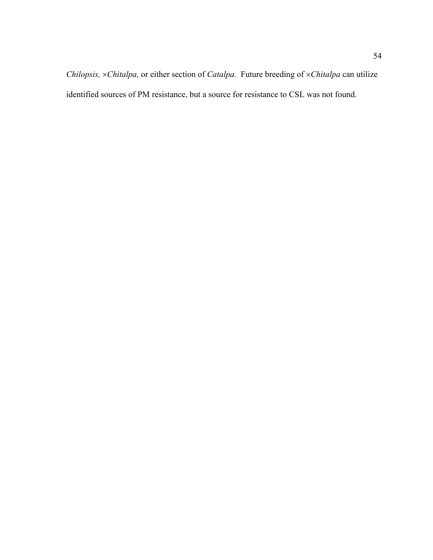*Chilopsis,* ×*Chitalpa,* or either section of *Catalpa.* Future breeding of ×*Chitalpa* can utilize identified sources of PM resistance, but a source for resistance to CSL was not found.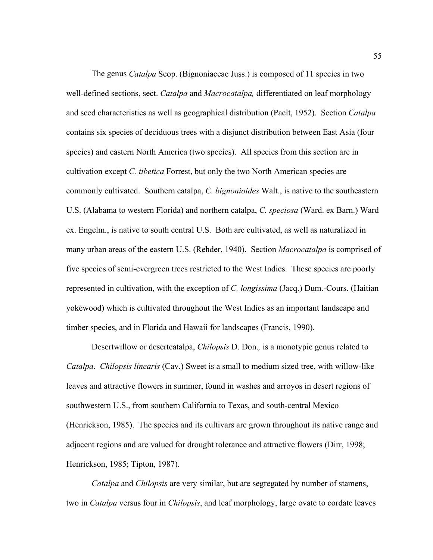The genus *Catalpa* Scop. (Bignoniaceae Juss.) is composed of 11 species in two well-defined sections, sect. *Catalpa* and *Macrocatalpa,* differentiated on leaf morphology and seed characteristics as well as geographical distribution (Paclt, 1952). Section *Catalpa*  contains six species of deciduous trees with a disjunct distribution between East Asia (four species) and eastern North America (two species). All species from this section are in cultivation except *C. tibetica* Forrest, but only the two North American species are commonly cultivated. Southern catalpa, *C. bignonioides* Walt., is native to the southeastern U.S. (Alabama to western Florida) and northern catalpa, *C. speciosa* (Ward. ex Barn.) Ward ex. Engelm., is native to south central U.S. Both are cultivated, as well as naturalized in many urban areas of the eastern U.S. (Rehder, 1940). Section *Macrocatalpa* is comprised of five species of semi-evergreen trees restricted to the West Indies. These species are poorly represented in cultivation, with the exception of *C. longissima* (Jacq.) Dum.-Cours. (Haitian yokewood) which is cultivated throughout the West Indies as an important landscape and timber species, and in Florida and Hawaii for landscapes (Francis, 1990).

 Desertwillow or desertcatalpa, *Chilopsis* D. Don.*,* is a monotypic genus related to *Catalpa*. *Chilopsis linearis* (Cav.) Sweet is a small to medium sized tree, with willow-like leaves and attractive flowers in summer, found in washes and arroyos in desert regions of southwestern U.S., from southern California to Texas, and south-central Mexico (Henrickson, 1985). The species and its cultivars are grown throughout its native range and adjacent regions and are valued for drought tolerance and attractive flowers (Dirr, 1998; Henrickson, 1985; Tipton, 1987).

*Catalpa* and *Chilopsis* are very similar, but are segregated by number of stamens, two in *Catalpa* versus four in *Chilopsis*, and leaf morphology, large ovate to cordate leaves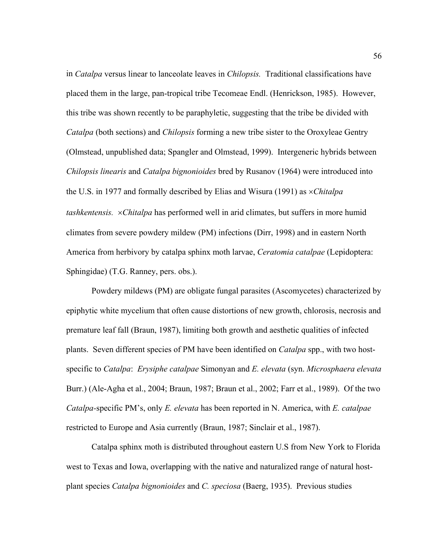in *Catalpa* versus linear to lanceolate leaves in *Chilopsis.* Traditional classifications have placed them in the large, pan-tropical tribe Tecomeae Endl. (Henrickson, 1985). However, this tribe was shown recently to be paraphyletic, suggesting that the tribe be divided with *Catalpa* (both sections) and *Chilopsis* forming a new tribe sister to the Oroxyleae Gentry (Olmstead, unpublished data; Spangler and Olmstead, 1999). Intergeneric hybrids between *Chilopsis linearis* and *Catalpa bignonioides* bred by Rusanov (1964) were introduced into the U.S. in 1977 and formally described by Elias and Wisura (1991) as ×*Chitalpa tashkentensis.* ×*Chitalpa* has performed well in arid climates, but suffers in more humid climates from severe powdery mildew (PM) infections (Dirr, 1998) and in eastern North America from herbivory by catalpa sphinx moth larvae, *Ceratomia catalpae* (Lepidoptera: Sphingidae) (T.G. Ranney, pers. obs.).

 Powdery mildews (PM) are obligate fungal parasites (Ascomycetes) characterized by epiphytic white mycelium that often cause distortions of new growth, chlorosis, necrosis and premature leaf fall (Braun, 1987), limiting both growth and aesthetic qualities of infected plants. Seven different species of PM have been identified on *Catalpa* spp., with two hostspecific to *Catalpa*: *Erysiphe catalpae* Simonyan and *E. elevata* (syn. *Microsphaera elevata*  Burr.) (Ale-Agha et al., 2004; Braun, 1987; Braun et al., 2002; Farr et al., 1989). Of the two *Catalpa-*specific PM's, only *E. elevata* has been reported in N. America, with *E. catalpae*  restricted to Europe and Asia currently (Braun, 1987; Sinclair et al., 1987).

 Catalpa sphinx moth is distributed throughout eastern U.S from New York to Florida west to Texas and Iowa, overlapping with the native and naturalized range of natural hostplant species *Catalpa bignonioides* and *C. speciosa* (Baerg, 1935). Previous studies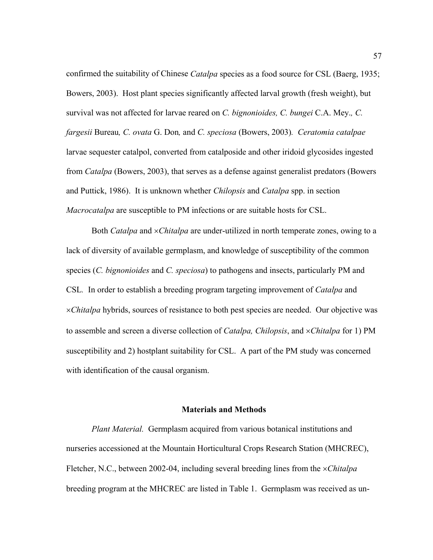confirmed the suitability of Chinese *Catalpa* species as a food source for CSL (Baerg, 1935; Bowers, 2003). Host plant species significantly affected larval growth (fresh weight), but survival was not affected for larvae reared on *C. bignonioides, C. bungei* C.A. Mey.*, C. fargesii* Bureau*, C. ovata* G. Don*,* and *C. speciosa* (Bowers, 2003)*. Ceratomia catalpae*  larvae sequester catalpol, converted from catalposide and other iridoid glycosides ingested from *Catalpa* (Bowers, 2003), that serves as a defense against generalist predators (Bowers and Puttick, 1986). It is unknown whether *Chilopsis* and *Catalpa* spp. in section *Macrocatalpa* are susceptible to PM infections or are suitable hosts for CSL.

 Both *Catalpa* and ×*Chitalpa* are under-utilized in north temperate zones, owing to a lack of diversity of available germplasm, and knowledge of susceptibility of the common species (*C. bignonioides* and *C. speciosa*) to pathogens and insects, particularly PM and CSL*.* In order to establish a breeding program targeting improvement of *Catalpa* and ×*Chitalpa* hybrids, sources of resistance to both pest species are needed. Our objective was to assemble and screen a diverse collection of *Catalpa, Chilopsis*, and ×*Chitalpa* for 1) PM susceptibility and 2) hostplant suitability for CSL. A part of the PM study was concerned with identification of the causal organism.

## **Materials and Methods**

 *Plant Material.* Germplasm acquired from various botanical institutions and nurseries accessioned at the Mountain Horticultural Crops Research Station (MHCREC), Fletcher, N.C., between 2002-04, including several breeding lines from the ×*Chitalpa*  breeding program at the MHCREC are listed in Table 1. Germplasm was received as un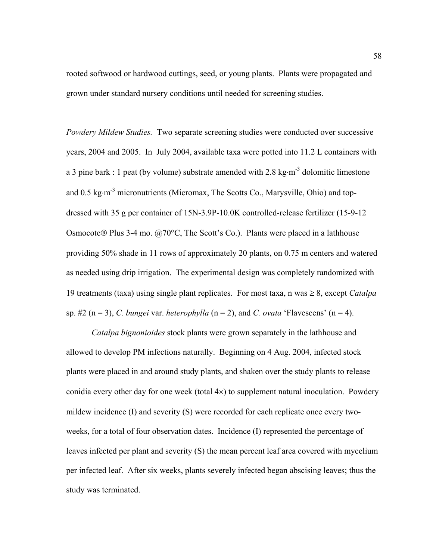rooted softwood or hardwood cuttings, seed, or young plants. Plants were propagated and grown under standard nursery conditions until needed for screening studies.

*Powdery Mildew Studies.* Two separate screening studies were conducted over successive years, 2004 and 2005. In July 2004, available taxa were potted into 11.2 L containers with a 3 pine bark : 1 peat (by volume) substrate amended with 2.8 kg⋅m<sup>-3</sup> dolomitic limestone and 0.5 kg⋅m<sup>-3</sup> micronutrients (Micromax, The Scotts Co., Marysville, Ohio) and topdressed with 35 g per container of 15N-3.9P-10.0K controlled-release fertilizer (15-9-12 Osmocote ® Plus 3-4 mo.  $(a)$ 70°C, The Scott's Co.). Plants were placed in a lathhouse providing 50% shade in 11 rows of approximately 20 plants, on 0.75 m centers and watered as needed using drip irrigation. The experimental design was completely randomized with 19 treatments (taxa) using single plant replicates. For most taxa, n was ≥ 8, except *Catalpa*  sp.  $\#2$  (n = 3), *C. bungei var. heterophylla* (n = 2), and *C. ovata* 'Flavescens' (n = 4).

*Catalpa bignonioides* stock plants were grown separately in the lathhouse and allowed to develop PM infections naturally. Beginning on 4 Aug. 2004, infected stock plants were placed in and around study plants, and shaken over the study plants to release conidia every other day for one week (total 4×) to supplement natural inoculation. Powdery mildew incidence (I) and severity (S) were recorded for each replicate once every twoweeks, for a total of four observation dates. Incidence (I) represented the percentage of leaves infected per plant and severity (S) the mean percent leaf area covered with mycelium per infected leaf. After six weeks, plants severely infected began abscising leaves; thus the study was terminated.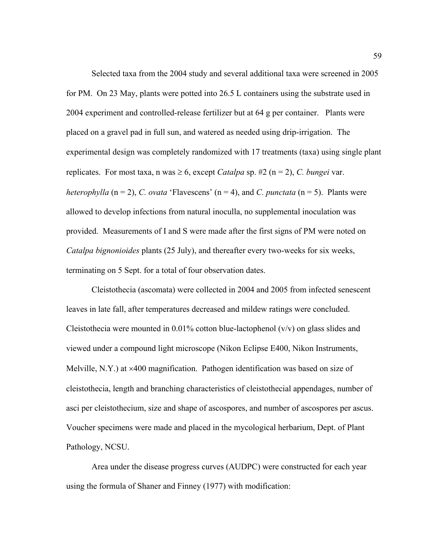Selected taxa from the 2004 study and several additional taxa were screened in 2005 for PM. On 23 May, plants were potted into 26.5 L containers using the substrate used in 2004 experiment and controlled-release fertilizer but at 64 g per container. Plants were placed on a gravel pad in full sun, and watered as needed using drip-irrigation. The experimental design was completely randomized with 17 treatments (taxa) using single plant replicates. For most taxa, n was  $\geq 6$ , except *Catalpa* sp. #2 (n = 2), *C. bungei var. heterophylla*  $(n = 2)$ , *C. ovata* 'Flavescens'  $(n = 4)$ , and *C. punctata*  $(n = 5)$ . Plants were allowed to develop infections from natural inoculla, no supplemental inoculation was provided. Measurements of I and S were made after the first signs of PM were noted on *Catalpa bignonioides* plants (25 July), and thereafter every two-weeks for six weeks, terminating on 5 Sept. for a total of four observation dates.

 Cleistothecia (ascomata) were collected in 2004 and 2005 from infected senescent leaves in late fall, after temperatures decreased and mildew ratings were concluded. Cleistothecia were mounted in 0.01% cotton blue-lactophenol  $(v/v)$  on glass slides and viewed under a compound light microscope (Nikon Eclipse E400, Nikon Instruments, Melville, N.Y.) at ×400 magnification. Pathogen identification was based on size of cleistothecia, length and branching characteristics of cleistothecial appendages, number of asci per cleistothecium, size and shape of ascospores, and number of ascospores per ascus. Voucher specimens were made and placed in the mycological herbarium, Dept. of Plant Pathology, NCSU.

 Area under the disease progress curves (AUDPC) were constructed for each year using the formula of Shaner and Finney (1977) with modification: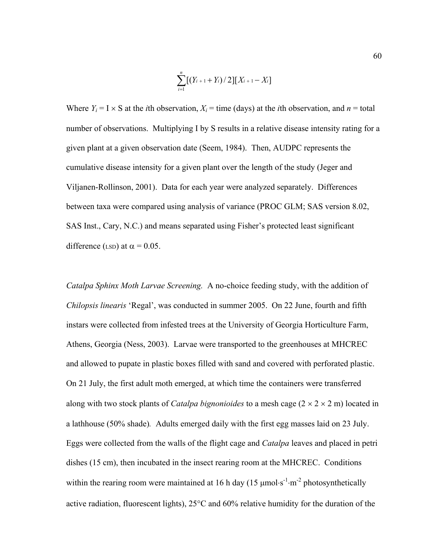$$
\sum_{i=1}^{n} [(Y_{i+1} + Y_i) / 2][X_{i+1} - X_i]
$$

Where  $Y_i = I \times S$  at the *i*th observation,  $X_i$  = time (days) at the *i*th observation, and *n* = total number of observations. Multiplying I by S results in a relative disease intensity rating for a given plant at a given observation date (Seem, 1984). Then, AUDPC represents the cumulative disease intensity for a given plant over the length of the study (Jeger and Viljanen-Rollinson, 2001). Data for each year were analyzed separately. Differences between taxa were compared using analysis of variance (PROC GLM; SAS version 8.02, SAS Inst., Cary, N.C.) and means separated using Fisher's protected least significant difference (LSD) at  $\alpha = 0.05$ .

*Catalpa Sphinx Moth Larvae Screening.* A no-choice feeding study, with the addition of *Chilopsis linearis* 'Regal', was conducted in summer 2005. On 22 June, fourth and fifth instars were collected from infested trees at the University of Georgia Horticulture Farm, Athens, Georgia (Ness, 2003). Larvae were transported to the greenhouses at MHCREC and allowed to pupate in plastic boxes filled with sand and covered with perforated plastic. On 21 July, the first adult moth emerged, at which time the containers were transferred along with two stock plants of *Catalpa bignonioides* to a mesh cage  $(2 \times 2 \times 2 \text{ m})$  located in a lathhouse (50% shade)*.* Adults emerged daily with the first egg masses laid on 23 July. Eggs were collected from the walls of the flight cage and *Catalpa* leaves and placed in petri dishes (15 cm), then incubated in the insect rearing room at the MHCREC. Conditions within the rearing room were maintained at 16 h day (15  $\mu$ mol⋅s<sup>-1</sup>⋅m<sup>-2</sup> photosynthetically active radiation, fluorescent lights), 25°C and 60% relative humidity for the duration of the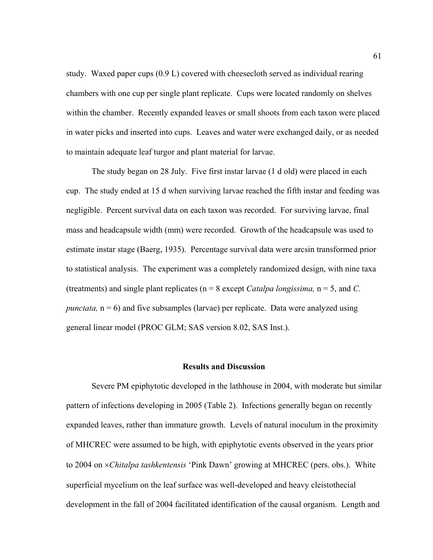study. Waxed paper cups (0.9 L) covered with cheesecloth served as individual rearing chambers with one cup per single plant replicate. Cups were located randomly on shelves within the chamber. Recently expanded leaves or small shoots from each taxon were placed in water picks and inserted into cups. Leaves and water were exchanged daily, or as needed to maintain adequate leaf turgor and plant material for larvae.

 The study began on 28 July. Five first instar larvae (1 d old) were placed in each cup. The study ended at 15 d when surviving larvae reached the fifth instar and feeding was negligible. Percent survival data on each taxon was recorded. For surviving larvae, final mass and headcapsule width (mm) were recorded. Growth of the headcapsule was used to estimate instar stage (Baerg, 1935). Percentage survival data were arcsin transformed prior to statistical analysis. The experiment was a completely randomized design, with nine taxa (treatments) and single plant replicates (n = 8 except *Catalpa longissima,* n = 5, and *C. punctata,*  $n = 6$ ) and five subsamples (larvae) per replicate. Data were analyzed using general linear model (PROC GLM; SAS version 8.02, SAS Inst.).

### **Results and Discussion**

 Severe PM epiphytotic developed in the lathhouse in 2004, with moderate but similar pattern of infections developing in 2005 (Table 2). Infections generally began on recently expanded leaves, rather than immature growth. Levels of natural inoculum in the proximity of MHCREC were assumed to be high, with epiphytotic events observed in the years prior to 2004 on ×*Chitalpa tashkentensis* 'Pink Dawn' growing at MHCREC (pers. obs.). White superficial mycelium on the leaf surface was well-developed and heavy cleistothecial development in the fall of 2004 facilitated identification of the causal organism. Length and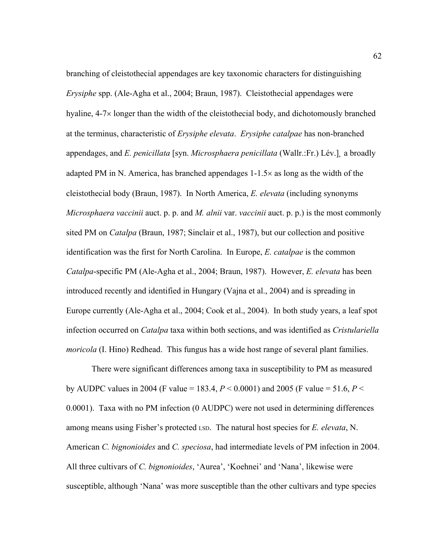branching of cleistothecial appendages are key taxonomic characters for distinguishing *Erysiphe* spp. (Ale-Agha et al., 2004; Braun, 1987). Cleistothecial appendages were hyaline, 4-7× longer than the width of the cleistothecial body, and dichotomously branched at the terminus, characteristic of *Erysiphe elevata*. *Erysiphe catalpae* has non-branched appendages, and *E. penicillata* [syn. *Microsphaera penicillata* (Wallr.:Fr.) Lév.]*¸* a broadly adapted PM in N. America, has branched appendages 1-1.5× as long as the width of the cleistothecial body (Braun, 1987). In North America, *E. elevata* (including synonyms *Microsphaera vaccinii* auct. p. p. and *M. alnii* var. *vaccinii* auct. p. p.) is the most commonly sited PM on *Catalpa* (Braun, 1987; Sinclair et al., 1987), but our collection and positive identification was the first for North Carolina. In Europe, *E. catalpae* is the common *Catalpa*-specific PM (Ale-Agha et al., 2004; Braun, 1987). However, *E. elevata* has been introduced recently and identified in Hungary (Vajna et al., 2004) and is spreading in Europe currently (Ale-Agha et al., 2004; Cook et al., 2004). In both study years, a leaf spot infection occurred on *Catalpa* taxa within both sections, and was identified as *Cristulariella moricola* (I. Hino) Redhead. This fungus has a wide host range of several plant families.

 There were significant differences among taxa in susceptibility to PM as measured by AUDPC values in 2004 (F value = 183.4, *P* < 0.0001) and 2005 (F value = 51.6, *P* < 0.0001). Taxa with no PM infection (0 AUDPC) were not used in determining differences among means using Fisher's protected LSD. The natural host species for *E. elevata*, N. American *C. bignonioides* and *C. speciosa*, had intermediate levels of PM infection in 2004. All three cultivars of *C. bignonioides*, 'Aurea', 'Koehnei' and 'Nana', likewise were susceptible, although 'Nana' was more susceptible than the other cultivars and type species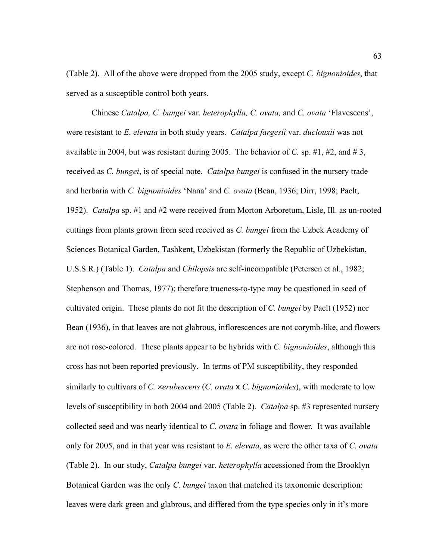(Table 2). All of the above were dropped from the 2005 study, except *C. bignonioides*, that served as a susceptible control both years.

 Chinese *Catalpa, C. bungei* var. *heterophylla, C. ovata,* and *C. ovata* 'Flavescens', were resistant to *E. elevata* in both study years. *Catalpa fargesii* var. *duclouxii* was not available in 2004, but was resistant during 2005. The behavior of *C*. sp.  $\#1$ ,  $\#2$ , and  $\#3$ , received as *C. bungei*, is of special note. *Catalpa bungei* is confused in the nursery trade and herbaria with *C. bignonioides* 'Nana' and *C. ovata* (Bean, 1936; Dirr, 1998; Paclt, 1952). *Catalpa* sp. #1 and #2 were received from Morton Arboretum, Lisle, Ill. as un-rooted cuttings from plants grown from seed received as *C. bungei* from the Uzbek Academy of Sciences Botanical Garden, Tashkent, Uzbekistan (formerly the Republic of Uzbekistan, U.S.S.R.) (Table 1). *Catalpa* and *Chilopsis* are self-incompatible (Petersen et al., 1982; Stephenson and Thomas, 1977); therefore trueness-to-type may be questioned in seed of cultivated origin. These plants do not fit the description of *C. bungei* by Paclt (1952) nor Bean (1936), in that leaves are not glabrous, inflorescences are not corymb-like, and flowers are not rose-colored. These plants appear to be hybrids with *C. bignonioides*, although this cross has not been reported previously. In terms of PM susceptibility, they responded similarly to cultivars of *C.* ×*erubescens* (*C. ovata* x *C. bignonioides*), with moderate to low levels of susceptibility in both 2004 and 2005 (Table 2). *Catalpa* sp. #3 represented nursery collected seed and was nearly identical to *C. ovata* in foliage and flower*.* It was available only for 2005, and in that year was resistant to *E. elevata,* as were the other taxa of *C. ovata*  (Table 2). In our study, *Catalpa bungei* var. *heterophylla* accessioned from the Brooklyn Botanical Garden was the only *C. bungei* taxon that matched its taxonomic description: leaves were dark green and glabrous, and differed from the type species only in it's more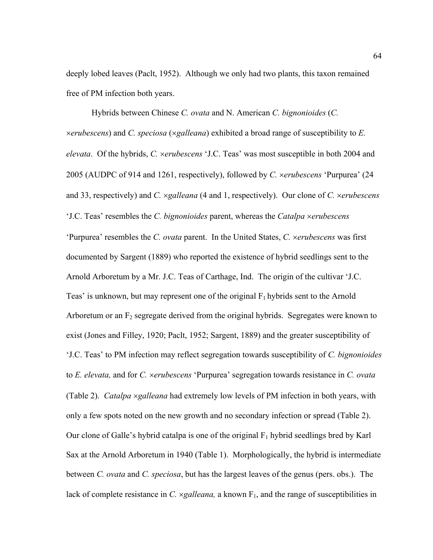deeply lobed leaves (Paclt, 1952). Although we only had two plants, this taxon remained free of PM infection both years.

 Hybrids between Chinese *C. ovata* and N. American *C. bignonioides* (*C.*  ×*erubescens*) and *C. speciosa* (×*galleana*) exhibited a broad range of susceptibility to *E. elevata*. Of the hybrids, *C.* ×*erubescens* 'J.C. Teas' was most susceptible in both 2004 and 2005 (AUDPC of 914 and 1261, respectively), followed by *C.* ×*erubescens* 'Purpurea' (24 and 33, respectively) and *C.* ×*galleana* (4 and 1, respectively). Our clone of *C.* ×*erubescens* 'J.C. Teas' resembles the *C. bignonioides* parent, whereas the *Catalpa* ×*erubescens* 'Purpurea' resembles the *C. ovata* parent. In the United States, *C.* ×*erubescens* was first documented by Sargent (1889) who reported the existence of hybrid seedlings sent to the Arnold Arboretum by a Mr. J.C. Teas of Carthage, Ind. The origin of the cultivar 'J.C. Teas' is unknown, but may represent one of the original  $F_1$  hybrids sent to the Arnold Arboretum or an  $F_2$  segregate derived from the original hybrids. Segregates were known to exist (Jones and Filley, 1920; Paclt, 1952; Sargent, 1889) and the greater susceptibility of 'J.C. Teas' to PM infection may reflect segregation towards susceptibility of *C. bignonioides* to *E. elevata,* and for *C.* ×*erubescens* 'Purpurea' segregation towards resistance in *C. ovata*  (Table 2). *Catalpa* ×*galleana* had extremely low levels of PM infection in both years, with only a few spots noted on the new growth and no secondary infection or spread (Table 2). Our clone of Galle's hybrid catalpa is one of the original  $F_1$  hybrid seedlings bred by Karl Sax at the Arnold Arboretum in 1940 (Table 1). Morphologically, the hybrid is intermediate between *C. ovata* and *C. speciosa*, but has the largest leaves of the genus (pers. obs.). The lack of complete resistance in  $C$ .  $\times$ *galleana*, a known  $F_1$ , and the range of susceptibilities in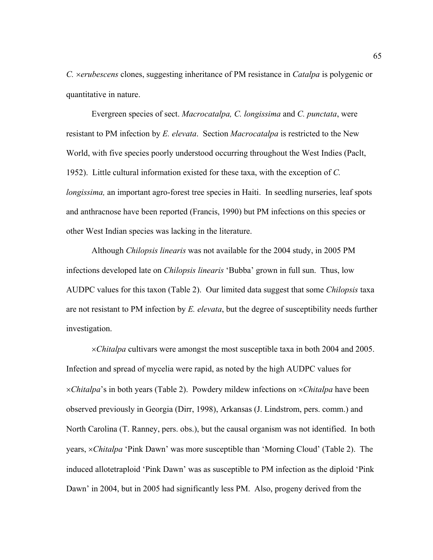*C.* ×*erubescens* clones, suggesting inheritance of PM resistance in *Catalpa* is polygenic or quantitative in nature.

 Evergreen species of sect. *Macrocatalpa, C. longissima* and *C. punctata*, were resistant to PM infection by *E. elevata*. Section *Macrocatalpa* is restricted to the New World, with five species poorly understood occurring throughout the West Indies (Paclt, 1952). Little cultural information existed for these taxa, with the exception of *C. longissima*, an important agro-forest tree species in Haiti. In seedling nurseries, leaf spots and anthracnose have been reported (Francis, 1990) but PM infections on this species or other West Indian species was lacking in the literature.

 Although *Chilopsis linearis* was not available for the 2004 study, in 2005 PM infections developed late on *Chilopsis linearis* 'Bubba' grown in full sun. Thus, low AUDPC values for this taxon (Table 2). Our limited data suggest that some *Chilopsis* taxa are not resistant to PM infection by *E. elevata*, but the degree of susceptibility needs further investigation.

×*Chitalpa* cultivars were amongst the most susceptible taxa in both 2004 and 2005. Infection and spread of mycelia were rapid, as noted by the high AUDPC values for ×*Chitalpa*'s in both years (Table 2). Powdery mildew infections on ×*Chitalpa* have been observed previously in Georgia (Dirr, 1998), Arkansas (J. Lindstrom, pers. comm.) and North Carolina (T. Ranney, pers. obs.), but the causal organism was not identified. In both years, ×*Chitalpa* 'Pink Dawn' was more susceptible than 'Morning Cloud' (Table 2). The induced allotetraploid 'Pink Dawn' was as susceptible to PM infection as the diploid 'Pink Dawn' in 2004, but in 2005 had significantly less PM. Also, progeny derived from the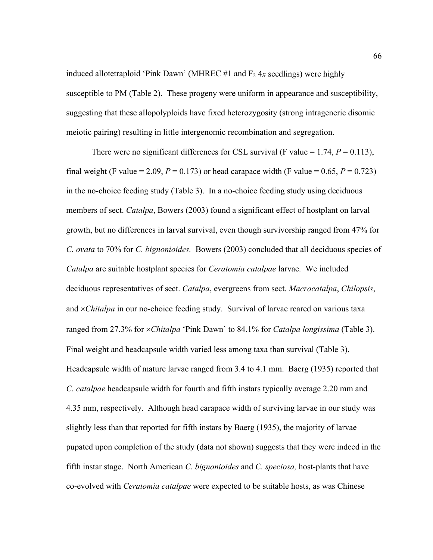induced allotetraploid 'Pink Dawn' (MHREC #1 and  $F_2$  4x seedlings) were highly susceptible to PM (Table 2). These progeny were uniform in appearance and susceptibility, suggesting that these allopolyploids have fixed heterozygosity (strong intrageneric disomic meiotic pairing) resulting in little intergenomic recombination and segregation.

There were no significant differences for CSL survival (F value  $= 1.74$ ,  $P = 0.113$ ), final weight (F value = 2.09,  $P = 0.173$ ) or head carapace width (F value = 0.65,  $P = 0.723$ ) in the no-choice feeding study (Table 3). In a no-choice feeding study using deciduous members of sect. *Catalpa*, Bowers (2003) found a significant effect of hostplant on larval growth, but no differences in larval survival, even though survivorship ranged from 47% for *C. ovata* to 70% for *C. bignonioides.* Bowers (2003) concluded that all deciduous species of *Catalpa* are suitable hostplant species for *Ceratomia catalpae* larvae. We included deciduous representatives of sect. *Catalpa*, evergreens from sect. *Macrocatalpa*, *Chilopsis*, and ×*Chitalpa* in our no-choice feeding study. Survival of larvae reared on various taxa ranged from 27.3% for ×*Chitalpa* 'Pink Dawn' to 84.1% for *Catalpa longissima* (Table 3). Final weight and headcapsule width varied less among taxa than survival (Table 3). Headcapsule width of mature larvae ranged from 3.4 to 4.1 mm. Baerg (1935) reported that *C. catalpae* headcapsule width for fourth and fifth instars typically average 2.20 mm and 4.35 mm, respectively. Although head carapace width of surviving larvae in our study was slightly less than that reported for fifth instars by Baerg (1935), the majority of larvae pupated upon completion of the study (data not shown) suggests that they were indeed in the fifth instar stage. North American *C. bignonioides* and *C. speciosa,* host-plants that have co-evolved with *Ceratomia catalpae* were expected to be suitable hosts, as was Chinese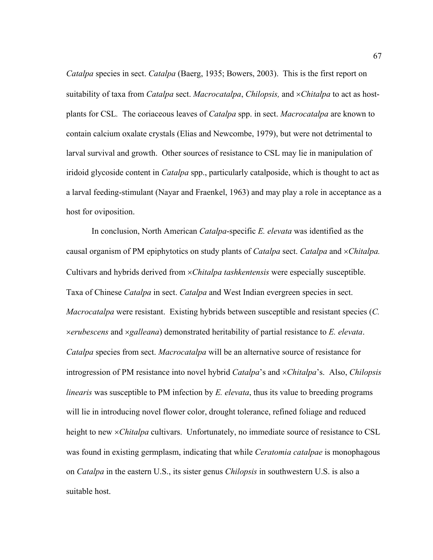*Catalpa* species in sect. *Catalpa* (Baerg, 1935; Bowers, 2003). This is the first report on suitability of taxa from *Catalpa* sect. *Macrocatalpa*, *Chilopsis,* and ×*Chitalpa* to act as hostplants for CSL*.* The coriaceous leaves of *Catalpa* spp. in sect. *Macrocatalpa* are known to contain calcium oxalate crystals (Elias and Newcombe, 1979), but were not detrimental to larval survival and growth.Other sources of resistance to CSL may lie in manipulation of iridoid glycoside content in *Catalpa* spp., particularly catalposide, which is thought to act as a larval feeding-stimulant (Nayar and Fraenkel, 1963) and may play a role in acceptance as a host for oviposition.

 In conclusion, North American *Catalpa*-specific *E. elevata* was identified as the causal organism of PM epiphytotics on study plants of *Catalpa* sect. *Catalpa* and ×*Chitalpa.* Cultivars and hybrids derived from ×*Chitalpa tashkentensis* were especially susceptible. Taxa of Chinese *Catalpa* in sect. *Catalpa* and West Indian evergreen species in sect. *Macrocatalpa* were resistant. Existing hybrids between susceptible and resistant species (*C.*  ×*erubescens* and ×*galleana*) demonstrated heritability of partial resistance to *E. elevata*. *Catalpa* species from sect. *Macrocatalpa* will be an alternative source of resistance for introgression of PM resistance into novel hybrid *Catalpa*'s and ×*Chitalpa*'s. Also, *Chilopsis linearis* was susceptible to PM infection by *E. elevata*, thus its value to breeding programs will lie in introducing novel flower color, drought tolerance, refined foliage and reduced height to new ×*Chitalpa* cultivars. Unfortunately, no immediate source of resistance to CSL was found in existing germplasm, indicating that while *Ceratomia catalpae* is monophagous on *Catalpa* in the eastern U.S., its sister genus *Chilopsis* in southwestern U.S. is also a suitable host.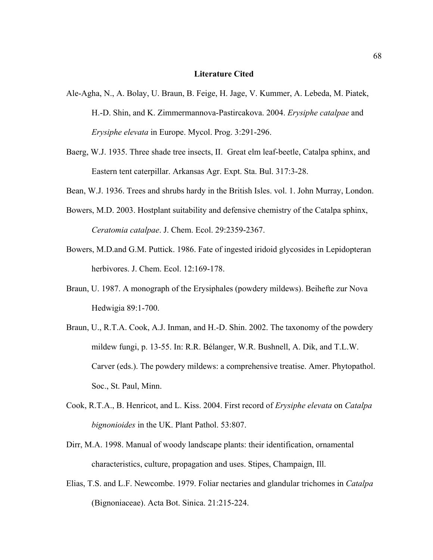## **Literature Cited**

- Ale-Agha, N., A. Bolay, U. Braun, B. Feige, H. Jage, V. Kummer, A. Lebeda, M. Piatek, H.-D. Shin, and K. Zimmermannova-Pastircakova. 2004. *Erysiphe catalpae* and *Erysiphe elevata* in Europe. Mycol. Prog. 3:291-296.
- Baerg, W.J. 1935. Three shade tree insects, II. Great elm leaf-beetle, Catalpa sphinx, and Eastern tent caterpillar. Arkansas Agr. Expt. Sta. Bul. 317:3-28.
- Bean, W.J. 1936. Trees and shrubs hardy in the British Isles. vol. 1. John Murray, London.
- Bowers, M.D. 2003. Hostplant suitability and defensive chemistry of the Catalpa sphinx, *Ceratomia catalpae*. J. Chem. Ecol. 29:2359-2367.
- Bowers, M.D.and G.M. Puttick. 1986. Fate of ingested iridoid glycosides in Lepidopteran herbivores. J. Chem. Ecol. 12:169-178.
- Braun, U. 1987. A monograph of the Erysiphales (powdery mildews). Beihefte zur Nova Hedwigia 89:1-700.
- Braun, U., R.T.A. Cook, A.J. Inman, and H.-D. Shin. 2002. The taxonomy of the powdery mildew fungi, p. 13-55. In: R.R. Bélanger, W.R. Bushnell, A. Dik, and T.L.W. Carver (eds.). The powdery mildews: a comprehensive treatise. Amer. Phytopathol. Soc., St. Paul, Minn.
- Cook, R.T.A., B. Henricot, and L. Kiss. 2004. First record of *Erysiphe elevata* on *Catalpa bignonioides* in the UK. Plant Pathol. 53:807.
- Dirr, M.A. 1998. Manual of woody landscape plants: their identification, ornamental characteristics, culture, propagation and uses. Stipes, Champaign, Ill.
- Elias, T.S. and L.F. Newcombe. 1979. Foliar nectaries and glandular trichomes in *Catalpa*  (Bignoniaceae). Acta Bot. Sinica. 21:215-224.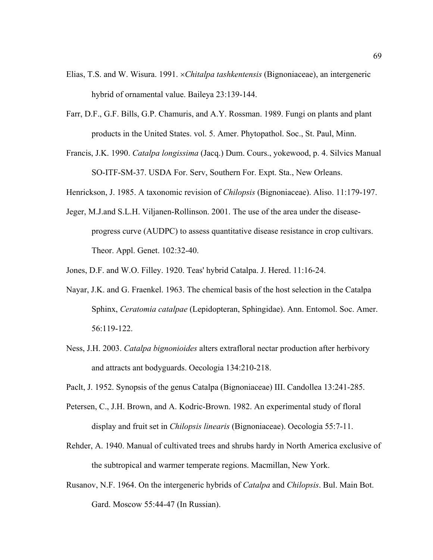- Elias, T.S. and W. Wisura. 1991. ×*Chitalpa tashkentensis* (Bignoniaceae), an intergeneric hybrid of ornamental value. Baileya 23:139-144.
- Farr, D.F., G.F. Bills, G.P. Chamuris, and A.Y. Rossman. 1989. Fungi on plants and plant products in the United States. vol. 5. Amer. Phytopathol. Soc., St. Paul, Minn.
- Francis, J.K. 1990. *Catalpa longissima* (Jacq.) Dum. Cours., yokewood, p. 4. Silvics Manual SO-ITF-SM-37. USDA For. Serv, Southern For. Expt. Sta., New Orleans.

Henrickson, J. 1985. A taxonomic revision of *Chilopsis* (Bignoniaceae). Aliso. 11:179-197.

- Jeger, M.J.and S.L.H. Viljanen-Rollinson. 2001. The use of the area under the diseaseprogress curve (AUDPC) to assess quantitative disease resistance in crop cultivars. Theor. Appl. Genet. 102:32-40.
- Jones, D.F. and W.O. Filley. 1920. Teas' hybrid Catalpa. J. Hered. 11:16-24.
- Nayar, J.K. and G. Fraenkel. 1963. The chemical basis of the host selection in the Catalpa Sphinx, *Ceratomia catalpae* (Lepidopteran, Sphingidae). Ann. Entomol. Soc. Amer. 56:119-122.
- Ness, J.H. 2003. *Catalpa bignonioides* alters extrafloral nectar production after herbivory and attracts ant bodyguards. Oecologia 134:210-218.
- Paclt, J. 1952. Synopsis of the genus Catalpa (Bignoniaceae) III. Candollea 13:241-285.
- Petersen, C., J.H. Brown, and A. Kodric-Brown. 1982. An experimental study of floral display and fruit set in *Chilopsis linearis* (Bignoniaceae). Oecologia 55:7-11.
- Rehder, A. 1940. Manual of cultivated trees and shrubs hardy in North America exclusive of the subtropical and warmer temperate regions. Macmillan, New York.
- Rusanov, N.F. 1964. On the intergeneric hybrids of *Catalpa* and *Chilopsis*. Bul. Main Bot. Gard. Moscow 55:44-47 (In Russian).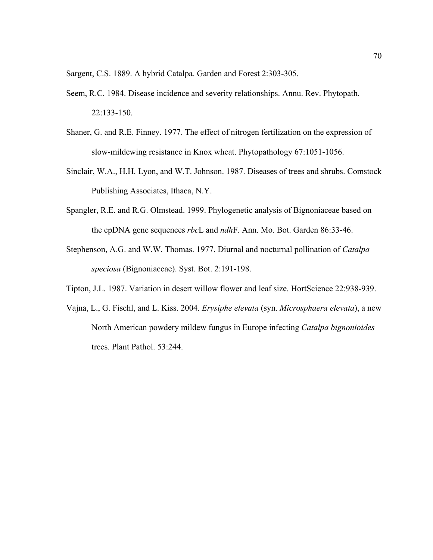Sargent, C.S. 1889. A hybrid Catalpa. Garden and Forest 2:303-305.

- Seem, R.C. 1984. Disease incidence and severity relationships. Annu. Rev. Phytopath. 22:133-150.
- Shaner, G. and R.E. Finney. 1977. The effect of nitrogen fertilization on the expression of slow-mildewing resistance in Knox wheat. Phytopathology 67:1051-1056.
- Sinclair, W.A., H.H. Lyon, and W.T. Johnson. 1987. Diseases of trees and shrubs. Comstock Publishing Associates, Ithaca, N.Y.
- Spangler, R.E. and R.G. Olmstead. 1999. Phylogenetic analysis of Bignoniaceae based on the cpDNA gene sequences *rbc*L and *ndh*F. Ann. Mo. Bot. Garden 86:33-46.
- Stephenson, A.G. and W.W. Thomas. 1977. Diurnal and nocturnal pollination of *Catalpa speciosa* (Bignoniaceae). Syst. Bot. 2:191-198.
- Tipton, J.L. 1987. Variation in desert willow flower and leaf size. HortScience 22:938-939.
- Vajna, L., G. Fischl, and L. Kiss. 2004. *Erysiphe elevata* (syn. *Microsphaera elevata*), a new North American powdery mildew fungus in Europe infecting *Catalpa bignonioides* trees. Plant Pathol. 53:244.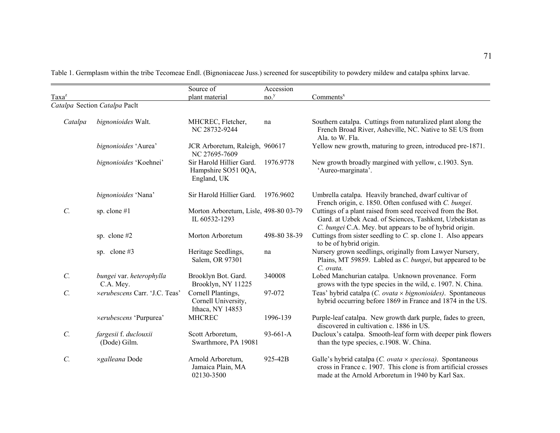Source of Accession Taxa<sup>z</sup> plant material no.<sup>y</sup> Comments<sup>x</sup> *Catalpa* Section *Catalpa* Paclt *Catalpa bignonioides* Walt. MHCREC, Fletcher, na Southern catalpa. Cuttings from naturalized plant along the NC 28732-9244 French Broad River, Asheville, NC. Native to SE US from Ala. to W. Fla. *bignonioides* 'Aurea' JCR Arboretum, Raleigh, 960617 Yellow new growth, maturing to green, introduced pre-1871. NC 27695-7609 *bignonioides* 'Koehnei' Sir Harold Hillier Gard. 1976.9778 New growth broadly margined with yellow, c.1903. Syn. Hampshire SO51 0QA, 'Aureo-marginata'. England, UK  *bignonioides* 'Nana' Sir Harold Hillier Gard. 1976.9602 Umbrella catalpa. Heavily branched, dwarf cultivar of French origin, c. 1850. Often confused with *C. bungei*.  *C.* sp. clone #1 Morton Arboretum, Lisle, 498-80 03-79 Cuttings of a plant raised from seed received from the Bot. IL 60532-1293 Gard. at Uzbek Acad. of Sciences, Tashkent, Uzbekistan as *C. bungei* C.A. Mey. but appears to be of hybrid origin. sp. clone #2 Morton Arboretum 498-80 38-39 Cuttings from sister seedling to *C.* sp. clone 1. Also appears to be of hybrid origin. sp. clone #3 Heritage Seedlings, na Nursery grown seedlings, originally from Lawyer Nursery, Salem, OR 97301 Plains, MT 59859. Labled as *C. bungei*, but appeared to be *C. ovata.C. bungei* var. *heterophylla* Brooklyn Bot. Gard. 340008 Lobed Manchurian catalpa. Unknown provenance. Form C.A. Mey. Brooklyn, NY 11225 grows with the type species in the wild, c. 1907. N. China.  *C.* ×*erubescens* Carr. 'J.C. Teas' Cornell Plantings, 97-072 Teas' hybrid catalpa (*C. ovata* <sup>×</sup> *bignonioides)*. Spontaneous Cornell University, hybrid occurring before 1869 in France and 1874 in the US. Ithaca, NY 14853 <sup>×</sup>*erubescens* 'Purpurea' MHCREC 1996-139 Purple-leaf catalpa. New growth dark purple, fades to green, discovered in cultivation c. 1886 in US. *C. fargesii f. duclouxii* Scott Arboretum, 93-661-A Ducloux's catalpa. Smooth-leaf form with deeper pink flowers (Dode) Gilm. Swarthmore, PA 19081 than the type species, c.1908. W. China.  *C.* <sup>×</sup>*galleana* Dode Arnold Arboretum, 925-42B Galle's hybrid catalpa (*C. ovata* <sup>×</sup> *speciosa)*. Spontaneous Jamaica Plain, MA cross in France c. 1907. This clone is from artificial crosses 02130-3500 made at the Arnold Arboretum in 1940 by Karl Sax.

Table 1. Germplasm within the tribe Tecomeae Endl. (Bignoniaceae Juss.) screened for susceptibility to powdery mildew and catalpa sphinx larvae.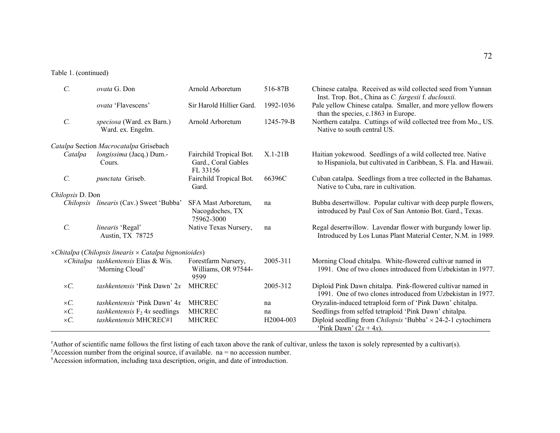# Table 1. (continued)

| $\mathcal{C}$ .                                                      | ovata G. Don                                            | Arnold Arboretum                                           | 516-87B                | Chinese catalpa. Received as wild collected seed from Yunnan<br>Inst. Trop. Bot., China as C. fargesii f. duclouxii.            |  |  |  |  |
|----------------------------------------------------------------------|---------------------------------------------------------|------------------------------------------------------------|------------------------|---------------------------------------------------------------------------------------------------------------------------------|--|--|--|--|
|                                                                      | <i>ovata</i> 'Flavescens'                               | Sir Harold Hillier Gard.                                   | 1992-1036              | Pale yellow Chinese catalpa. Smaller, and more yellow flowers<br>than the species, c.1863 in Europe.                            |  |  |  |  |
| $\mathcal{C}$ .                                                      | speciosa (Ward. ex Barn.)<br>Ward. ex. Engelm.          | Arnold Arboretum                                           | $1245 - 79 - B$        | Northern catalpa. Cuttings of wild collected tree from Mo., US.<br>Native to south central US.                                  |  |  |  |  |
| Catalpa Section Macrocatalpa Grisebach                               |                                                         |                                                            |                        |                                                                                                                                 |  |  |  |  |
| Catalpa                                                              | longissima (Jacq.) Dum.-<br>Cours.                      | Fairchild Tropical Bot.<br>Gard., Coral Gables<br>FL 33156 | $X.1-21B$              | Haitian yokewood. Seedlings of a wild collected tree. Native<br>to Hispaniola, but cultivated in Caribbean, S. Fla. and Hawaii. |  |  |  |  |
| $\mathcal{C}$ .                                                      | punctata Griseb.                                        | Fairchild Tropical Bot.<br>Gard.                           | 66396C                 | Cuban catalpa. Seedlings from a tree collected in the Bahamas.<br>Native to Cuba, rare in cultivation.                          |  |  |  |  |
| Chilopsis D. Don                                                     |                                                         |                                                            |                        |                                                                                                                                 |  |  |  |  |
|                                                                      | Chilopsis linearis (Cav.) Sweet 'Bubba'                 | SFA Mast Arboretum,<br>Nacogdoches, TX<br>75962-3000       | na                     | Bubba desertwillow. Popular cultivar with deep purple flowers,<br>introduced by Paul Cox of San Antonio Bot. Gard., Texas.      |  |  |  |  |
| $\mathcal{C}$ .                                                      | <i>linearis</i> 'Regal'<br>Austin, TX 78725             | Native Texas Nursery,                                      | na                     | Regal desertwillow. Lavendar flower with burgundy lower lip.<br>Introduced by Los Lunas Plant Material Center, N.M. in 1989.    |  |  |  |  |
| $\times$ Chitalpa (Chilopsis linearis $\times$ Catalpa bignonioides) |                                                         |                                                            |                        |                                                                                                                                 |  |  |  |  |
|                                                                      | xChitalpa tashkentensis Elias & Wis.<br>'Morning Cloud' | Forestfarm Nursery,<br>Williams, OR 97544-<br>9599         | 2005-311               | Morning Cloud chitalpa. White-flowered cultivar named in<br>1991. One of two clones introduced from Uzbekistan in 1977.         |  |  |  |  |
| $\times C$ .                                                         | tashkentensis 'Pink Dawn' 2x                            | <b>MHCREC</b>                                              | 2005-312               | Diploid Pink Dawn chitalpa. Pink-flowered cultivar named in<br>1991. One of two clones introduced from Uzbekistan in 1977.      |  |  |  |  |
| $\times C$ .                                                         | tashkentensis 'Pink Dawn' 4x                            | <b>MHCREC</b>                                              | na                     | Oryzalin-induced tetraploid form of 'Pink Dawn' chitalpa.                                                                       |  |  |  |  |
| $\times C$ .                                                         | tashkentensis $F_2$ 4x seedlings                        | <b>MHCREC</b>                                              | na                     | Seedlings from selfed tetraploid 'Pink Dawn' chitalpa.                                                                          |  |  |  |  |
| $\times C$ .                                                         | tashkentensis MHCREC#1                                  | <b>MHCREC</b>                                              | H <sub>2004</sub> -003 | Diploid seedling from <i>Chilopsis</i> 'Bubba' $\times$ 24-2-1 cytochimera<br>'Pink Dawn' $(2x + 4x)$ .                         |  |  |  |  |

<sup>z</sup>Author of scientific name follows the first listing of each taxon above the rank of cultivar, unless the taxon is solely represented by a cultivar(s).<br><sup>y</sup>Accession number from the original source, if available. na = no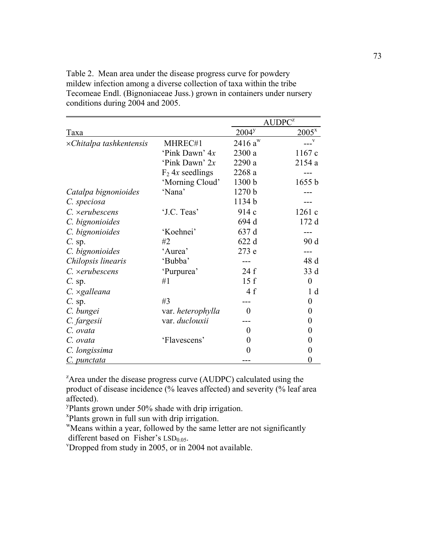Table 2. Mean area under the disease progress curve for powdery mildew infection among a diverse collection of taxa within the tribe Tecomeae Endl. (Bignoniaceae Juss.) grown in containers under nursery conditions during 2004 and 2005.

|                                 |                    | AUDPC <sup>z</sup> |                  |
|---------------------------------|--------------------|--------------------|------------------|
| Taxa                            | 2004 <sup>y</sup>  | $2005^{x}$         |                  |
| $\times$ Chitalpa tashkentensis | MHREC#1            | $2416 a^{w}$       | $\overline{v}$   |
|                                 | 'Pink Dawn' 4x     | 2300 a             | 1167c            |
|                                 | 'Pink Dawn' 2x     | 2290 a             | 2154 a           |
|                                 | $F_2$ 4x seedlings | 2268 a             |                  |
|                                 | 'Morning Cloud'    | 1300 b             | 1655 b           |
| Catalpa bignonioides            | 'Nana'             | 1270 b             |                  |
| C. speciosa                     |                    | 1134b              |                  |
| C. xerubescens                  | 'J.C. Teas'        | 914 c              | 1261 c           |
| C. bignonioides                 |                    | 694 d              | 172 d            |
| C. bignonioides                 | 'Koehnei'          | 637 d              |                  |
| $C.$ sp.                        | #2                 | 622 d              | 90 d             |
| C. bignonioides                 | 'Aurea'            | 273 e              |                  |
| Chilopsis linearis              | 'Bubba'            |                    | 48 d             |
| $C.$ xerubescens                | 'Purpurea'         | 24f                | 33 d             |
| $C.$ sp.                        | #1                 | 15f                | $\boldsymbol{0}$ |
| $C. \times$ galleana            |                    | 4f                 | 1 <sub>d</sub>   |
| $C.$ sp.                        | #3                 |                    | 0                |
| C. bungei                       | var. heterophylla  | 0                  | $\theta$         |
| C. fargesii                     | var. duclouxii     |                    | 0                |
| C. ovata                        |                    | 0                  | $_{0}$           |
| C. ovata                        | 'Flavescens'       | 0                  | 0                |
| C. longissima                   |                    | $\theta$           | 0                |
| C. punctata                     |                    |                    | 0                |

<sup>z</sup>Area under the disease progress curve (AUDPC) calculated using the product of disease incidence (% leaves affected) and severity (% leaf area affected).

<sup>y</sup>Plants grown under 50% shade with drip irrigation.

x Plants grown in full sun with drip irrigation.

wMeans within a year, followed by the same letter are not significantly different based on Fisher's  $LSD<sub>0.05</sub>$ .

 $v$ Dropped from study in 2005, or in 2004 not available.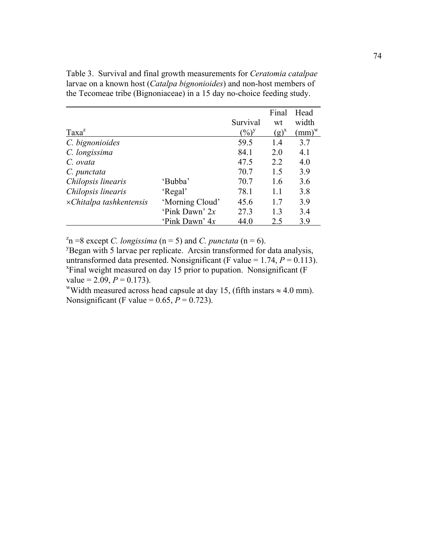Table 3. Survival and final growth measurements for *Ceratomia catalpae* larvae on a known host (*Catalpa bignonioides*) and non-host members of the Tecomeae tribe (Bignoniaceae) in a 15 day no-choice feeding study.

|                                 |                  |                   | Final     | Head       |
|---------------------------------|------------------|-------------------|-----------|------------|
|                                 |                  | Survival          | wt        | width      |
| Taxa <sup>2</sup>               |                  | $(\frac{0}{0})^y$ | $(g)^{x}$ | $(mm)^{w}$ |
| C. bignonioides                 |                  | 59.5              | 14        | 3.7        |
| C. longissima                   |                  | 84.1              | 2.0       | 4.1        |
| C. ovata                        |                  | 47.5              | 2.2       | 40         |
| C. punctata                     |                  | 70.7              | 1.5       | 3.9        |
| Chilopsis linearis              | 'Bubba'          | 70.7              | 1.6       | 3.6        |
| Chilopsis linearis              | 'Regal'          | 78.1              | 11        | 3.8        |
| $\times$ Chitalpa tashkentensis | 'Morning Cloud'  | 45.6              | 17        | 3.9        |
|                                 | 'Pink Dawn' $2x$ | 27.3              | 1.3       | 34         |
|                                 | 'Pink Dawn' 4x   | 44.0              | 2.5       | 3.9        |

 $z<sup>z</sup>n = 8$  except *C. longissima* (n = 5) and *C. punctata* (n = 6).

<sup>y</sup>Began with 5 larvae per replicate. Arcsin transformed for data analysis, untransformed data presented. Nonsignificant (F value =  $1.74$ ,  $P = 0.113$ ). <sup>x</sup>Final weight measured on day 15 prior to pupation. Nonsignificant (F value = 2.09,  $P = 0.173$ ).

<sup>w</sup>Width measured across head capsule at day 15, (fifth instars  $\approx 4.0$  mm). Nonsignificant (F value =  $0.65$ ,  $P = 0.723$ ).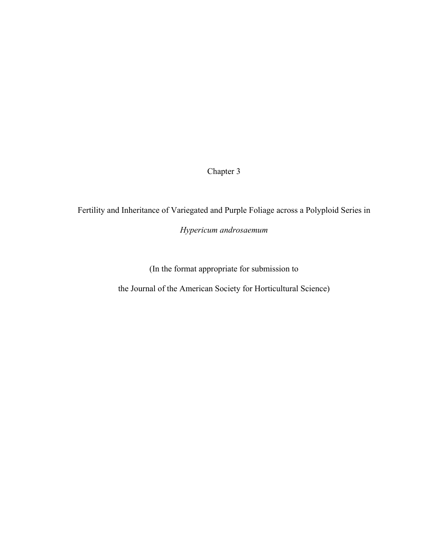Chapter 3

Fertility and Inheritance of Variegated and Purple Foliage across a Polyploid Series in

*Hypericum androsaemum*

(In the format appropriate for submission to

the Journal of the American Society for Horticultural Science)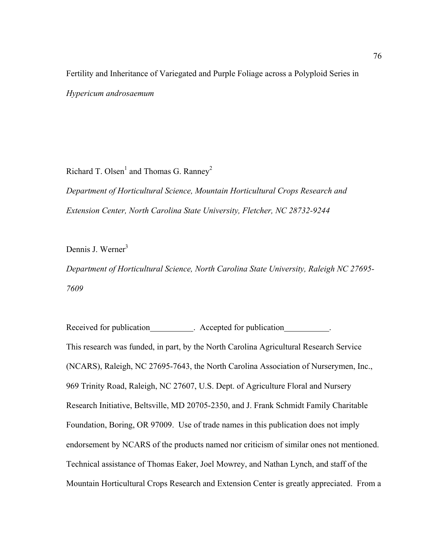Fertility and Inheritance of Variegated and Purple Foliage across a Polyploid Series in *Hypericum androsaemum*

Richard T. Olsen<sup>1</sup> and Thomas G. Ranney<sup>2</sup>

*Department of Horticultural Science, Mountain Horticultural Crops Research and Extension Center, North Carolina State University, Fletcher, NC 28732-9244* 

Dennis J. Werner $3$ 

*Department of Horticultural Science, North Carolina State University, Raleigh NC 27695- 7609* 

Received for publication . Accepted for publication . This research was funded, in part, by the North Carolina Agricultural Research Service (NCARS), Raleigh, NC 27695-7643, the North Carolina Association of Nurserymen, Inc., 969 Trinity Road, Raleigh, NC 27607, U.S. Dept. of Agriculture Floral and Nursery Research Initiative, Beltsville, MD 20705-2350, and J. Frank Schmidt Family Charitable Foundation, Boring, OR 97009. Use of trade names in this publication does not imply endorsement by NCARS of the products named nor criticism of similar ones not mentioned. Technical assistance of Thomas Eaker, Joel Mowrey, and Nathan Lynch, and staff of the Mountain Horticultural Crops Research and Extension Center is greatly appreciated. From a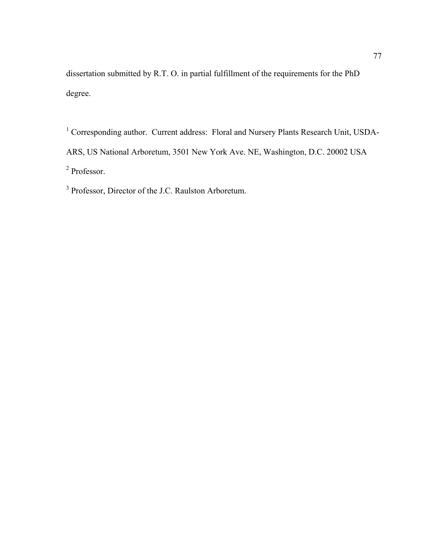dissertation submitted by R.T. O. in partial fulfillment of the requirements for the PhD degree.

<sup>1</sup> Corresponding author. Current address: Floral and Nursery Plants Research Unit, USDA-ARS, US National Arboretum, 3501 New York Ave. NE, Washington, D.C. 20002 USA 2 Professor.

<sup>3</sup> Professor, Director of the J.C. Raulston Arboretum.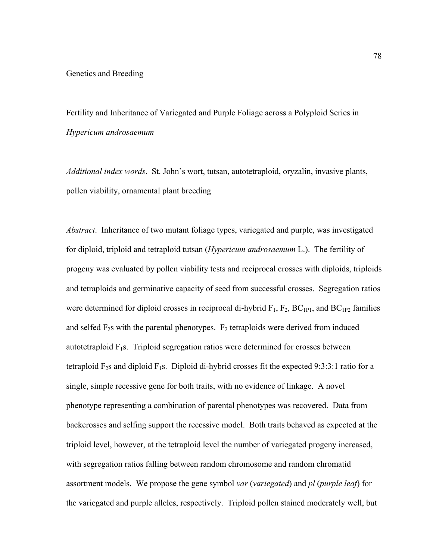Fertility and Inheritance of Variegated and Purple Foliage across a Polyploid Series in *Hypericum androsaemum*

*Additional index words*. St. John's wort, tutsan, autotetraploid, oryzalin, invasive plants, pollen viability, ornamental plant breeding

*Abstract*. Inheritance of two mutant foliage types, variegated and purple, was investigated for diploid, triploid and tetraploid tutsan (*Hypericum androsaemum* L.). The fertility of progeny was evaluated by pollen viability tests and reciprocal crosses with diploids, triploids and tetraploids and germinative capacity of seed from successful crosses. Segregation ratios were determined for diploid crosses in reciprocal di-hybrid  $F_1$ ,  $F_2$ ,  $BC_{1P1}$ , and  $BC_{1P2}$  families and selfed  $F_2$ s with the parental phenotypes.  $F_2$  tetraploids were derived from induced autotetraploid  $F_1s$ . Triploid segregation ratios were determined for crosses between tetraploid  $F_2$ s and diploid  $F_1$ s. Diploid di-hybrid crosses fit the expected 9:3:3:1 ratio for a single, simple recessive gene for both traits, with no evidence of linkage. A novel phenotype representing a combination of parental phenotypes was recovered. Data from backcrosses and selfing support the recessive model. Both traits behaved as expected at the triploid level, however, at the tetraploid level the number of variegated progeny increased, with segregation ratios falling between random chromosome and random chromatid assortment models. We propose the gene symbol *var* (*variegated*) and *pl* (*purple leaf*) for the variegated and purple alleles, respectively. Triploid pollen stained moderately well, but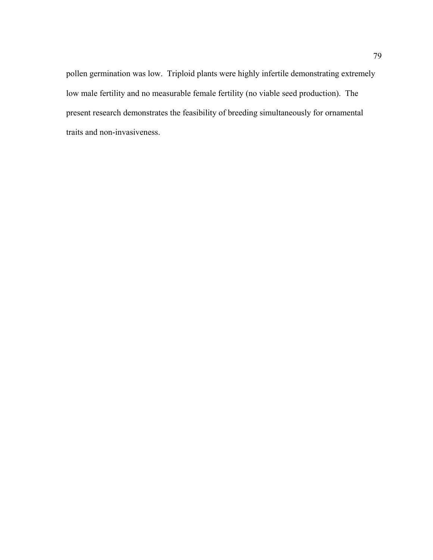pollen germination was low. Triploid plants were highly infertile demonstrating extremely low male fertility and no measurable female fertility (no viable seed production). The present research demonstrates the feasibility of breeding simultaneously for ornamental traits and non-invasiveness.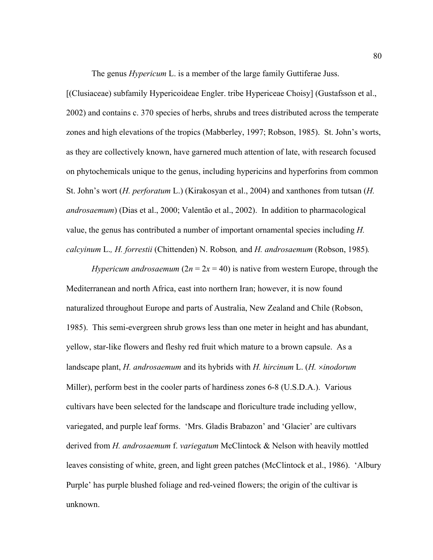The genus *Hypericum* L. is a member of the large family Guttiferae Juss.

[(Clusiaceae) subfamily Hypericoideae Engler. tribe Hypericeae Choisy] (Gustafsson et al., 2002) and contains c. 370 species of herbs, shrubs and trees distributed across the temperate zones and high elevations of the tropics (Mabberley, 1997; Robson, 1985). St. John's worts, as they are collectively known, have garnered much attention of late, with research focused on phytochemicals unique to the genus, including hypericins and hyperforins from common St. John's wort (*H. perforatum* L.) (Kirakosyan et al., 2004) and xanthones from tutsan (*H. androsaemum*) (Dias et al., 2000; Valentão et al., 2002). In addition to pharmacological value, the genus has contributed a number of important ornamental species including *H. calcyinum* L.*, H. forrestii* (Chittenden) N. Robson*,* and *H. androsaemum* (Robson, 1985)*.*

*Hypericum androsaemum*  $(2n = 2x = 40)$  is native from western Europe, through the Mediterranean and north Africa, east into northern Iran; however, it is now found naturalized throughout Europe and parts of Australia, New Zealand and Chile (Robson, 1985). This semi-evergreen shrub grows less than one meter in height and has abundant, yellow, star-like flowers and fleshy red fruit which mature to a brown capsule. As a landscape plant, *H. androsaemum* and its hybrids with *H. hircinum* L. (*H.* ×*inodorum*  Miller), perform best in the cooler parts of hardiness zones 6-8 (U.S.D.A.). Various cultivars have been selected for the landscape and floriculture trade including yellow, variegated, and purple leaf forms. 'Mrs. Gladis Brabazon' and 'Glacier' are cultivars derived from *H. androsaemum* f. *variegatum* McClintock & Nelson with heavily mottled leaves consisting of white, green, and light green patches (McClintock et al., 1986). 'Albury Purple' has purple blushed foliage and red-veined flowers; the origin of the cultivar is unknown.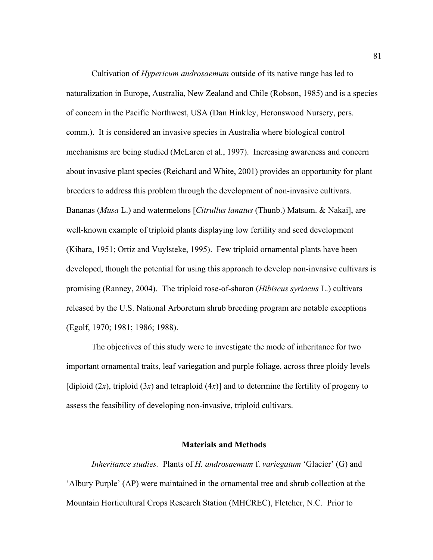Cultivation of *Hypericum androsaemum* outside of its native range has led to naturalization in Europe, Australia, New Zealand and Chile (Robson, 1985) and is a species of concern in the Pacific Northwest, USA (Dan Hinkley, Heronswood Nursery, pers. comm.). It is considered an invasive species in Australia where biological control mechanisms are being studied (McLaren et al., 1997). Increasing awareness and concern about invasive plant species (Reichard and White, 2001) provides an opportunity for plant breeders to address this problem through the development of non-invasive cultivars. Bananas (*Musa* L.) and watermelons [*Citrullus lanatus* (Thunb.) Matsum. & Nakai], are well-known example of triploid plants displaying low fertility and seed development (Kihara, 1951; Ortiz and Vuylsteke, 1995). Few triploid ornamental plants have been developed, though the potential for using this approach to develop non-invasive cultivars is promising (Ranney, 2004). The triploid rose-of-sharon (*Hibiscus syriacus* L.) cultivars released by the U.S. National Arboretum shrub breeding program are notable exceptions (Egolf, 1970; 1981; 1986; 1988).

 The objectives of this study were to investigate the mode of inheritance for two important ornamental traits, leaf variegation and purple foliage, across three ploidy levels  $\int$ diploid (2*x*), triploid (3*x*) and tetraploid (4*x*)] and to determine the fertility of progeny to assess the feasibility of developing non-invasive, triploid cultivars.

### **Materials and Methods**

 *Inheritance studies.* Plants of *H. androsaemum* f. *variegatum* 'Glacier' (G) and 'Albury Purple' (AP) were maintained in the ornamental tree and shrub collection at the Mountain Horticultural Crops Research Station (MHCREC), Fletcher, N.C. Prior to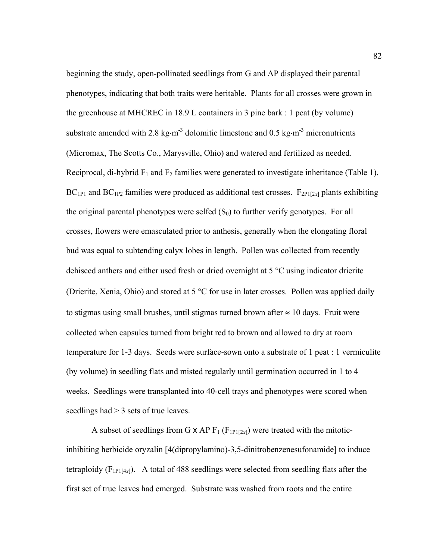beginning the study, open-pollinated seedlings from G and AP displayed their parental phenotypes, indicating that both traits were heritable. Plants for all crosses were grown in the greenhouse at MHCREC in 18.9 L containers in 3 pine bark : 1 peat (by volume) substrate amended with 2.8 kg⋅m<sup>-3</sup> dolomitic limestone and 0.5 kg⋅m<sup>-3</sup> micronutrients (Micromax, The Scotts Co., Marysville, Ohio) and watered and fertilized as needed. Reciprocal, di-hybrid  $F_1$  and  $F_2$  families were generated to investigate inheritance (Table 1).  $BC_{1P1}$  and  $BC_{1P2}$  families were produced as additional test crosses.  $F_{2P1[2x]}$  plants exhibiting the original parental phenotypes were selfed  $(S_0)$  to further verify genotypes. For all crosses, flowers were emasculated prior to anthesis, generally when the elongating floral bud was equal to subtending calyx lobes in length. Pollen was collected from recently dehisced anthers and either used fresh or dried overnight at 5 °C using indicator drierite (Drierite, Xenia, Ohio) and stored at 5 °C for use in later crosses. Pollen was applied daily to stigmas using small brushes, until stigmas turned brown after  $\approx 10$  days. Fruit were collected when capsules turned from bright red to brown and allowed to dry at room temperature for 1-3 days. Seeds were surface-sown onto a substrate of 1 peat : 1 vermiculite (by volume) in seedling flats and misted regularly until germination occurred in 1 to 4 weeks. Seedlings were transplanted into 40-cell trays and phenotypes were scored when seedlings had > 3 sets of true leaves.

A subset of seedlings from G  $\times$  AP  $F_1$  ( $F_{1PI[2x]}$ ) were treated with the mitoticinhibiting herbicide oryzalin [4(dipropylamino)-3,5-dinitrobenzenesufonamide] to induce tetraploidy  $(F_{1P1[4x]})$ . A total of 488 seedlings were selected from seedling flats after the first set of true leaves had emerged. Substrate was washed from roots and the entire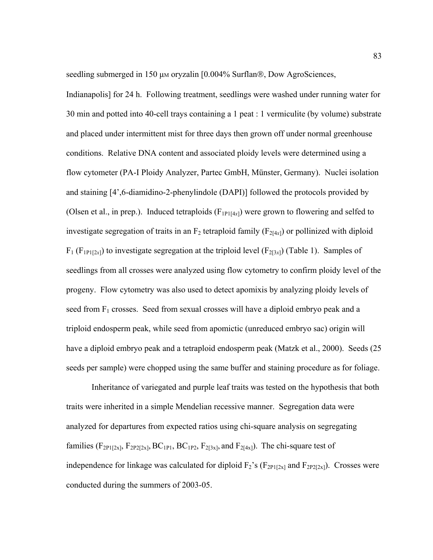seedling submerged in 150 μm oryzalin [0.004% Surflan®, Dow AgroSciences,

Indianapolis] for 24 h. Following treatment, seedlings were washed under running water for 30 min and potted into 40-cell trays containing a 1 peat : 1 vermiculite (by volume) substrate and placed under intermittent mist for three days then grown off under normal greenhouse conditions. Relative DNA content and associated ploidy levels were determined using a flow cytometer (PA-I Ploidy Analyzer, Partec GmbH, Münster, Germany). Nuclei isolation and staining [4',6-diamidino-2-phenylindole (DAPI)] followed the protocols provided by (Olsen et al., in prep.). Induced tetraploids  $(F_{1P1[4x]})$  were grown to flowering and selfed to investigate segregation of traits in an  $F_2$  tetraploid family ( $F_{2[4x]}$ ) or pollinized with diploid  $F_1$  ( $F_{1P1[2x]}$ ) to investigate segregation at the triploid level ( $F_{2[3x]}$ ) (Table 1). Samples of seedlings from all crosses were analyzed using flow cytometry to confirm ploidy level of the progeny. Flow cytometry was also used to detect apomixis by analyzing ploidy levels of seed from  $F_1$  crosses. Seed from sexual crosses will have a diploid embryo peak and a triploid endosperm peak, while seed from apomictic (unreduced embryo sac) origin will have a diploid embryo peak and a tetraploid endosperm peak (Matzk et al., 2000). Seeds (25 seeds per sample) were chopped using the same buffer and staining procedure as for foliage.

 Inheritance of variegated and purple leaf traits was tested on the hypothesis that both traits were inherited in a simple Mendelian recessive manner. Segregation data were analyzed for departures from expected ratios using chi-square analysis on segregating families ( $F_{2P1[2x]}$ ,  $F_{2P2[2x]}$ ,  $BC_{1P1}$ ,  $BC_{1P2}$ ,  $F_{2[3x]}$ , and  $F_{2[4x]}$ ). The chi-square test of independence for linkage was calculated for diploid  $F_2$ 's ( $F_{2P1[2x]}$  and  $F_{2P2[2x]}$ ). Crosses were conducted during the summers of 2003-05.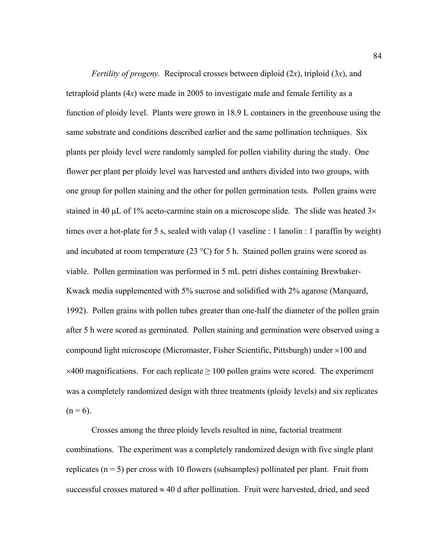*Fertility of progeny.* Reciprocal crosses between diploid (2*x*), triploid (3*x*), and tetraploid plants (4*x*) were made in 2005 to investigate male and female fertility as a function of ploidy level. Plants were grown in 18.9 L containers in the greenhouse using the same substrate and conditions described earlier and the same pollination techniques. Six plants per ploidy level were randomly sampled for pollen viability during the study. One flower per plant per ploidy level was harvested and anthers divided into two groups, with one group for pollen staining and the other for pollen germination tests. Pollen grains were stained in 40  $\mu$ L of 1% aceto-carmine stain on a microscope slide. The slide was heated 3 $\times$ times over a hot-plate for 5 s, sealed with valap (1 vaseline : 1 lanolin : 1 paraffin by weight) and incubated at room temperature (23  $^{\circ}$ C) for 5 h. Stained pollen grains were scored as viable. Pollen germination was performed in 5 mL petri dishes containing Brewbaker-Kwack media supplemented with 5% sucrose and solidified with 2% agarose (Marquard, 1992). Pollen grains with pollen tubes greater than one-half the diameter of the pollen grain after 5 h were scored as germinated. Pollen staining and germination were observed using a compound light microscope (Micromaster, Fisher Scientific, Pittsburgh) under ×100 and  $\times$ 400 magnifications. For each replicate  $\geq$  100 pollen grains were scored. The experiment was a completely randomized design with three treatments (ploidy levels) and six replicates  $(n = 6)$ .

 Crosses among the three ploidy levels resulted in nine, factorial treatment combinations. The experiment was a completely randomized design with five single plant replicates  $(n = 5)$  per cross with 10 flowers (subsamples) pollinated per plant. Fruit from successful crosses matured  $\approx$  40 d after pollination. Fruit were harvested, dried, and seed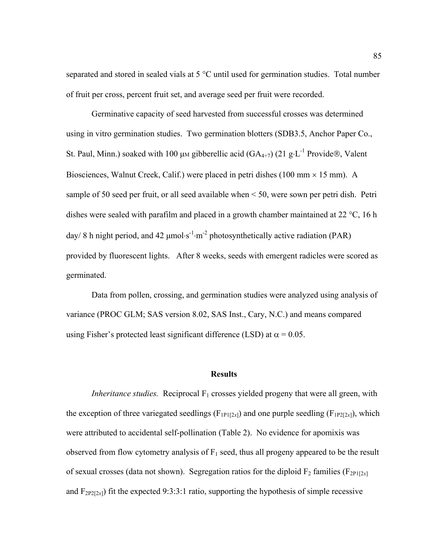separated and stored in sealed vials at 5 °C until used for germination studies. Total number of fruit per cross, percent fruit set, and average seed per fruit were recorded.

 Germinative capacity of seed harvested from successful crosses was determined using in vitro germination studies. Two germination blotters (SDB3.5, Anchor Paper Co., St. Paul, Minn.) soaked with 100 µm gibberellic acid (GA<sub>4+7</sub>) (21 g⋅L<sup>-1</sup> Provide®, Valent Biosciences, Walnut Creek, Calif.) were placed in petri dishes (100 mm  $\times$  15 mm). A sample of 50 seed per fruit, or all seed available when < 50, were sown per petri dish. Petri dishes were sealed with parafilm and placed in a growth chamber maintained at 22 °C, 16 h day/ 8 h night period, and 42  $\mu$ mol⋅s<sup>-1</sup>⋅m<sup>-2</sup> photosynthetically active radiation (PAR) provided by fluorescent lights. After 8 weeks, seeds with emergent radicles were scored as germinated.

 Data from pollen, crossing, and germination studies were analyzed using analysis of variance (PROC GLM; SAS version 8.02, SAS Inst., Cary, N.C.) and means compared using Fisher's protected least significant difference (LSD) at  $\alpha$  = 0.05.

## **Results**

*Inheritance studies.* Reciprocal  $F_1$  crosses yielded progeny that were all green, with the exception of three variegated seedlings ( $F_{1PI[2x]}$ ) and one purple seedling ( $F_{1PI[2x]}$ ), which were attributed to accidental self-pollination (Table 2). No evidence for apomixis was observed from flow cytometry analysis of  $F_1$  seed, thus all progeny appeared to be the result of sexual crosses (data not shown). Segregation ratios for the diploid  $F_2$  families ( $F_{2P1[2x]}$ ) and  $F_{2P2[2x]}$ ) fit the expected 9:3:3:1 ratio, supporting the hypothesis of simple recessive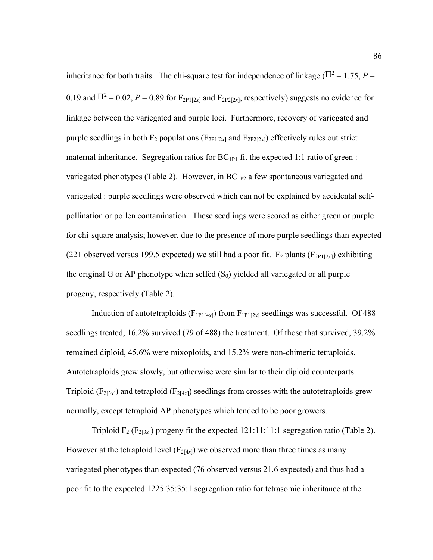inheritance for both traits. The chi-square test for independence of linkage ( $\Pi^2 = 1.75$ ,  $P =$ 0.19 and  $\Pi^2 = 0.02$ ,  $P = 0.89$  for  $F_{2P1[2x]}$  and  $F_{2P2[2x]}$ , respectively) suggests no evidence for linkage between the variegated and purple loci. Furthermore, recovery of variegated and purple seedlings in both  $F_2$  populations ( $F_{2P1[2x]}$  and  $F_{2P2[2x]}$ ) effectively rules out strict maternal inheritance. Segregation ratios for  $BC_{1P1}$  fit the expected 1:1 ratio of green : variegated phenotypes (Table 2). However, in  $BC_{1P2}$  a few spontaneous variegated and variegated : purple seedlings were observed which can not be explained by accidental selfpollination or pollen contamination. These seedlings were scored as either green or purple for chi-square analysis; however, due to the presence of more purple seedlings than expected (221 observed versus 199.5 expected) we still had a poor fit.  $F_2$  plants ( $F_{2P1[2x]}$ ) exhibiting the original G or AP phenotype when selfed  $(S_0)$  yielded all variegated or all purple progeny, respectively (Table 2).

Induction of autotetraploids  $(F_{1PI[4x]})$  from  $F_{1PI[2x]}$  seedlings was successful. Of 488 seedlings treated, 16.2% survived (79 of 488) the treatment. Of those that survived, 39.2% remained diploid, 45.6% were mixoploids, and 15.2% were non-chimeric tetraploids. Autotetraploids grew slowly, but otherwise were similar to their diploid counterparts. Triploid ( $F_{2[3x]}$ ) and tetraploid ( $F_{2[4x]}$ ) seedlings from crosses with the autotetraploids grew normally, except tetraploid AP phenotypes which tended to be poor growers.

Triploid  $F_2$  ( $F_{2[3x]}$ ) progeny fit the expected 121:11:11:1 segregation ratio (Table 2). However at the tetraploid level  $(F_{2[4x]})$  we observed more than three times as many variegated phenotypes than expected (76 observed versus 21.6 expected) and thus had a poor fit to the expected 1225:35:35:1 segregation ratio for tetrasomic inheritance at the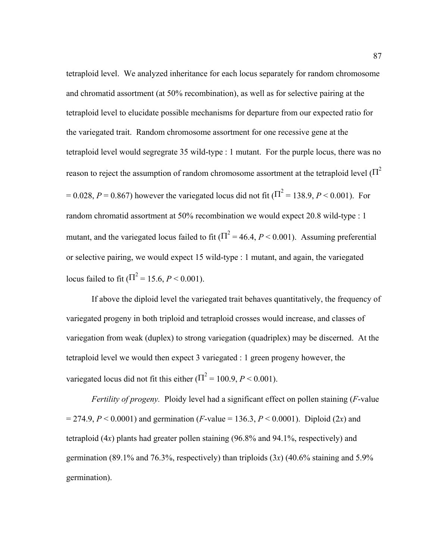tetraploid level. We analyzed inheritance for each locus separately for random chromosome and chromatid assortment (at 50% recombination), as well as for selective pairing at the tetraploid level to elucidate possible mechanisms for departure from our expected ratio for the variegated trait. Random chromosome assortment for one recessive gene at the tetraploid level would segregrate 35 wild-type : 1 mutant. For the purple locus, there was no reason to reject the assumption of random chromosome assortment at the tetraploid level  $(\Pi^2)$  $= 0.028, P = 0.867$ ) however the variegated locus did not fit ( $\Pi^2 = 138.9, P < 0.001$ ). For random chromatid assortment at 50% recombination we would expect 20.8 wild-type : 1 mutant, and the variegated locus failed to fit  $(\Pi^2 = 46.4, P \le 0.001)$ . Assuming preferential or selective pairing, we would expect 15 wild-type : 1 mutant, and again, the variegated locus failed to fit  $(\Pi^2 = 15.6, P < 0.001)$ .

 If above the diploid level the variegated trait behaves quantitatively, the frequency of variegated progeny in both triploid and tetraploid crosses would increase, and classes of variegation from weak (duplex) to strong variegation (quadriplex) may be discerned. At the tetraploid level we would then expect 3 variegated : 1 green progeny however, the variegated locus did not fit this either  $(\Pi^2 = 100.9, P \le 0.001)$ .

*Fertility of progeny.* Ploidy level had a significant effect on pollen staining (*F*-value  $= 274.9, P < 0.0001$  and germination (*F*-value = 136.3, *P* < 0.0001). Diploid (2*x*) and tetraploid (4*x*) plants had greater pollen staining (96.8% and 94.1%, respectively) and germination (89.1% and 76.3%, respectively) than triploids (3*x*) (40.6% staining and 5.9% germination).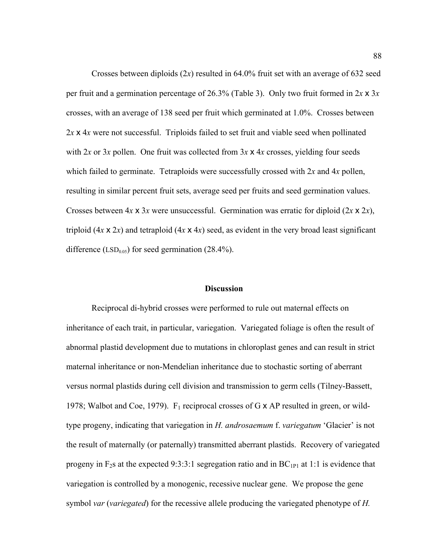Crosses between diploids (2*x*) resulted in 64.0% fruit set with an average of 632 seed per fruit and a germination percentage of 26.3% (Table 3). Only two fruit formed in 2*x* x 3*x* crosses, with an average of 138 seed per fruit which germinated at 1.0%. Crosses between 2*x* x 4*x* were not successful. Triploids failed to set fruit and viable seed when pollinated with  $2x$  or  $3x$  pollen. One fruit was collected from  $3x \times 4x$  crosses, yielding four seeds which failed to germinate. Tetraploids were successfully crossed with 2*x* and 4*x* pollen, resulting in similar percent fruit sets, average seed per fruits and seed germination values. Crosses between 4*x* x 3*x* were unsuccessful. Germination was erratic for diploid (2*x* x 2*x*), triploid  $(4x \times 2x)$  and tetraploid  $(4x \times 4x)$  seed, as evident in the very broad least significant difference (LSD<sub>0.05</sub>) for seed germination (28.4%).

## **Discussion**

 Reciprocal di-hybrid crosses were performed to rule out maternal effects on inheritance of each trait, in particular, variegation. Variegated foliage is often the result of abnormal plastid development due to mutations in chloroplast genes and can result in strict maternal inheritance or non-Mendelian inheritance due to stochastic sorting of aberrant versus normal plastids during cell division and transmission to germ cells (Tilney-Bassett, 1978; Walbot and Coe, 1979).  $F_1$  reciprocal crosses of G x AP resulted in green, or wildtype progeny, indicating that variegation in *H. androsaemum* f. *variegatum* 'Glacier' is not the result of maternally (or paternally) transmitted aberrant plastids. Recovery of variegated progeny in  $F_2$ s at the expected 9:3:3:1 segregation ratio and in  $BC_{1P1}$  at 1:1 is evidence that variegation is controlled by a monogenic, recessive nuclear gene. We propose the gene symbol *var* (*variegated*) for the recessive allele producing the variegated phenotype of *H.*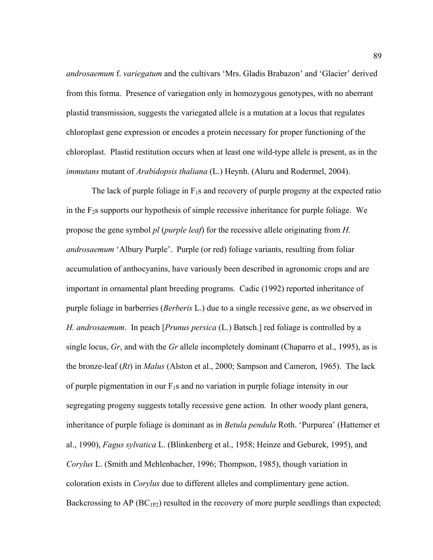*androsaemum* f. *variegatum* and the cultivars 'Mrs. Gladis Brabazon' and 'Glacier' derived from this forma. Presence of variegation only in homozygous genotypes, with no aberrant plastid transmission, suggests the variegated allele is a mutation at a locus that regulates chloroplast gene expression or encodes a protein necessary for proper functioning of the chloroplast. Plastid restitution occurs when at least one wild-type allele is present, as in the *immutans* mutant of *Arabidopsis thaliana* (L.) Heynh. (Aluru and Rodermel, 2004).

The lack of purple foliage in  $F_1s$  and recovery of purple progeny at the expected ratio in the  $F_2$ s supports our hypothesis of simple recessive inheritance for purple foliage. We propose the gene symbol *pl* (*purple leaf*) for the recessive allele originating from *H. androsaemum* 'Albury Purple'. Purple (or red) foliage variants, resulting from foliar accumulation of anthocyanins, have variously been described in agronomic crops and are important in ornamental plant breeding programs. Cadic (1992) reported inheritance of purple foliage in barberries (*Berberis* L.) due to a single recessive gene, as we observed in *H. androsaemum*. In peach [*Prunus persica* (L.) Batsch.] red foliage is controlled by a single locus, *Gr*, and with the *Gr* allele incompletely dominant (Chaparro et al., 1995), as is the bronze-leaf (*Rt*) in *Malus* (Alston et al., 2000; Sampson and Cameron, 1965). The lack of purple pigmentation in our  $F_1s$  and no variation in purple foliage intensity in our segregating progeny suggests totally recessive gene action. In other woody plant genera, inheritance of purple foliage is dominant as in *Betula pendula* Roth. 'Purpurea' (Hattemer et al., 1990), *Fagus sylvatica* L. (Blinkenberg et al., 1958; Heinze and Geburek, 1995), and *Corylus* L. (Smith and Mehlenbacher, 1996; Thompson, 1985), though variation in coloration exists in *Corylus* due to different alleles and complimentary gene action. Backcrossing to AP  $(BC_{1P2})$  resulted in the recovery of more purple seedlings than expected;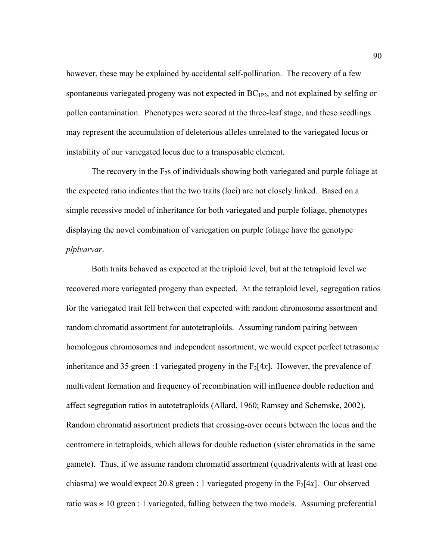however, these may be explained by accidental self-pollination. The recovery of a few spontaneous variegated progeny was not expected in  $BC_{1P2}$ , and not explained by selfing or pollen contamination. Phenotypes were scored at the three-leaf stage, and these seedlings may represent the accumulation of deleterious alleles unrelated to the variegated locus or instability of our variegated locus due to a transposable element.

The recovery in the  $F_2$ s of individuals showing both variegated and purple foliage at the expected ratio indicates that the two traits (loci) are not closely linked. Based on a simple recessive model of inheritance for both variegated and purple foliage, phenotypes displaying the novel combination of variegation on purple foliage have the genotype *plplvarvar*.

 Both traits behaved as expected at the triploid level, but at the tetraploid level we recovered more variegated progeny than expected. At the tetraploid level, segregation ratios for the variegated trait fell between that expected with random chromosome assortment and random chromatid assortment for autotetraploids. Assuming random pairing between homologous chromosomes and independent assortment, we would expect perfect tetrasomic inheritance and 35 green :1 variegated progeny in the  $F_2[4x]$ . However, the prevalence of multivalent formation and frequency of recombination will influence double reduction and affect segregation ratios in autotetraploids (Allard, 1960; Ramsey and Schemske, 2002). Random chromatid assortment predicts that crossing-over occurs between the locus and the centromere in tetraploids, which allows for double reduction (sister chromatids in the same gamete). Thus, if we assume random chromatid assortment (quadrivalents with at least one chiasma) we would expect 20.8 green : 1 variegated progeny in the  $F_2[4x]$ . Our observed ratio was  $\approx 10$  green : 1 variegated, falling between the two models. Assuming preferential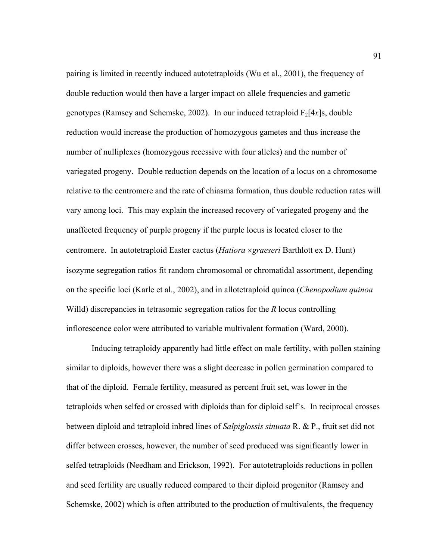pairing is limited in recently induced autotetraploids (Wu et al., 2001), the frequency of double reduction would then have a larger impact on allele frequencies and gametic genotypes (Ramsey and Schemske, 2002). In our induced tetraploid  $F_2[4x]$ s, double reduction would increase the production of homozygous gametes and thus increase the number of nulliplexes (homozygous recessive with four alleles) and the number of variegated progeny. Double reduction depends on the location of a locus on a chromosome relative to the centromere and the rate of chiasma formation, thus double reduction rates will vary among loci. This may explain the increased recovery of variegated progeny and the unaffected frequency of purple progeny if the purple locus is located closer to the centromere. In autotetraploid Easter cactus (*Hatiora* ×*graeseri* Barthlott ex D. Hunt) isozyme segregation ratios fit random chromosomal or chromatidal assortment, depending on the specific loci (Karle et al., 2002), and in allotetraploid quinoa (*Chenopodium quinoa*  Willd) discrepancies in tetrasomic segregation ratios for the *R* locus controlling inflorescence color were attributed to variable multivalent formation (Ward, 2000).

 Inducing tetraploidy apparently had little effect on male fertility, with pollen staining similar to diploids, however there was a slight decrease in pollen germination compared to that of the diploid. Female fertility, measured as percent fruit set, was lower in the tetraploids when selfed or crossed with diploids than for diploid self's. In reciprocal crosses between diploid and tetraploid inbred lines of *Salpiglossis sinuata* R. & P., fruit set did not differ between crosses, however, the number of seed produced was significantly lower in selfed tetraploids (Needham and Erickson, 1992). For autotetraploids reductions in pollen and seed fertility are usually reduced compared to their diploid progenitor (Ramsey and Schemske, 2002) which is often attributed to the production of multivalents, the frequency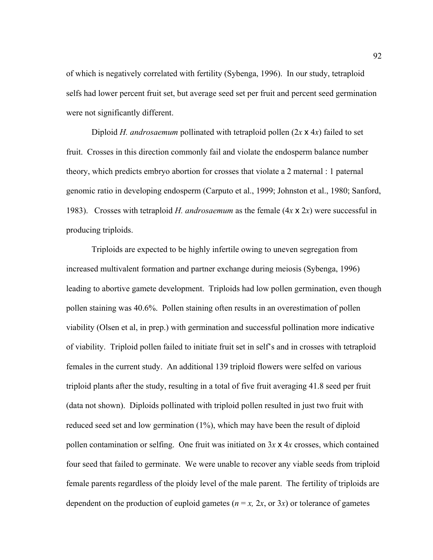of which is negatively correlated with fertility (Sybenga, 1996). In our study, tetraploid selfs had lower percent fruit set, but average seed set per fruit and percent seed germination were not significantly different.

Diploid *H. androsaemum* pollinated with tetraploid pollen  $(2x \times 4x)$  failed to set fruit. Crosses in this direction commonly fail and violate the endosperm balance number theory, which predicts embryo abortion for crosses that violate a 2 maternal : 1 paternal genomic ratio in developing endosperm (Carputo et al., 1999; Johnston et al., 1980; Sanford, 1983). Crosses with tetraploid *H. androsaemum* as the female (4*x* x 2*x*) were successful in producing triploids.

 Triploids are expected to be highly infertile owing to uneven segregation from increased multivalent formation and partner exchange during meiosis (Sybenga, 1996) leading to abortive gamete development. Triploids had low pollen germination, even though pollen staining was 40.6%. Pollen staining often results in an overestimation of pollen viability (Olsen et al, in prep.) with germination and successful pollination more indicative of viability. Triploid pollen failed to initiate fruit set in self's and in crosses with tetraploid females in the current study. An additional 139 triploid flowers were selfed on various triploid plants after the study, resulting in a total of five fruit averaging 41.8 seed per fruit (data not shown). Diploids pollinated with triploid pollen resulted in just two fruit with reduced seed set and low germination (1%), which may have been the result of diploid pollen contamination or selfing. One fruit was initiated on 3*x* x 4*x* crosses, which contained four seed that failed to germinate. We were unable to recover any viable seeds from triploid female parents regardless of the ploidy level of the male parent. The fertility of triploids are dependent on the production of euploid gametes ( $n = x$ ,  $2x$ , or  $3x$ ) or tolerance of gametes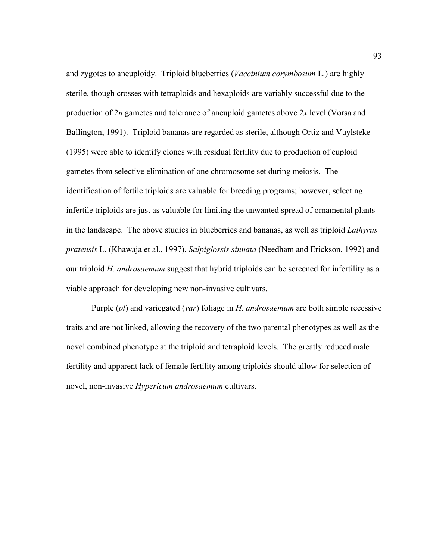and zygotes to aneuploidy. Triploid blueberries (*Vaccinium corymbosum* L.) are highly sterile, though crosses with tetraploids and hexaploids are variably successful due to the production of 2*n* gametes and tolerance of aneuploid gametes above 2*x* level (Vorsa and Ballington, 1991). Triploid bananas are regarded as sterile, although Ortiz and Vuylsteke (1995) were able to identify clones with residual fertility due to production of euploid gametes from selective elimination of one chromosome set during meiosis. The identification of fertile triploids are valuable for breeding programs; however, selecting infertile triploids are just as valuable for limiting the unwanted spread of ornamental plants in the landscape. The above studies in blueberries and bananas, as well as triploid *Lathyrus pratensis* L. (Khawaja et al., 1997), *Salpiglossis sinuata* (Needham and Erickson, 1992) and our triploid *H. androsaemum* suggest that hybrid triploids can be screened for infertility as a viable approach for developing new non-invasive cultivars.

 Purple (*pl*) and variegated (*var*) foliage in *H. androsaemum* are both simple recessive traits and are not linked, allowing the recovery of the two parental phenotypes as well as the novel combined phenotype at the triploid and tetraploid levels. The greatly reduced male fertility and apparent lack of female fertility among triploids should allow for selection of novel, non-invasive *Hypericum androsaemum* cultivars.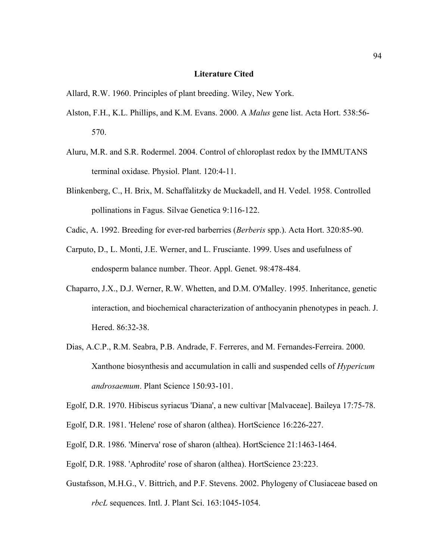## **Literature Cited**

- Allard, R.W. 1960. Principles of plant breeding. Wiley, New York.
- Alston, F.H., K.L. Phillips, and K.M. Evans. 2000. A *Malus* gene list. Acta Hort. 538:56- 570.
- Aluru, M.R. and S.R. Rodermel. 2004. Control of chloroplast redox by the IMMUTANS terminal oxidase. Physiol. Plant. 120:4-11.
- Blinkenberg, C., H. Brix, M. Schaffalitzky de Muckadell, and H. Vedel. 1958. Controlled pollinations in Fagus. Silvae Genetica 9:116-122.
- Cadic, A. 1992. Breeding for ever-red barberries (*Berberis* spp.). Acta Hort. 320:85-90.
- Carputo, D., L. Monti, J.E. Werner, and L. Frusciante. 1999. Uses and usefulness of endosperm balance number. Theor. Appl. Genet. 98:478-484.
- Chaparro, J.X., D.J. Werner, R.W. Whetten, and D.M. O'Malley. 1995. Inheritance, genetic interaction, and biochemical characterization of anthocyanin phenotypes in peach. J. Hered. 86:32-38.
- Dias, A.C.P., R.M. Seabra, P.B. Andrade, F. Ferreres, and M. Fernandes-Ferreira. 2000. Xanthone biosynthesis and accumulation in calli and suspended cells of *Hypericum androsaemum*. Plant Science 150:93-101.
- Egolf, D.R. 1970. Hibiscus syriacus 'Diana', a new cultivar [Malvaceae]. Baileya 17:75-78.
- Egolf, D.R. 1981. 'Helene' rose of sharon (althea). HortScience 16:226-227.
- Egolf, D.R. 1986. 'Minerva' rose of sharon (althea). HortScience 21:1463-1464.
- Egolf, D.R. 1988. 'Aphrodite' rose of sharon (althea). HortScience 23:223.
- Gustafsson, M.H.G., V. Bittrich, and P.F. Stevens. 2002. Phylogeny of Clusiaceae based on *rbcL* sequences. Intl. J. Plant Sci. 163:1045-1054.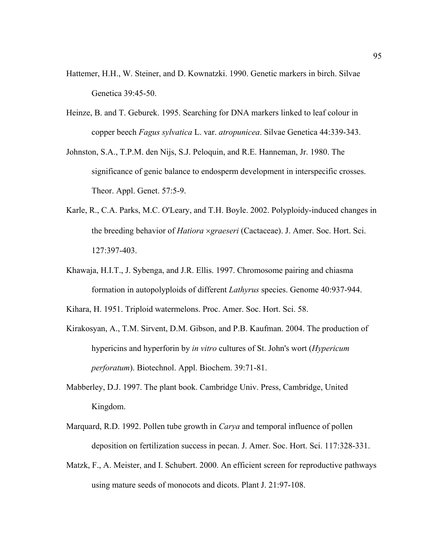- Hattemer, H.H., W. Steiner, and D. Kownatzki. 1990. Genetic markers in birch. Silvae Genetica 39:45-50.
- Heinze, B. and T. Geburek. 1995. Searching for DNA markers linked to leaf colour in copper beech *Fagus sylvatica* L. var. *atropunicea*. Silvae Genetica 44:339-343.
- Johnston, S.A., T.P.M. den Nijs, S.J. Peloquin, and R.E. Hanneman, Jr. 1980. The significance of genic balance to endosperm development in interspecific crosses. Theor. Appl. Genet. 57:5-9.
- Karle, R., C.A. Parks, M.C. O'Leary, and T.H. Boyle. 2002. Polyploidy-induced changes in the breeding behavior of *Hatiora* ×*graeseri* (Cactaceae). J. Amer. Soc. Hort. Sci. 127:397-403.
- Khawaja, H.I.T., J. Sybenga, and J.R. Ellis. 1997. Chromosome pairing and chiasma formation in autopolyploids of different *Lathyrus* species. Genome 40:937-944.

Kihara, H. 1951. Triploid watermelons. Proc. Amer. Soc. Hort. Sci. 58.

- Kirakosyan, A., T.M. Sirvent, D.M. Gibson, and P.B. Kaufman. 2004. The production of hypericins and hyperforin by *in vitro* cultures of St. John's wort (*Hypericum perforatum*). Biotechnol. Appl. Biochem. 39:71-81.
- Mabberley, D.J. 1997. The plant book. Cambridge Univ. Press, Cambridge, United Kingdom.
- Marquard, R.D. 1992. Pollen tube growth in *Carya* and temporal influence of pollen deposition on fertilization success in pecan. J. Amer. Soc. Hort. Sci. 117:328-331.
- Matzk, F., A. Meister, and I. Schubert. 2000. An efficient screen for reproductive pathways using mature seeds of monocots and dicots. Plant J. 21:97-108.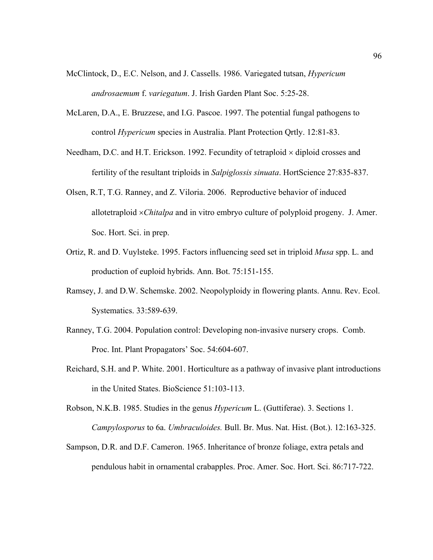- McClintock, D., E.C. Nelson, and J. Cassells. 1986. Variegated tutsan, *Hypericum androsaemum* f. *variegatum*. J. Irish Garden Plant Soc. 5:25-28.
- McLaren, D.A., E. Bruzzese, and I.G. Pascoe. 1997. The potential fungal pathogens to control *Hypericum* species in Australia. Plant Protection Qrtly. 12:81-83.
- Needham, D.C. and H.T. Erickson. 1992. Fecundity of tetraploid  $\times$  diploid crosses and fertility of the resultant triploids in *Salpiglossis sinuata*. HortScience 27:835-837.
- Olsen, R.T, T.G. Ranney, and Z. Viloria. 2006. Reproductive behavior of induced allotetraploid ×*Chitalpa* and in vitro embryo culture of polyploid progeny. J. Amer. Soc. Hort. Sci. in prep.
- Ortiz, R. and D. Vuylsteke. 1995. Factors influencing seed set in triploid *Musa* spp. L. and production of euploid hybrids. Ann. Bot. 75:151-155.
- Ramsey, J. and D.W. Schemske. 2002. Neopolyploidy in flowering plants. Annu. Rev. Ecol. Systematics. 33:589-639.
- Ranney, T.G. 2004. Population control: Developing non-invasive nursery crops. Comb. Proc. Int. Plant Propagators' Soc. 54:604-607.
- Reichard, S.H. and P. White. 2001. Horticulture as a pathway of invasive plant introductions in the United States. BioScience 51:103-113.
- Robson, N.K.B. 1985. Studies in the genus *Hypericum* L. (Guttiferae). 3. Sections 1. *Campylosporus* to 6a. *Umbraculoides.* Bull. Br. Mus. Nat. Hist. (Bot.). 12:163-325.
- Sampson, D.R. and D.F. Cameron. 1965. Inheritance of bronze foliage, extra petals and pendulous habit in ornamental crabapples. Proc. Amer. Soc. Hort. Sci. 86:717-722.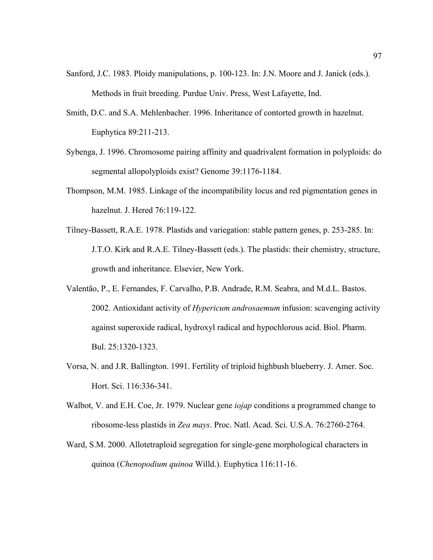- Sanford, J.C. 1983. Ploidy manipulations, p. 100-123. In: J.N. Moore and J. Janick (eds.). Methods in fruit breeding. Purdue Univ. Press, West Lafayette, Ind.
- Smith, D.C. and S.A. Mehlenbacher. 1996. Inheritance of contorted growth in hazelnut. Euphytica 89:211-213.
- Sybenga, J. 1996. Chromosome pairing affinity and quadrivalent formation in polyploids: do segmental allopolyploids exist? Genome 39:1176-1184.
- Thompson, M.M. 1985. Linkage of the incompatibility locus and red pigmentation genes in hazelnut. J. Hered 76:119-122.
- Tilney-Bassett, R.A.E. 1978. Plastids and variegation: stable pattern genes, p. 253-285. In: J.T.O. Kirk and R.A.E. Tilney-Bassett (eds.). The plastids: their chemistry, structure, growth and inheritance. Elsevier, New York.
- Valentão, P., E. Fernandes, F. Carvalho, P.B. Andrade, R.M. Seabra, and M.d.L. Bastos. 2002. Antioxidant activity of *Hypericum androsaemum* infusion: scavenging activity against superoxide radical, hydroxyl radical and hypochlorous acid. Biol. Pharm. Bul. 25:1320-1323.
- Vorsa, N. and J.R. Ballington. 1991. Fertility of triploid highbush blueberry. J. Amer. Soc. Hort. Sci. 116:336-341.
- Walbot, V. and E.H. Coe, Jr. 1979. Nuclear gene *iojap* conditions a programmed change to ribosome-less plastids in *Zea mays*. Proc. Natl. Acad. Sci. U.S.A. 76:2760-2764.
- Ward, S.M. 2000. Allotetraploid segregation for single-gene morphological characters in quinoa (*Chenopodium quinoa* Willd.). Euphytica 116:11-16.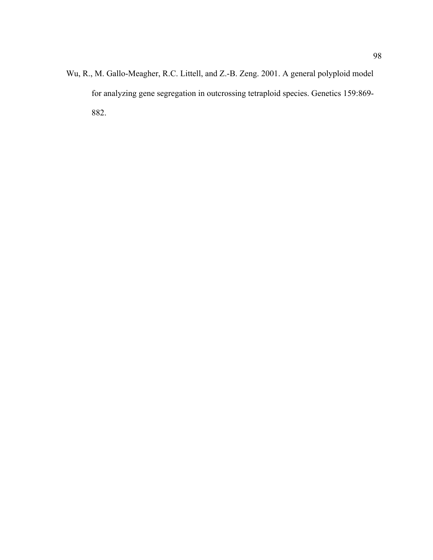Wu, R., M. Gallo-Meagher, R.C. Littell, and Z.-B. Zeng. 2001. A general polyploid model for analyzing gene segregation in outcrossing tetraploid species. Genetics 159:869- 882.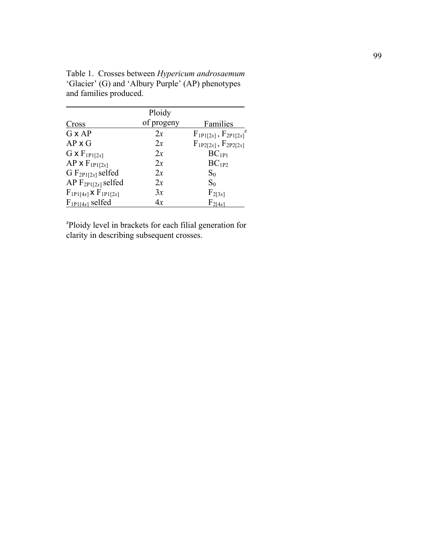|                                  | Ploidy     |                                 |
|----------------------------------|------------|---------------------------------|
| Cross                            | of progeny | Families                        |
| $G \times AP$                    | 2x         | $F_{1P1[2x]}$ , $F_{2P1[2x]}^Z$ |
| $AP \times G$                    | 2x         | $F_{1P2[2x]}$ , $F_{2P2[2x]}$   |
| $G \times F_{1P1[2x]}$           | 2x         | $BC_{1P1}$                      |
| $AP \times F_{1P1[2x]}$          | 2x         | $BC_{1P2}$                      |
| G $F_{2P1[2x]}$ selfed           | 2x         | $S_0$                           |
| AP $F_{2P1[2x]}$ selfed          | 2x         | $S_0$                           |
| $F_{1P1[4x]} \times F_{1P1[2x]}$ | 3x         | $F_{2[3x]}$                     |
| $F_{1P1[4x]}$ selfed             | 4x         | $F_{2[4x]}$                     |

Table 1. Crosses between *Hypericum androsaemum*  'Glacier' (G) and 'Albury Purple' (AP) phenotypes and families produced.

<sup>z</sup>Ploidy level in brackets for each filial generation for clarity in describing subsequent crosses.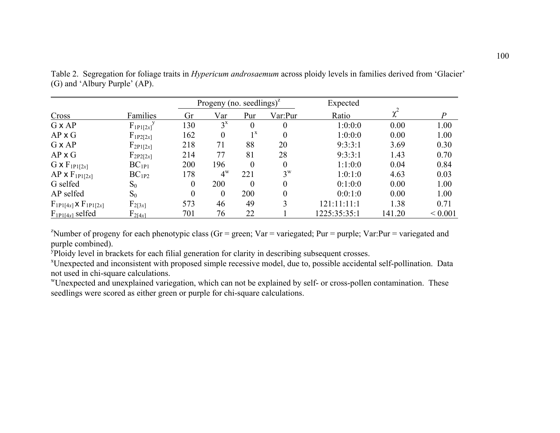|                                  |                 |                | Progeny (no. seedlings) <sup><math>z</math></sup> |                  |                  | Expected     |        |              |
|----------------------------------|-----------------|----------------|---------------------------------------------------|------------------|------------------|--------------|--------|--------------|
| Cross                            | Families        | Gr             | Var                                               | Pur              | Var:Pur          | Ratio        |        | P            |
| $G \times AP$                    | $F_{1P1[2x]}^y$ | 130            | $3^x$                                             | 0                |                  | 1:0:0:0      | 0.00   | 1.00         |
| $AP \times G$                    | $F_{1P2[2x]}$   | 162            | $\theta$                                          | $1^{\mathrm{x}}$ |                  | 1:0:0:0      | 0.00   | 1.00         |
| $G \times AP$                    | $F_{2P1[2x]}$   | 218            | 71                                                | 88               | 20               | 9:3:3:1      | 3.69   | 0.30         |
| $AP \times G$                    | $F_{2P2[2x]}$   | 214            | 77                                                | 81               | 28               | 9:3:3:1      | 1.43   | 0.70         |
| $G \times F_{1P1[2x]}$           | $BC_{1P1}$      | 200            | 196                                               | $\Omega$         |                  | 1:1:0:0      | 0.04   | 0.84         |
| $AP \times F_{1P1[2x]}$          | $BC_{1P2}$      | 178            | $4^w$                                             | 221              | $3^{\mathrm{W}}$ | 1:0:1:0      | 4.63   | 0.03         |
| G selfed                         | $S_0$           | 0              | 200                                               | $\Omega$         |                  | 0:1:0:0      | 0.00   | 1.00         |
| AP selfed                        | $S_0$           | $\overline{0}$ | $\Omega$                                          | 200              |                  | 0:0:1:0      | 0.00   | 1.00         |
| $F_{1P1[4x]} \times F_{1P1[2x]}$ | $F_{2[3x]}$     | 573            | 46                                                | 49               | 3                | 121:11:11:1  | 1.38   | 0.71         |
| $F_{1P1[4x]}$ selfed             | $F_{2[4x]}$     | 701            | 76                                                | 22               |                  | 1225:35:35:1 | 141.20 | ${}_{0.001}$ |

Table 2. Segregation for foliage traits in *Hypericum androsaemum* across ploidy levels in families derived from 'Glacier' (G) and 'Albury Purple' (AP).

<sup>z</sup>Number of progeny for each phenotypic class (Gr = green; Var = variegated; Pur = purple; Var:Pur = variegated and purple combined).

<sup>y</sup>Ploidy level in brackets for each filial generation for clarity in describing subsequent crosses.

xUnexpected and inconsistent with proposed simple recessive model, due to, possible accidental self-pollination. Data not used in chi-square calculations.

wUnexpected and unexplained variegation, which can not be explained by self- or cross-pollen contamination. These seedlings were scored as either green or purple for chi-square calculations.